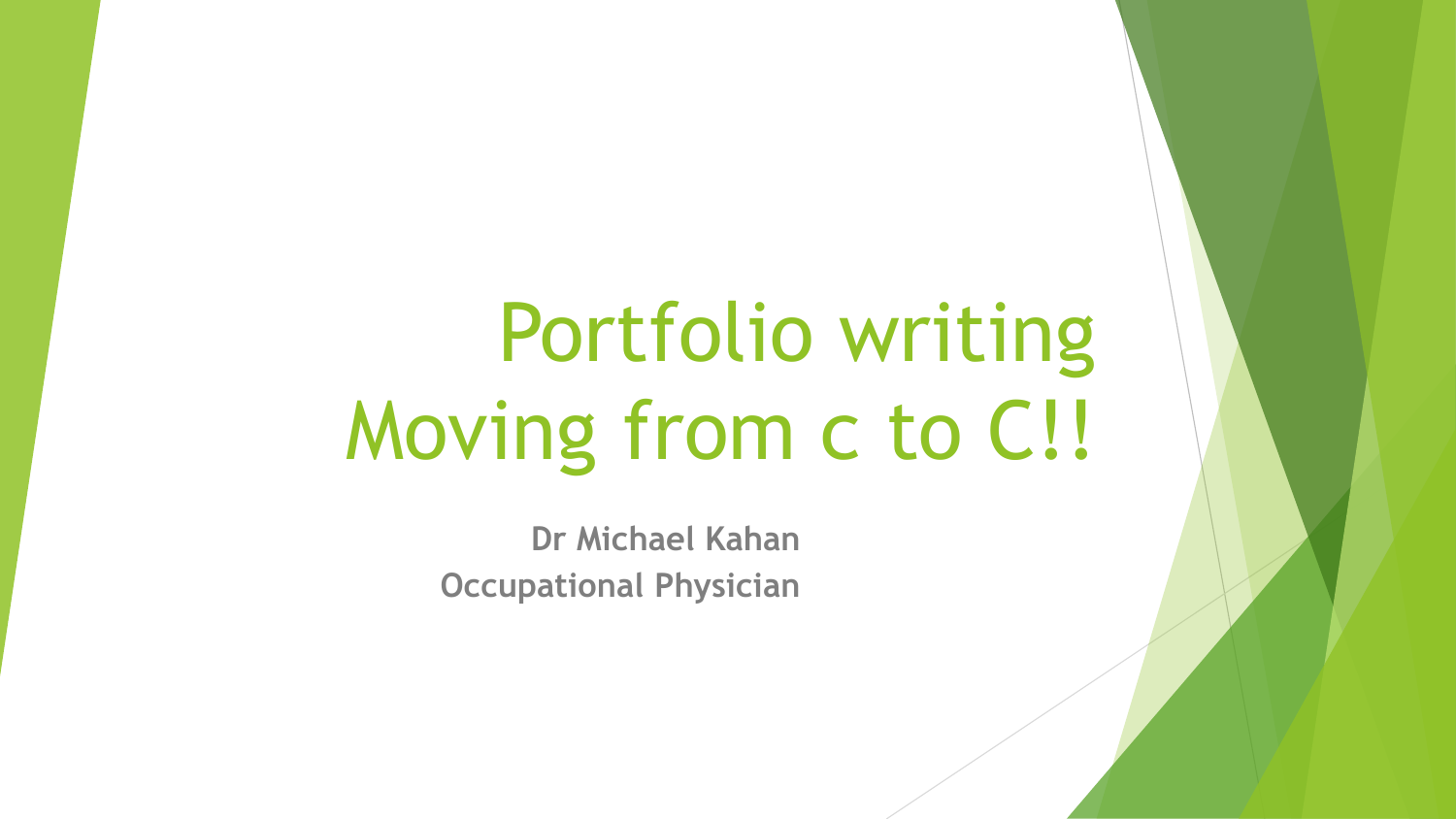# Portfolio writing Moving from c to C!!

**Dr Michael Kahan Occupational Physician**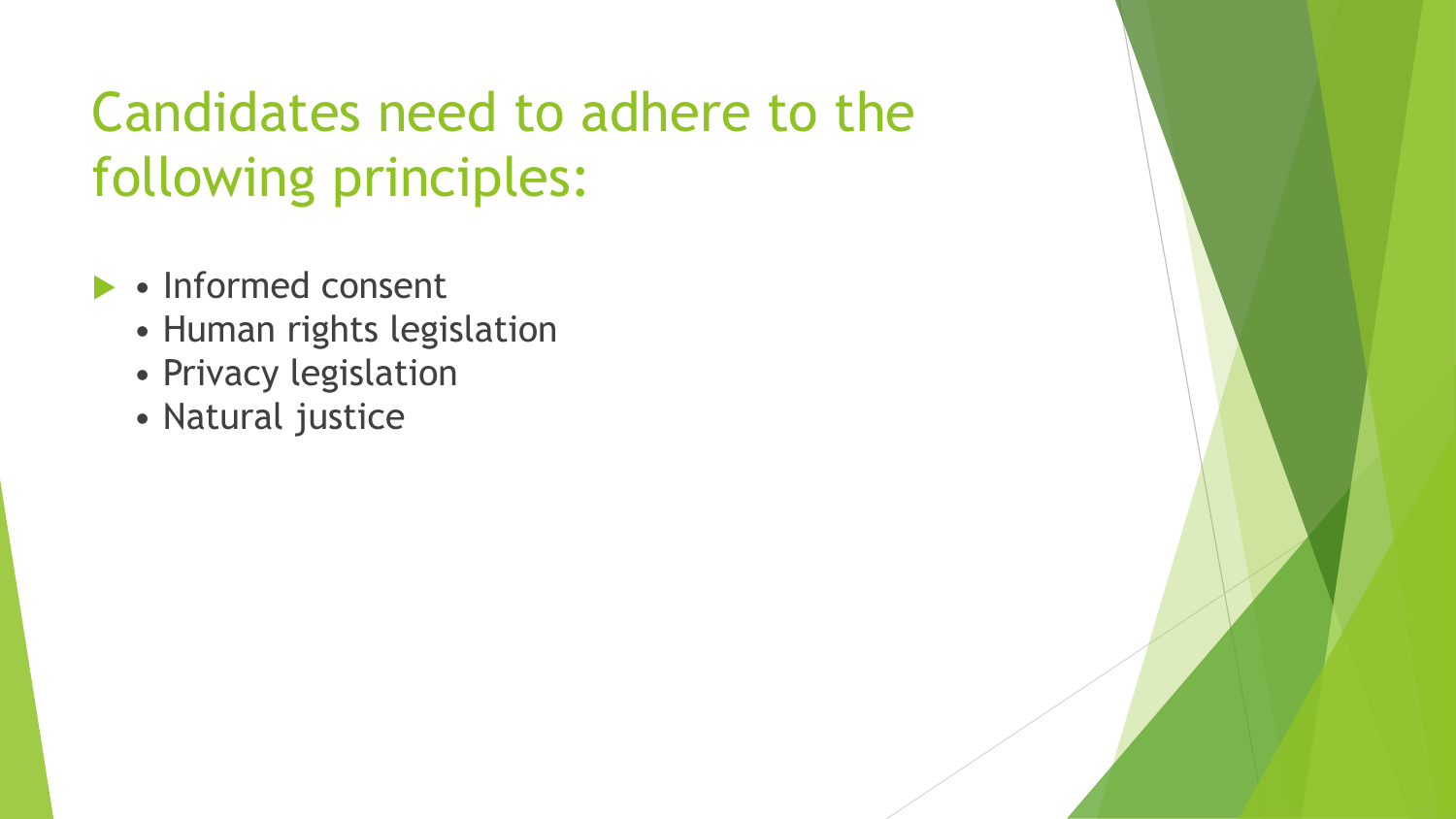## Candidates need to adhere to the following principles:

- Informed consent
	- Human rights legislation
	- Privacy legislation
	- Natural justice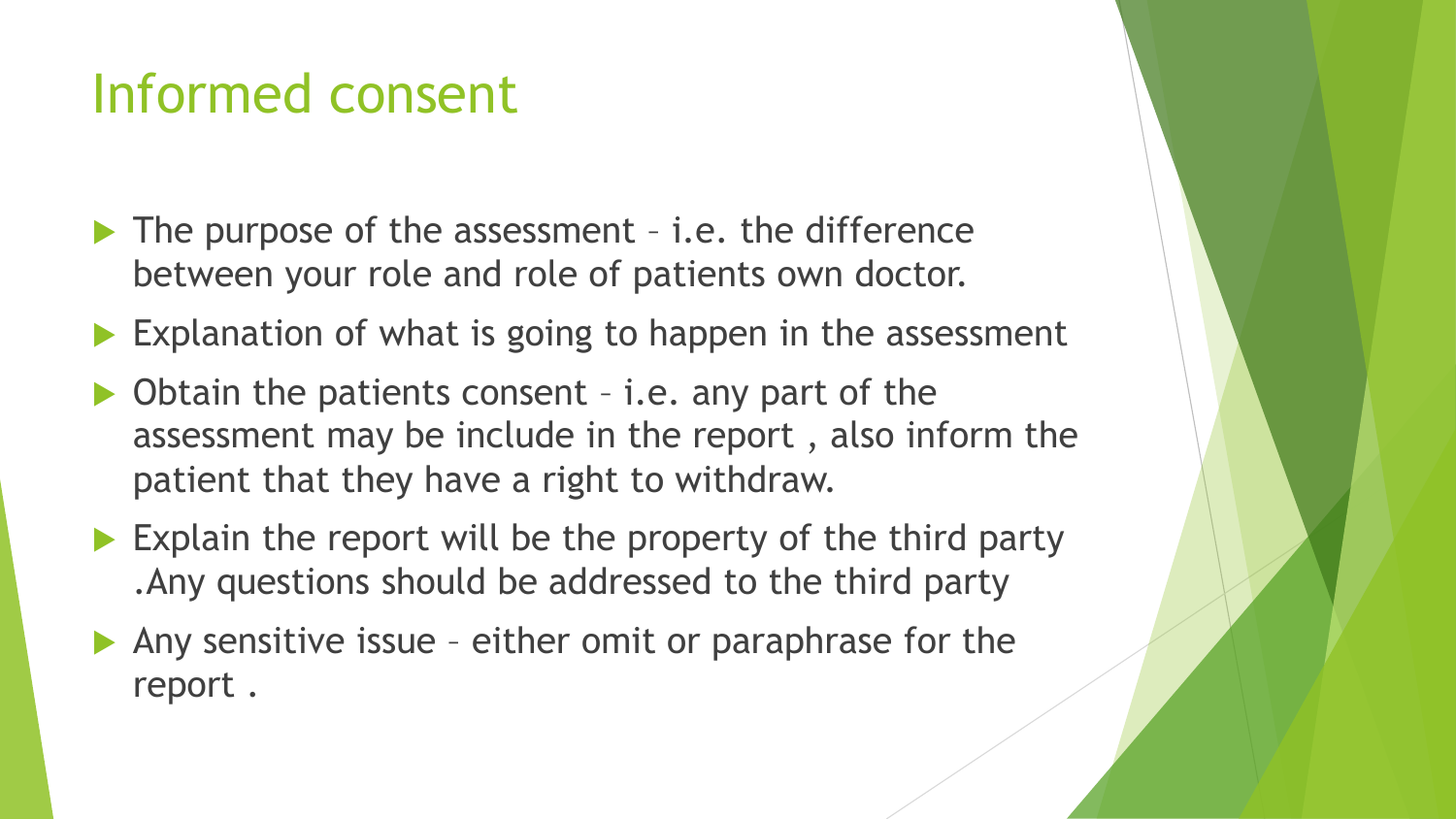### Informed consent

- ▶ The purpose of the assessment i.e. the difference between your role and role of patients own doctor.
- $\blacktriangleright$  Explanation of what is going to happen in the assessment
- Obtain the patients consent i.e. any part of the assessment may be include in the report , also inform the patient that they have a right to withdraw.
- $\blacktriangleright$  Explain the report will be the property of the third party .Any questions should be addressed to the third party
- $\blacktriangleright$  Any sensitive issue either omit or paraphrase for the report .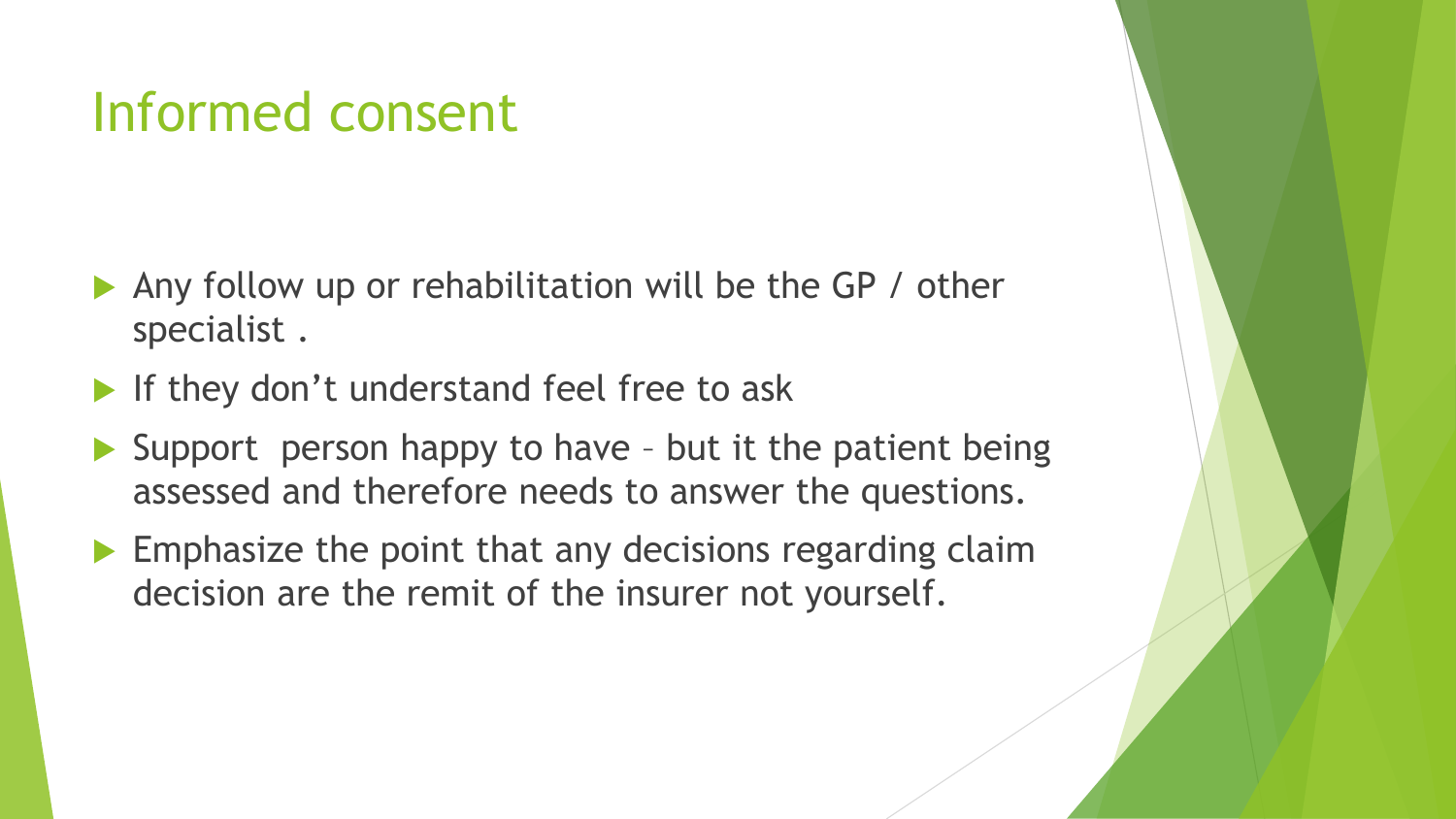### Informed consent

- Any follow up or rehabilitation will be the GP / other specialist .
- If they don't understand feel free to ask
- Support person happy to have but it the patient being assessed and therefore needs to answer the questions.
- $\blacktriangleright$  Emphasize the point that any decisions regarding claim decision are the remit of the insurer not yourself.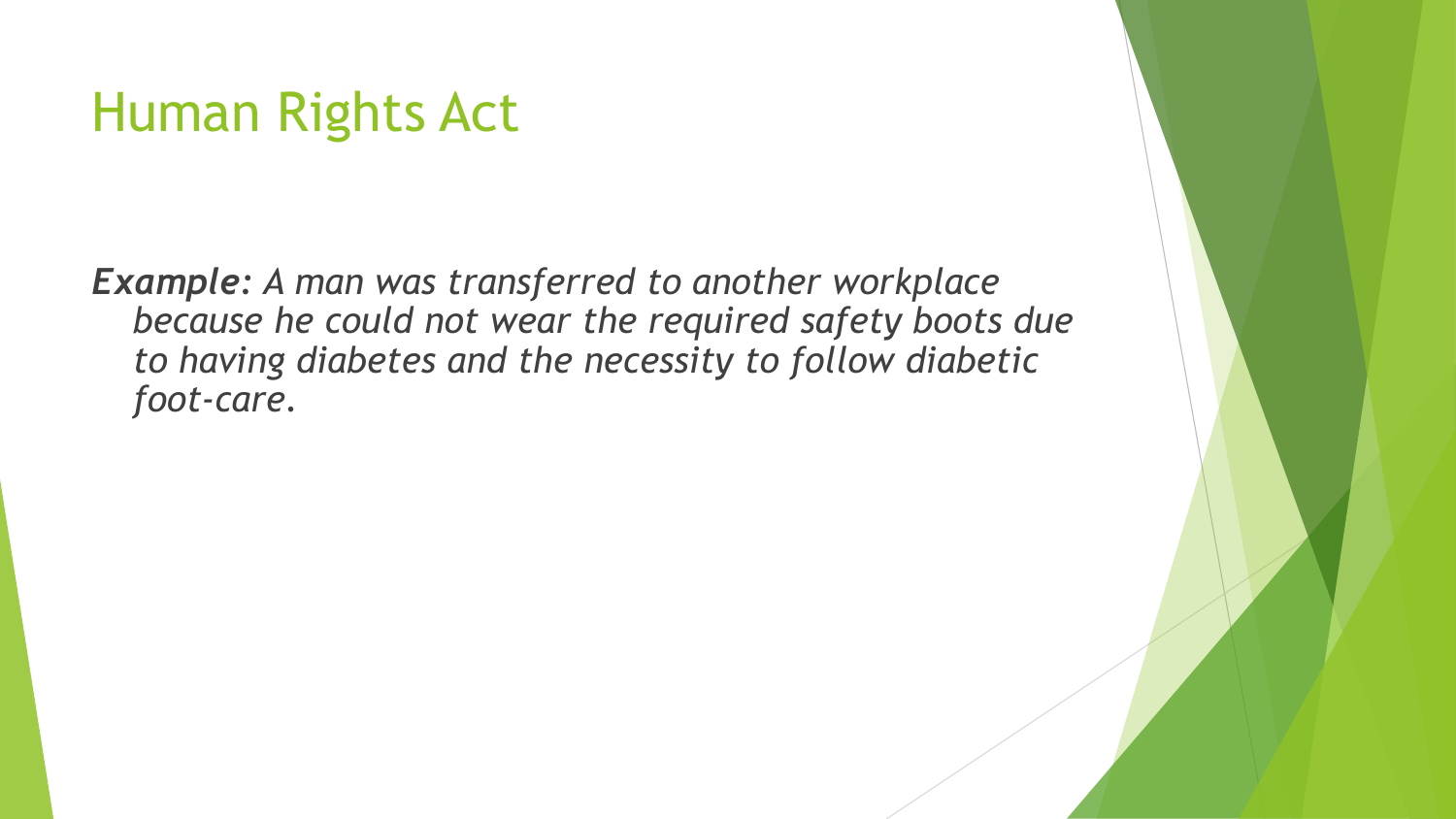### Human Rights Act

*Example: A man was transferred to another workplace because he could not wear the required safety boots due to having diabetes and the necessity to follow diabetic foot-care.*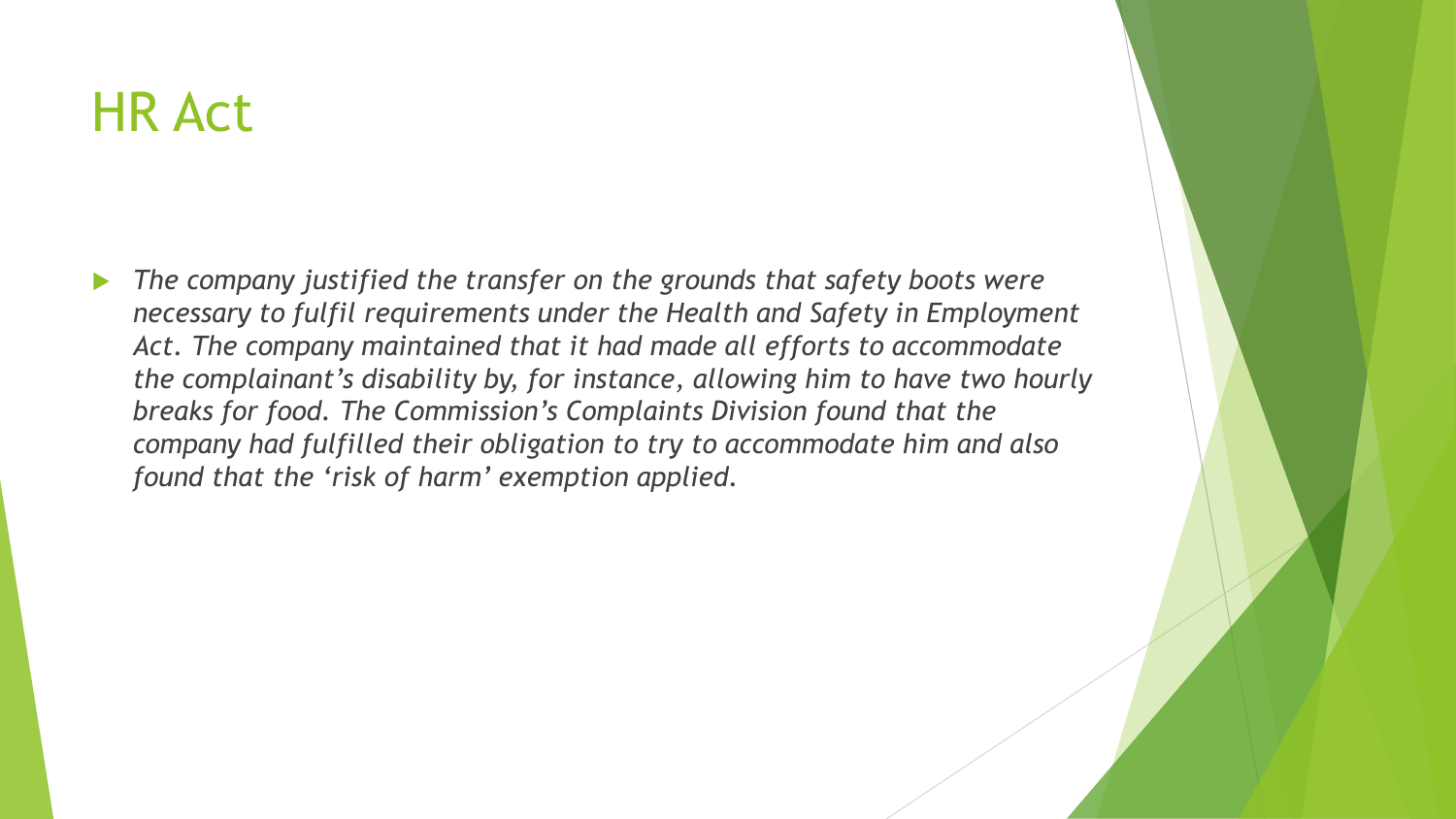### HR Act

 *The company justified the transfer on the grounds that safety boots were necessary to fulfil requirements under the Health and Safety in Employment Act. The company maintained that it had made all efforts to accommodate the complainant's disability by, for instance, allowing him to have two hourly breaks for food. The Commission's Complaints Division found that the company had fulfilled their obligation to try to accommodate him and also found that the 'risk of harm' exemption applied.*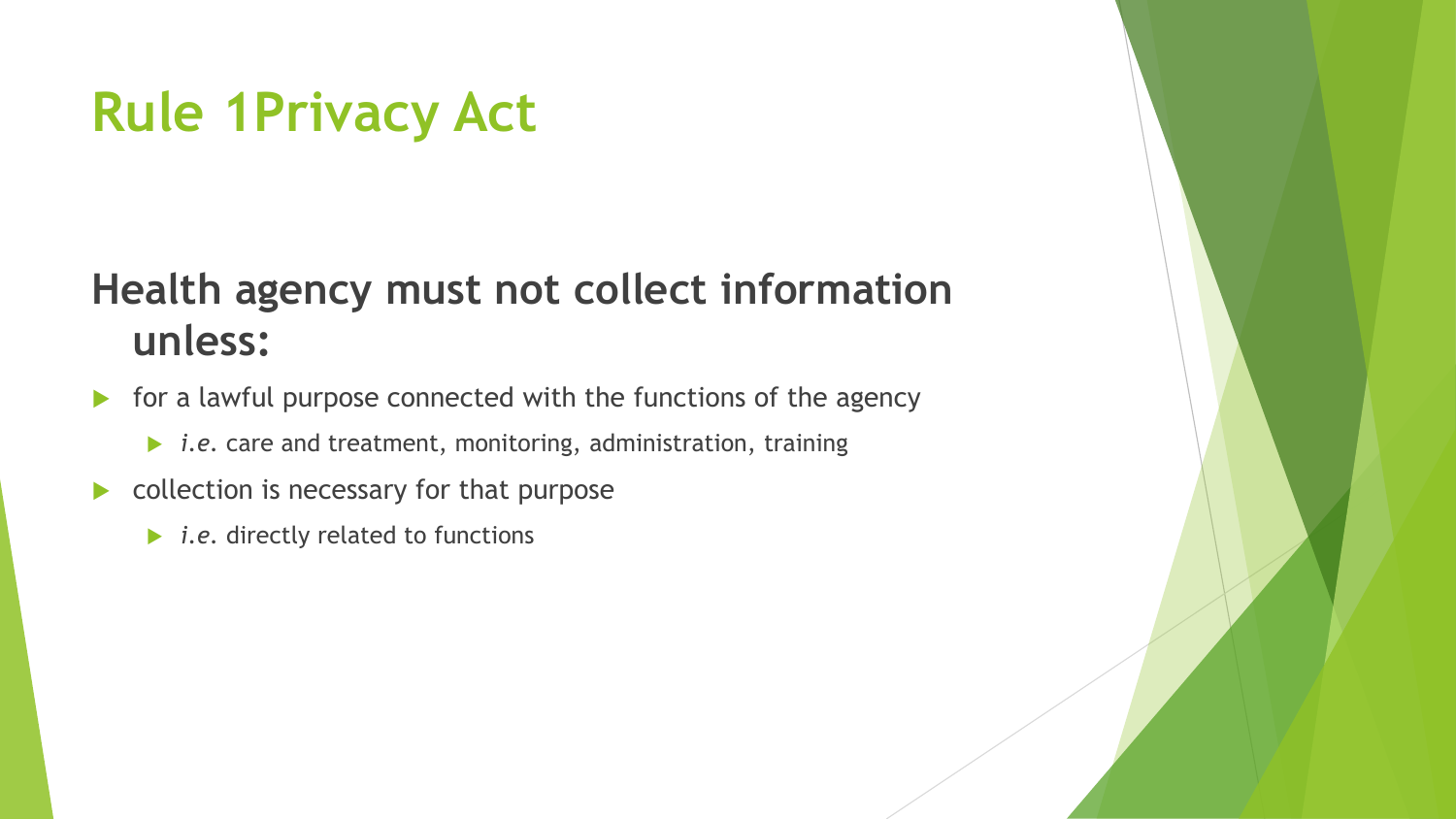### **Rule 1Privacy Act**

#### **Health agency must not collect information unless:**

- **For a lawful purpose connected with the functions of the agency** 
	- *i.e.* care and treatment, monitoring, administration, training
- collection is necessary for that purpose
	- **▶** *i.e.* directly related to functions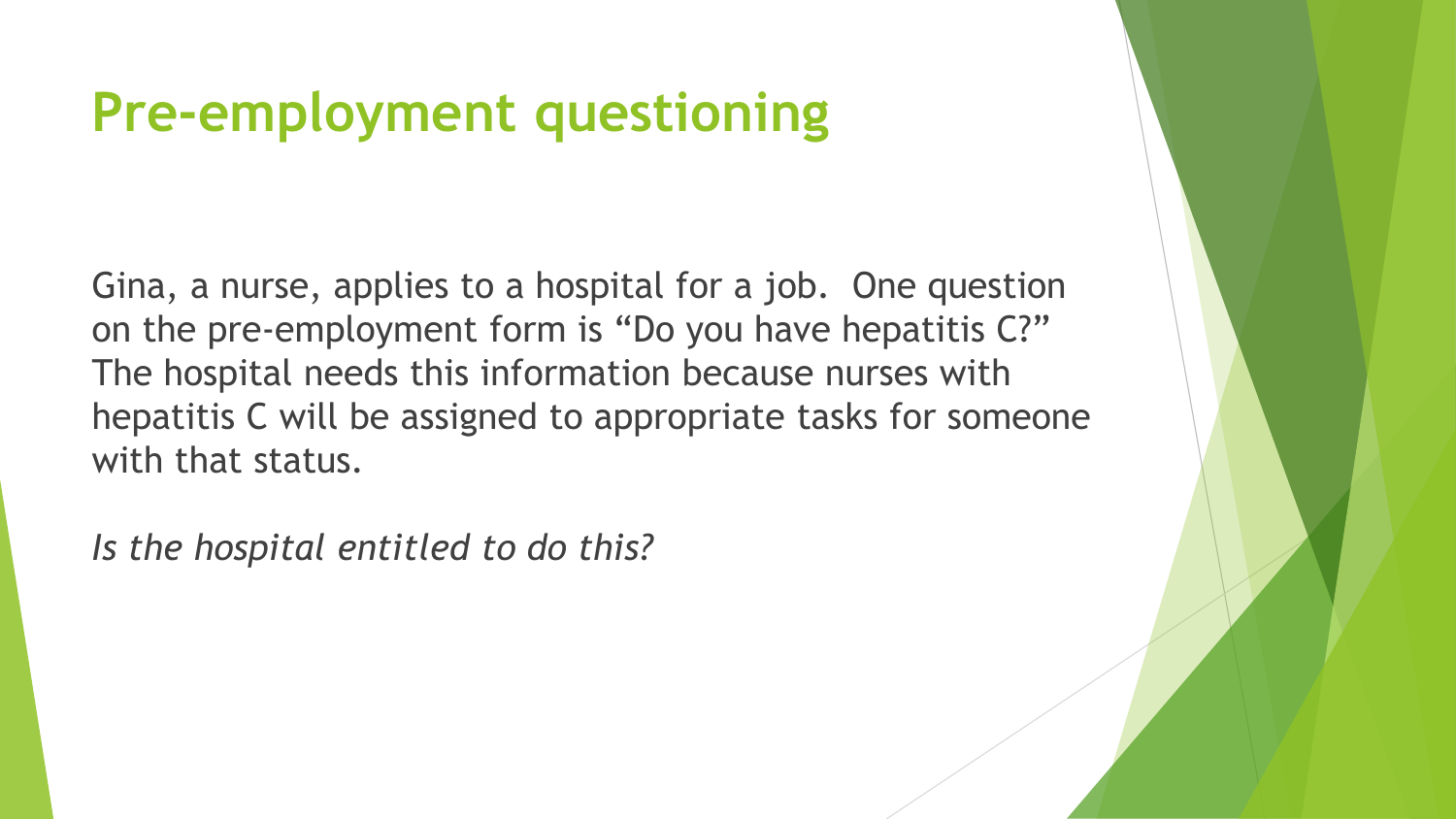### **Pre-employment questioning**

Gina, a nurse, applies to a hospital for a job. One question on the pre-employment form is "Do you have hepatitis C?" The hospital needs this information because nurses with hepatitis C will be assigned to appropriate tasks for someone with that status.

*Is the hospital entitled to do this?*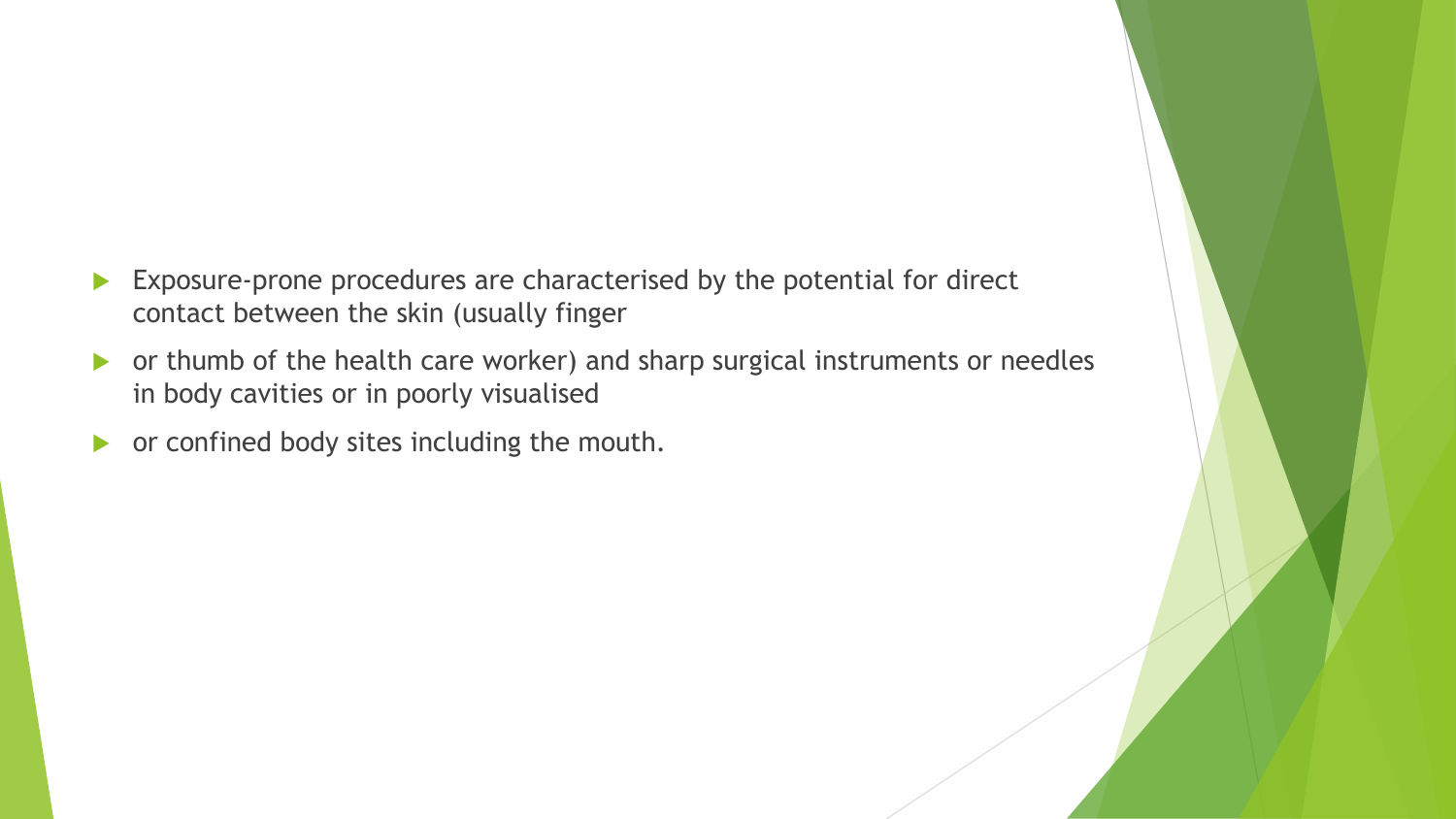- Exposure-prone procedures are characterised by the potential for direct contact between the skin (usually finger
- or thumb of the health care worker) and sharp surgical instruments or needles in body cavities or in poorly visualised
- **•** or confined body sites including the mouth.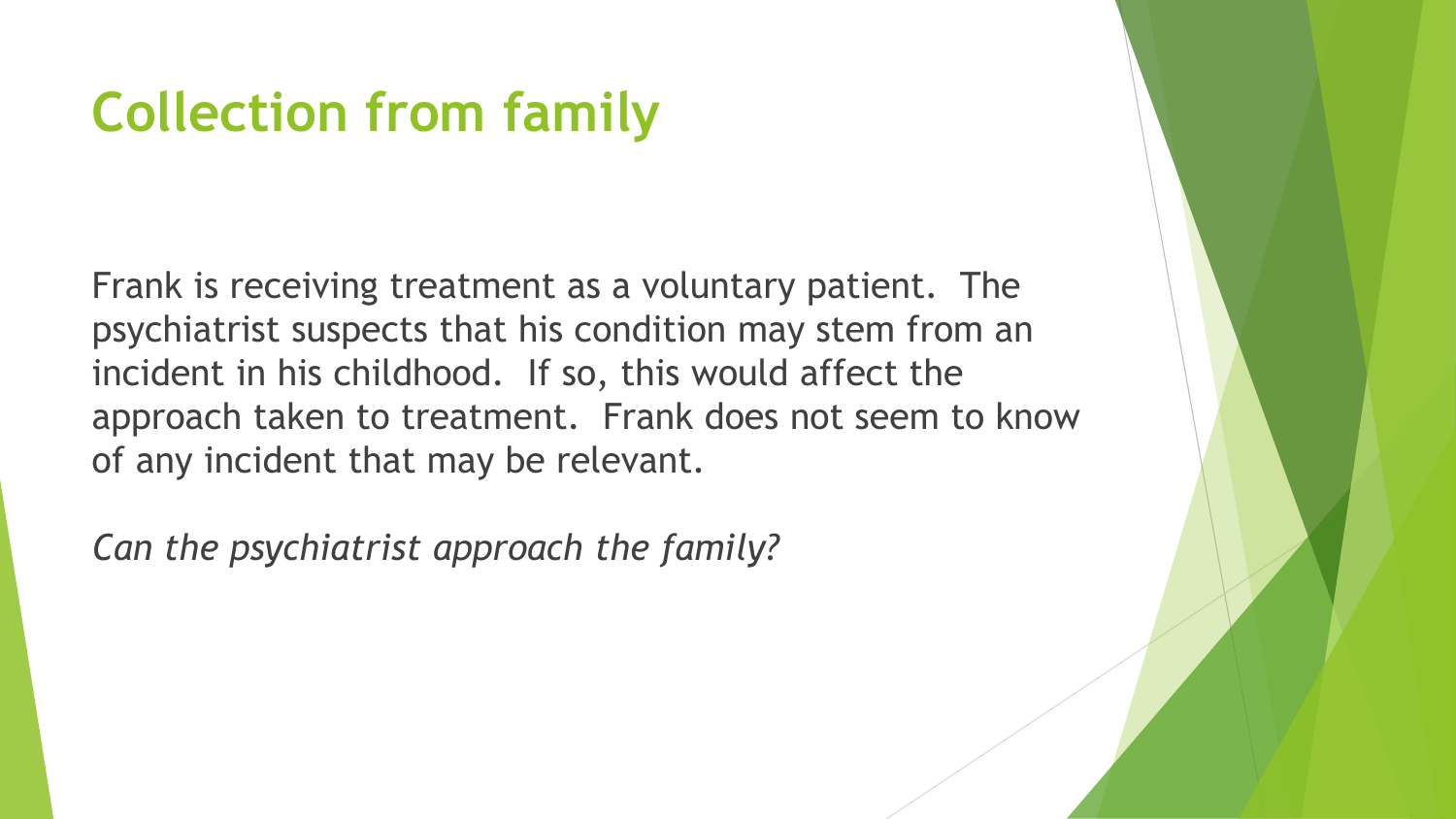### **Collection from family**

Frank is receiving treatment as a voluntary patient. The psychiatrist suspects that his condition may stem from an incident in his childhood. If so, this would affect the approach taken to treatment. Frank does not seem to know of any incident that may be relevant.

*Can the psychiatrist approach the family?*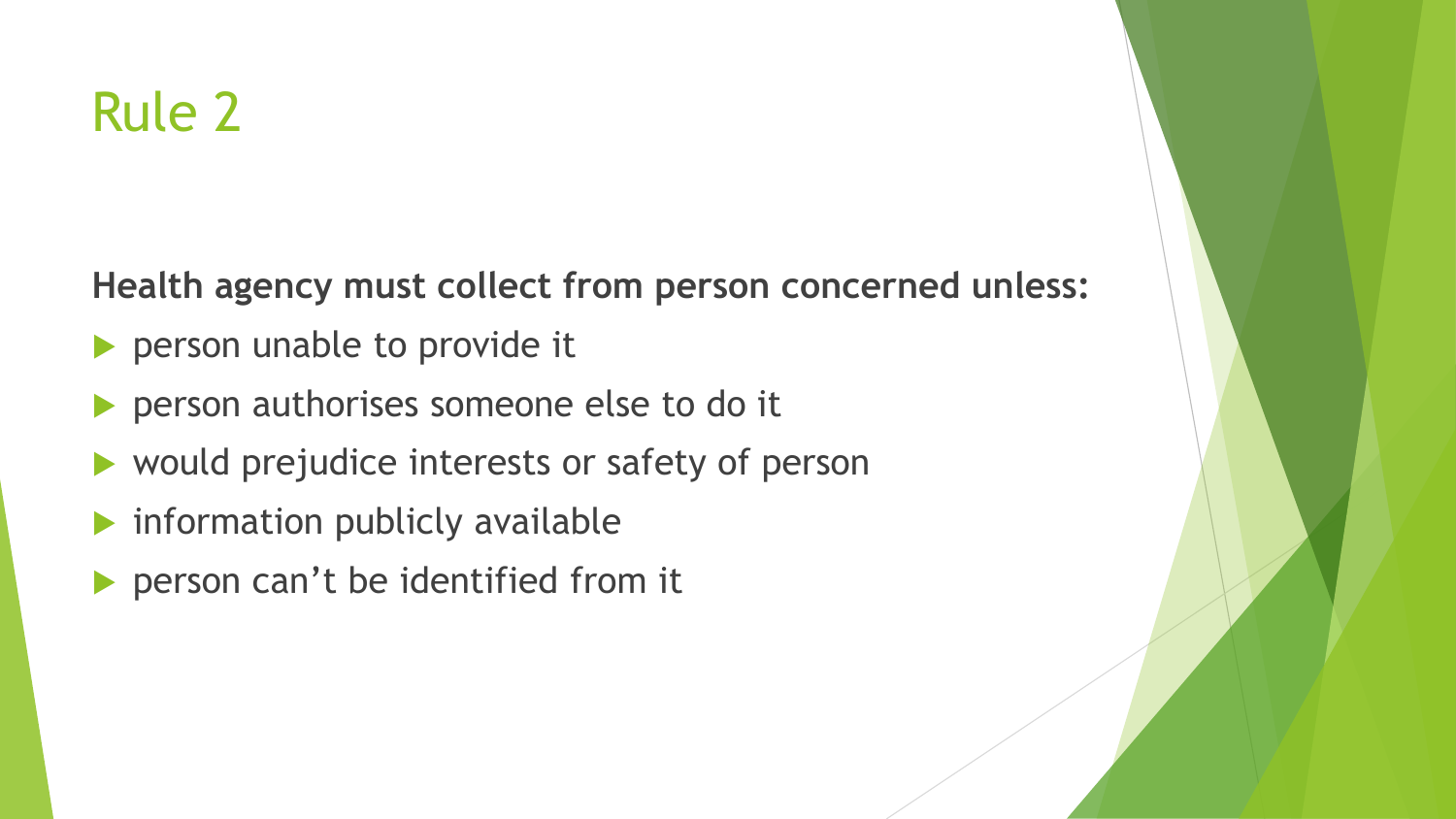### Rule 2

**Health agency must collect from person concerned unless:**

- **Person unable to provide it**
- **Person authorises someone else to do it**
- would prejudice interests or safety of person
- $\blacktriangleright$  information publicly available
- person can't be identified from it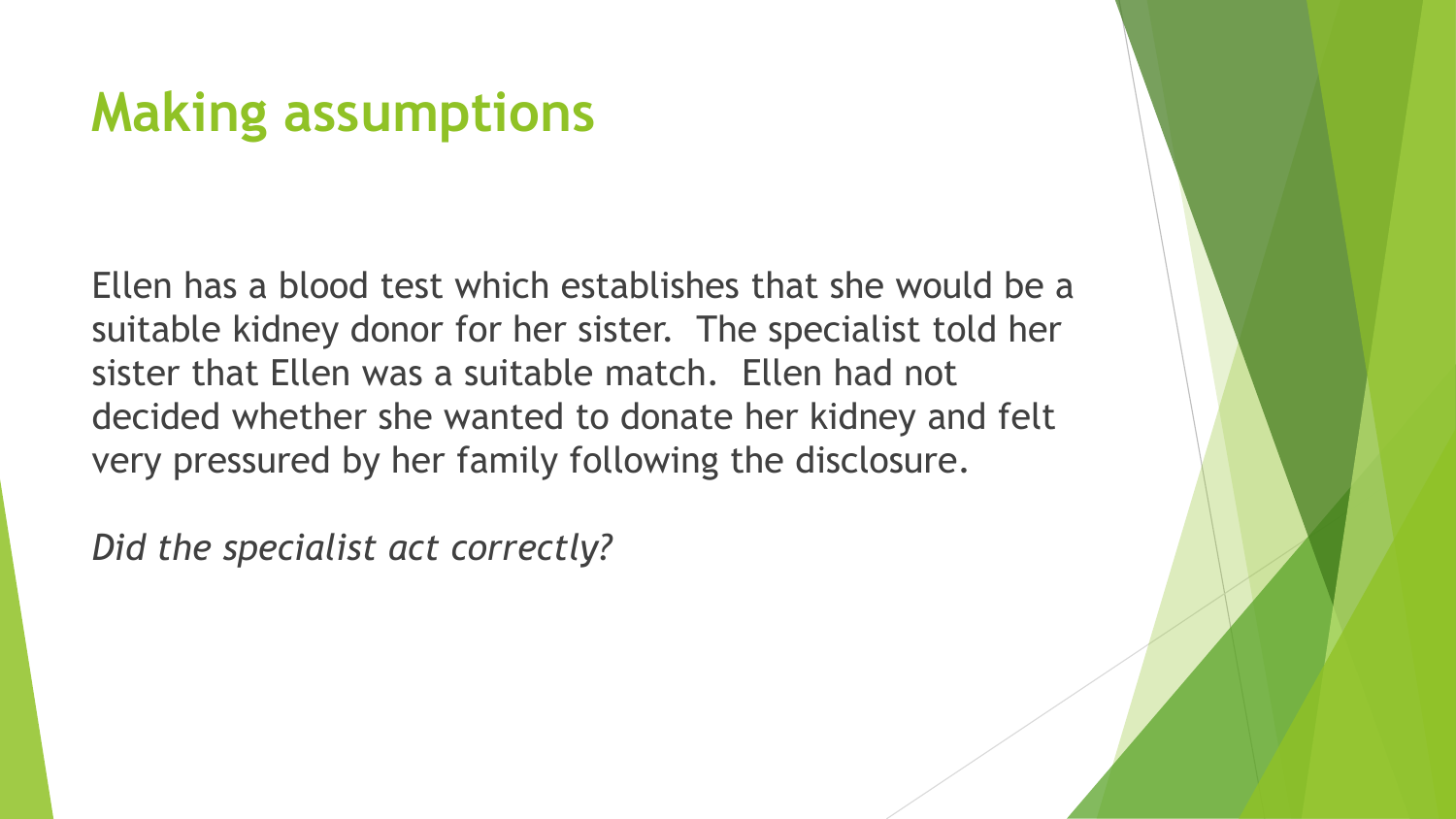### **Making assumptions**

Ellen has a blood test which establishes that she would be a suitable kidney donor for her sister. The specialist told her sister that Ellen was a suitable match. Ellen had not decided whether she wanted to donate her kidney and felt very pressured by her family following the disclosure.

*Did the specialist act correctly?*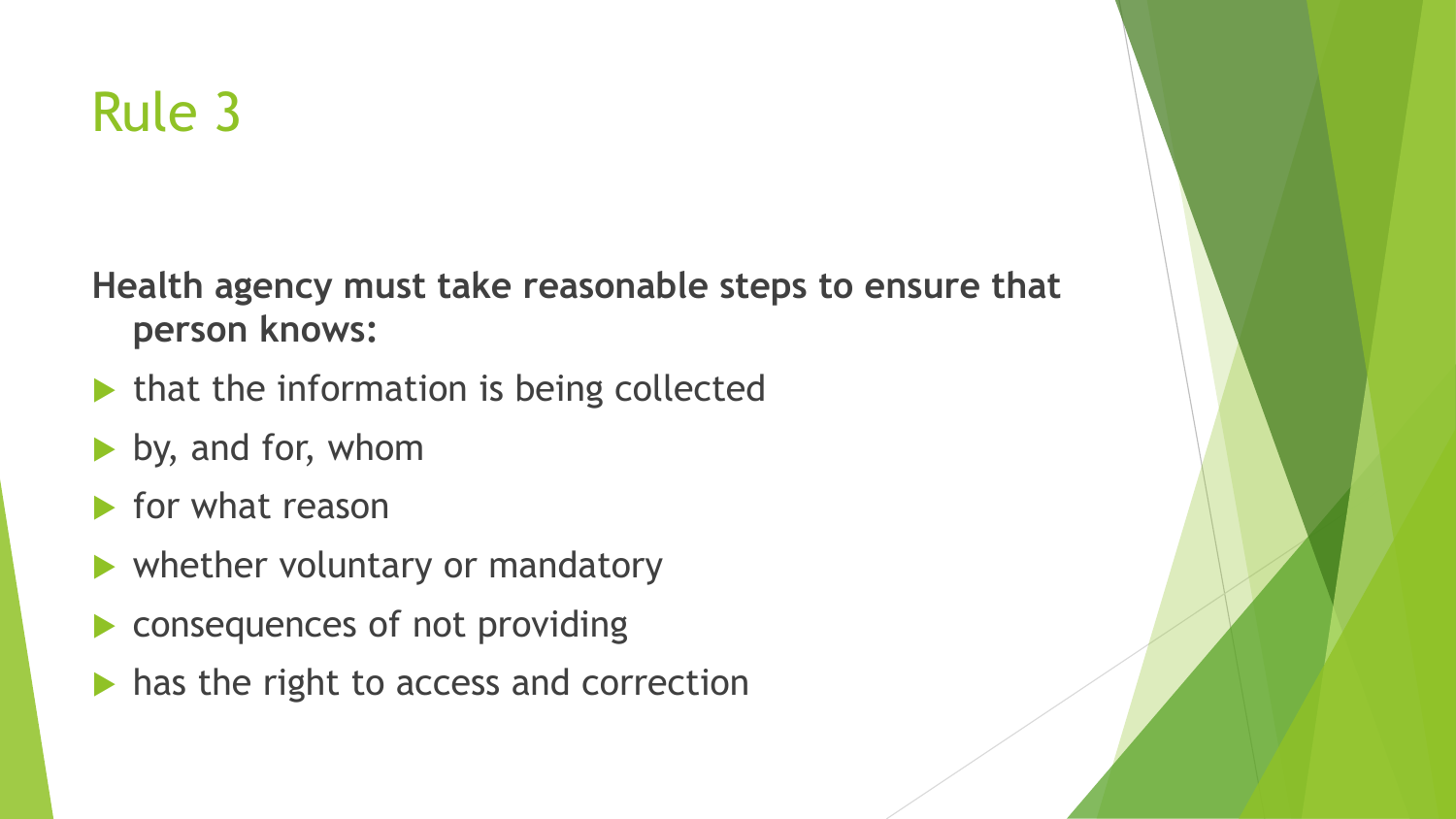## Rule 3

**Health agency must take reasonable steps to ensure that person knows:**

- $\blacktriangleright$  that the information is being collected
- by, and for, whom
- $\blacktriangleright$  for what reason
- whether voluntary or mandatory
- consequences of not providing
- $\blacktriangleright$  has the right to access and correction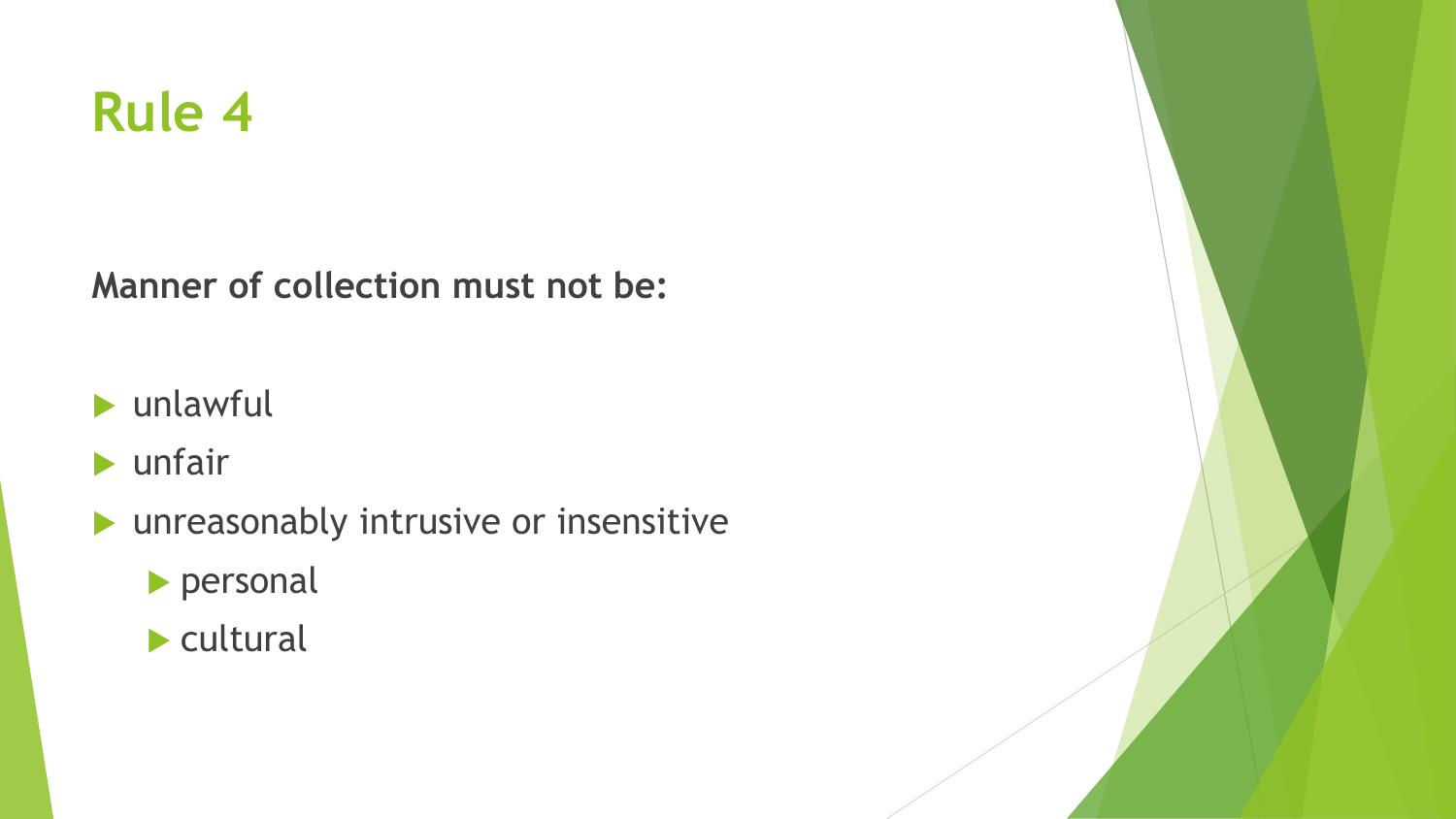### **Rule 4**

**Manner of collection must not be:**

- unlawful
- $\blacktriangleright$  unfair
- unreasonably intrusive or insensitive
	- personal
	- $\blacktriangleright$  cultural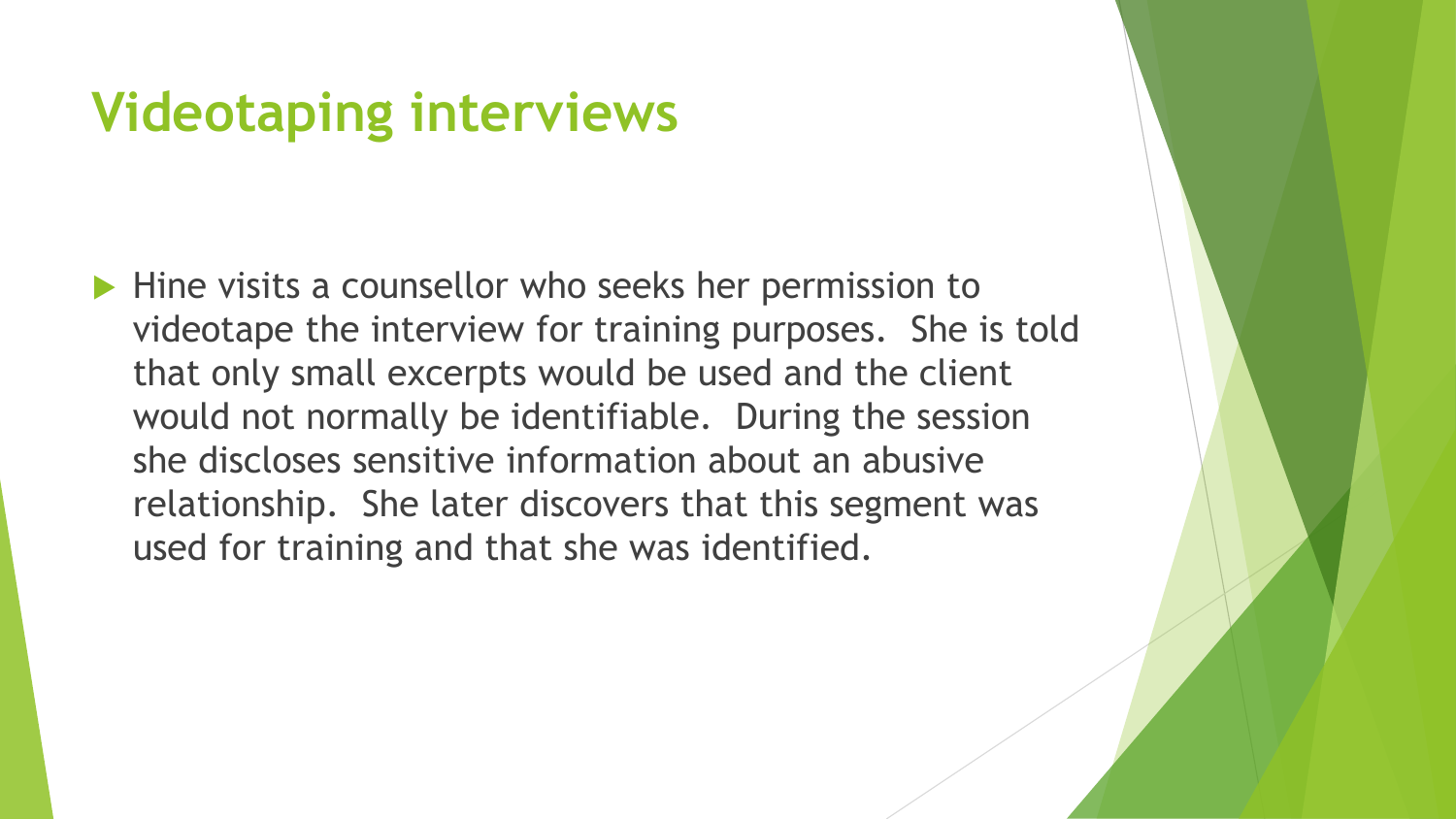### **Videotaping interviews**

 $\blacktriangleright$  Hine visits a counsellor who seeks her permission to videotape the interview for training purposes. She is told that only small excerpts would be used and the client would not normally be identifiable. During the session she discloses sensitive information about an abusive relationship. She later discovers that this segment was used for training and that she was identified.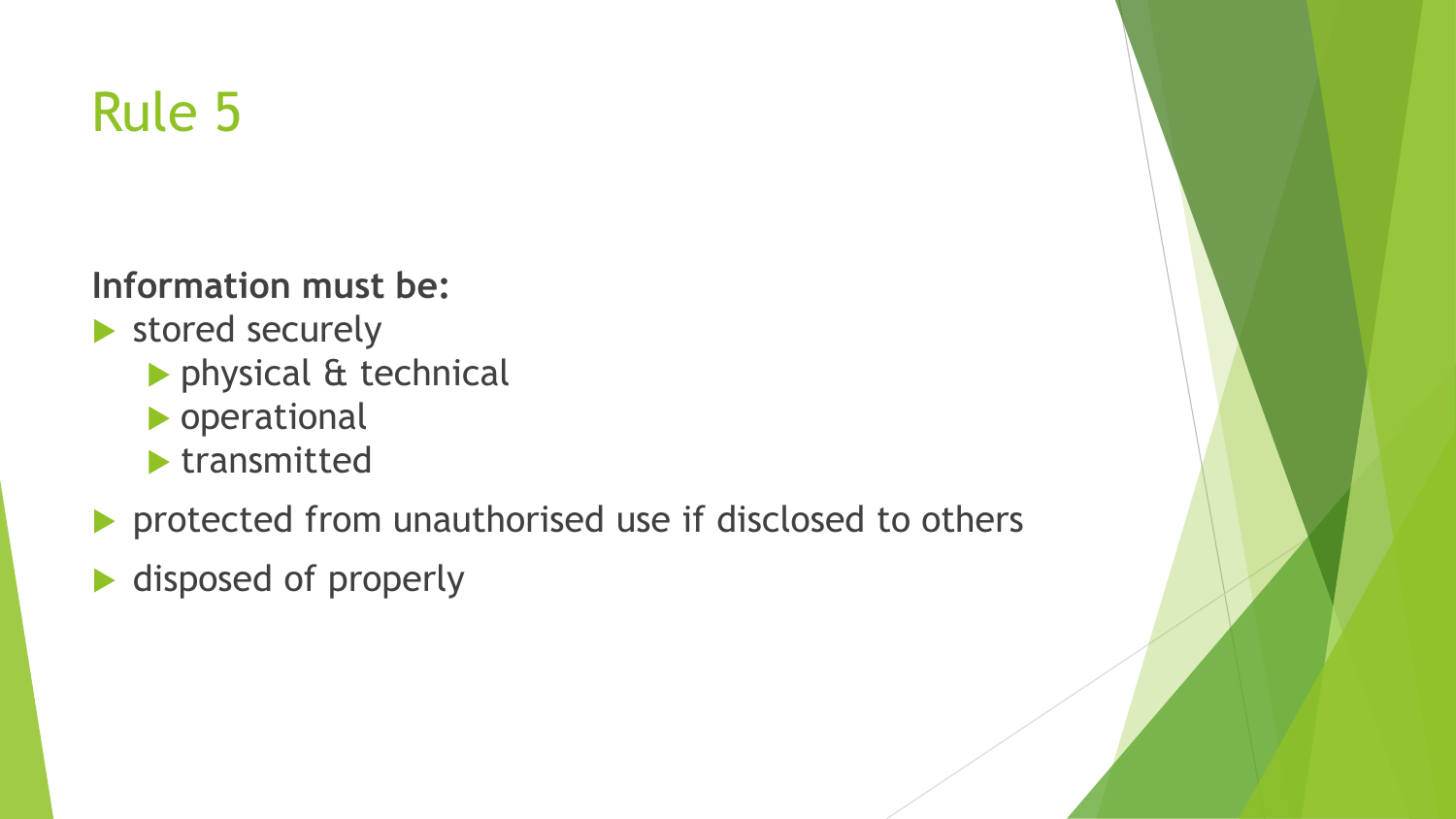### Rule 5

#### **Information must be:**

- stored securely
	- physical & technical
	- **Derational**
	- $\blacktriangleright$  transmitted
- **Perotected from unauthorised use if disclosed to others**
- ▶ disposed of properly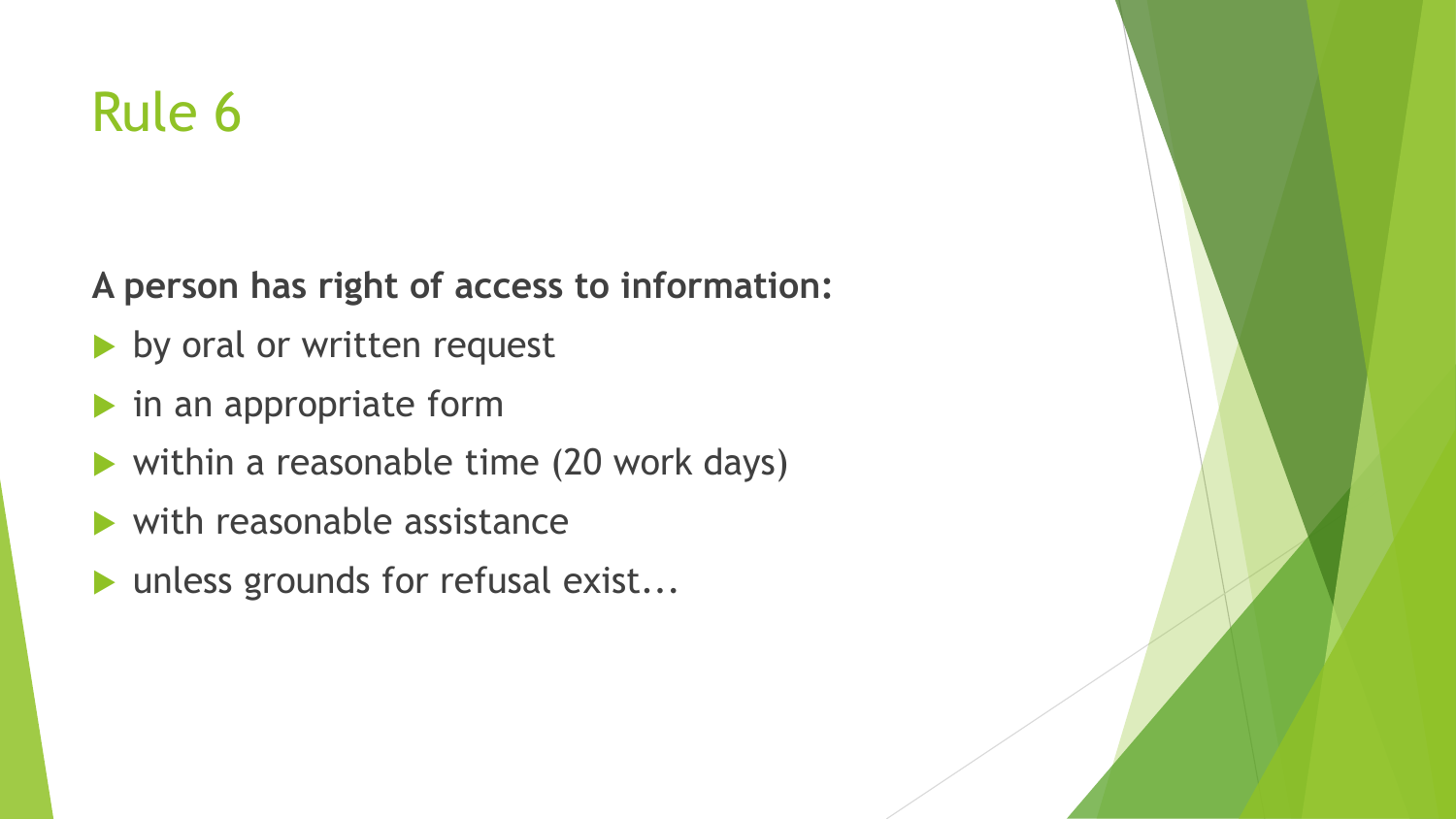### Rule 6

**A person has right of access to information:**

- by oral or written request
- $\blacktriangleright$  in an appropriate form
- within a reasonable time (20 work days)
- with reasonable assistance
- unless grounds for refusal exist...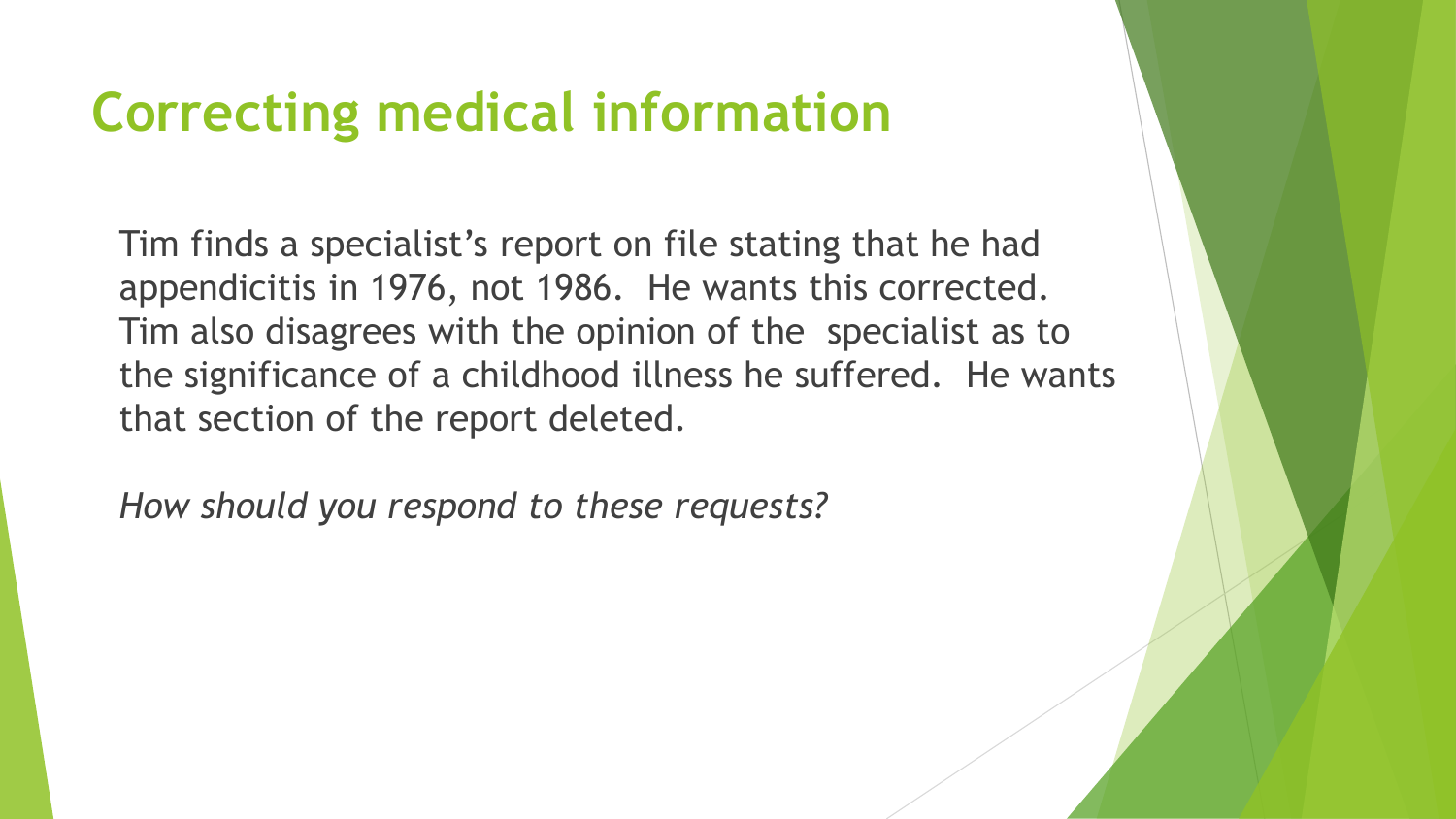### **Correcting medical information**

Tim finds a specialist's report on file stating that he had appendicitis in 1976, not 1986. He wants this corrected. Tim also disagrees with the opinion of the specialist as to the significance of a childhood illness he suffered. He wants that section of the report deleted.

*How should you respond to these requests?*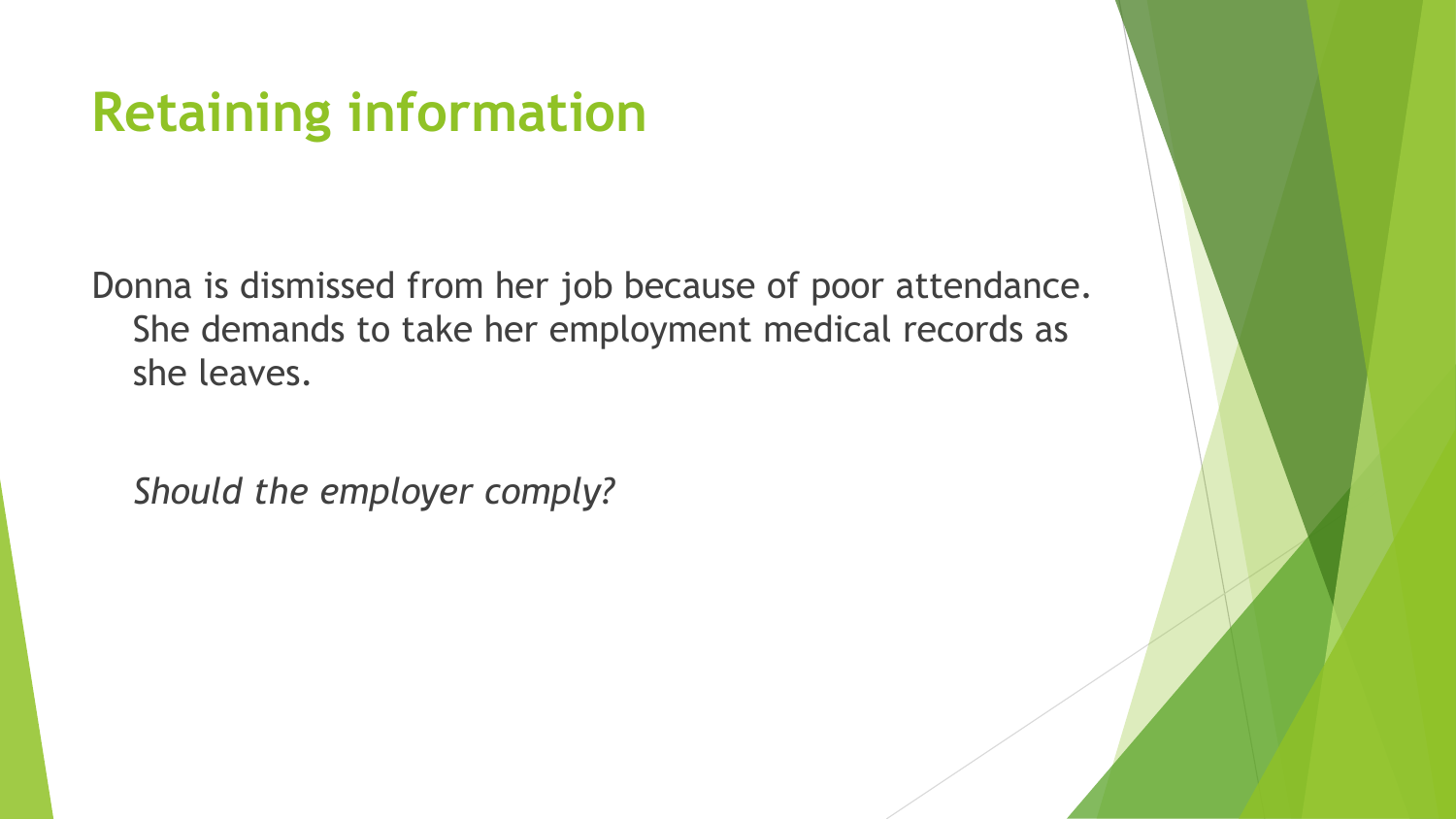### **Retaining information**

Donna is dismissed from her job because of poor attendance. She demands to take her employment medical records as she leaves.

*Should the employer comply?*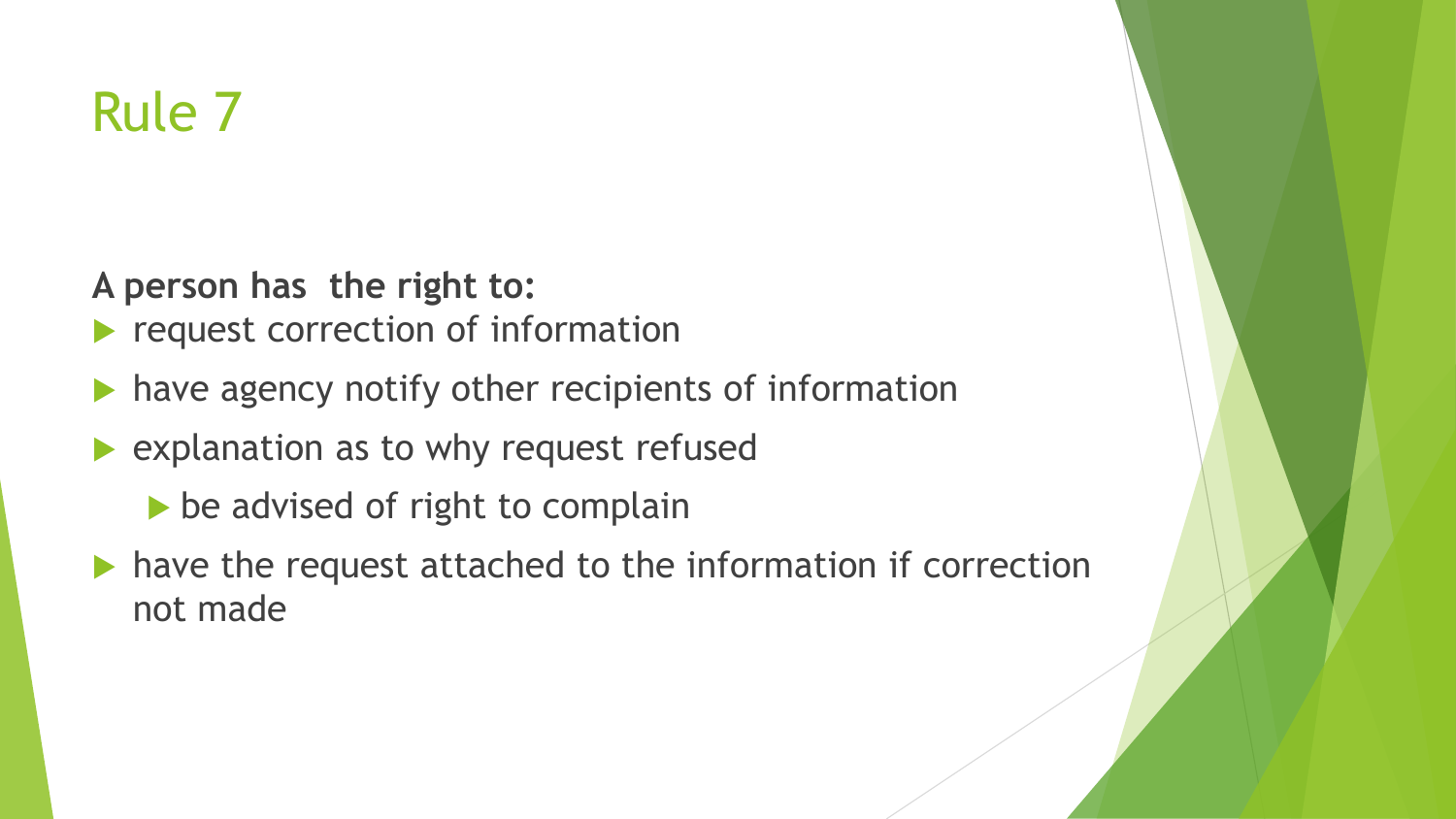### Rule 7

**A person has the right to:**

- request correction of information
- have agency notify other recipients of information
- **Explanation as to why request refused** 
	- be advised of right to complain
- $\blacktriangleright$  have the request attached to the information if correction not made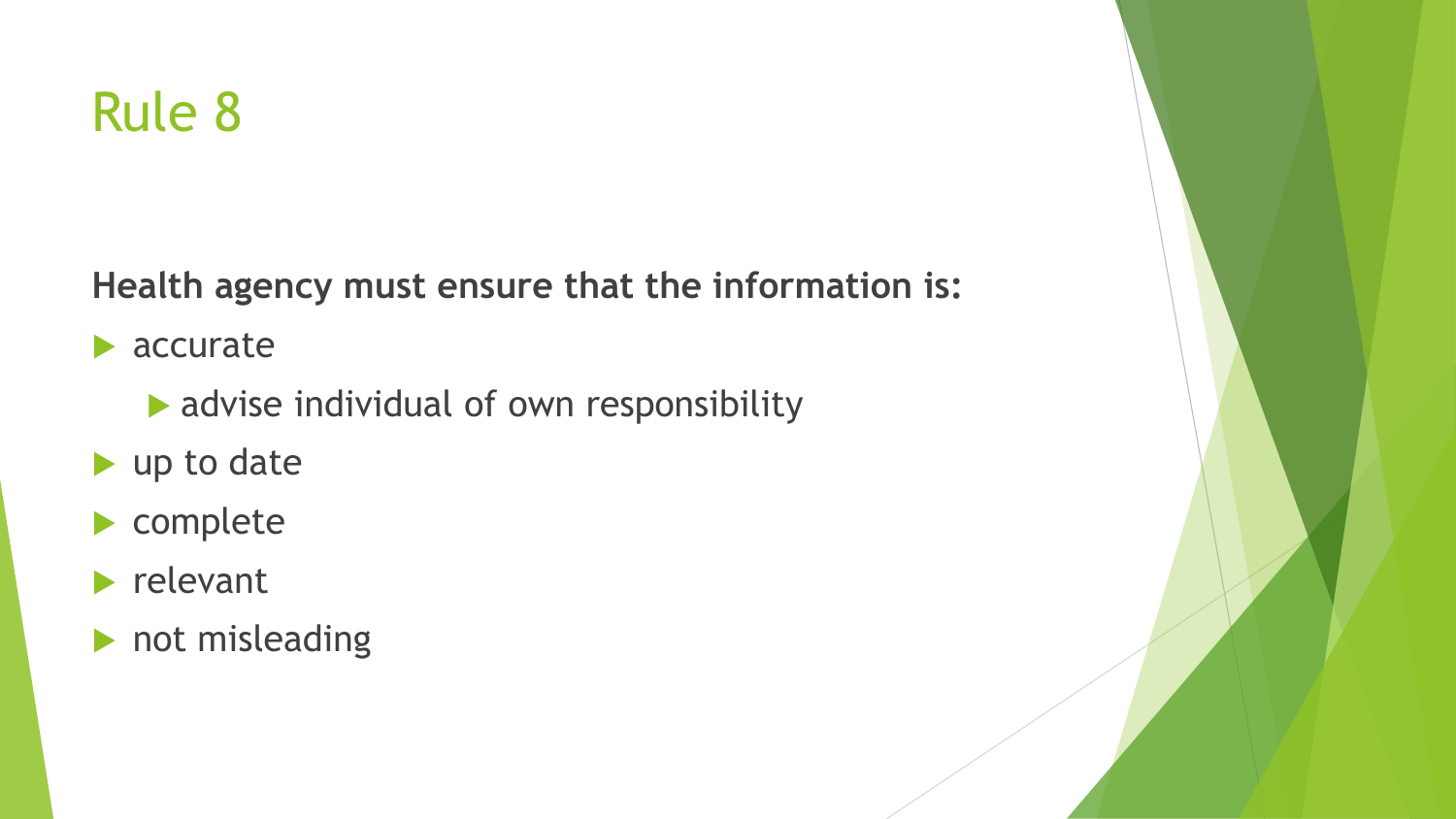### Rule 8

**Health agency must ensure that the information is:**

**accurate** 

- advise individual of own responsibility
- up to date
- ▶ complete
- $\blacktriangleright$  relevant
- not misleading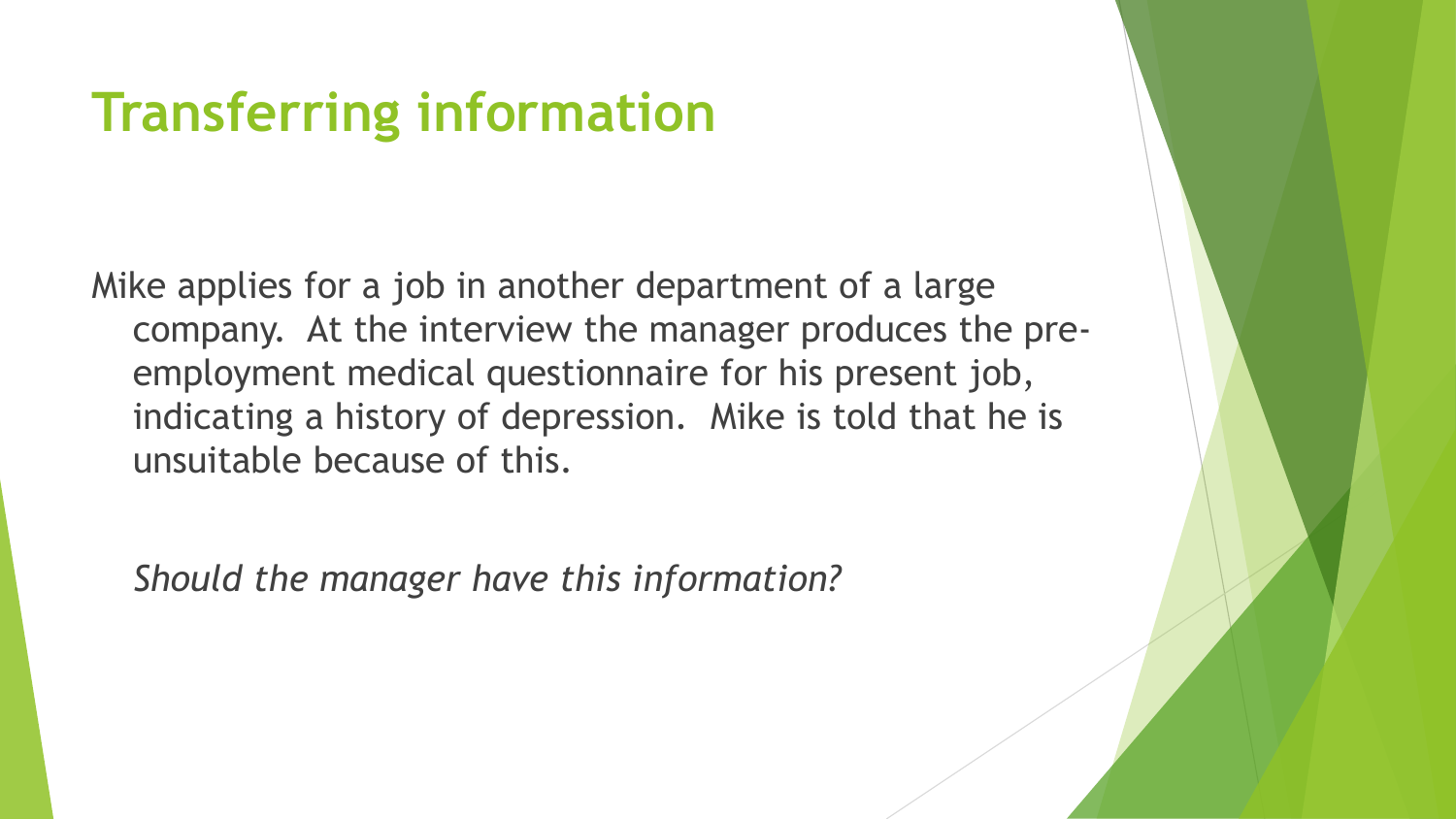### **Transferring information**

Mike applies for a job in another department of a large company. At the interview the manager produces the preemployment medical questionnaire for his present job, indicating a history of depression. Mike is told that he is unsuitable because of this.

*Should the manager have this information?*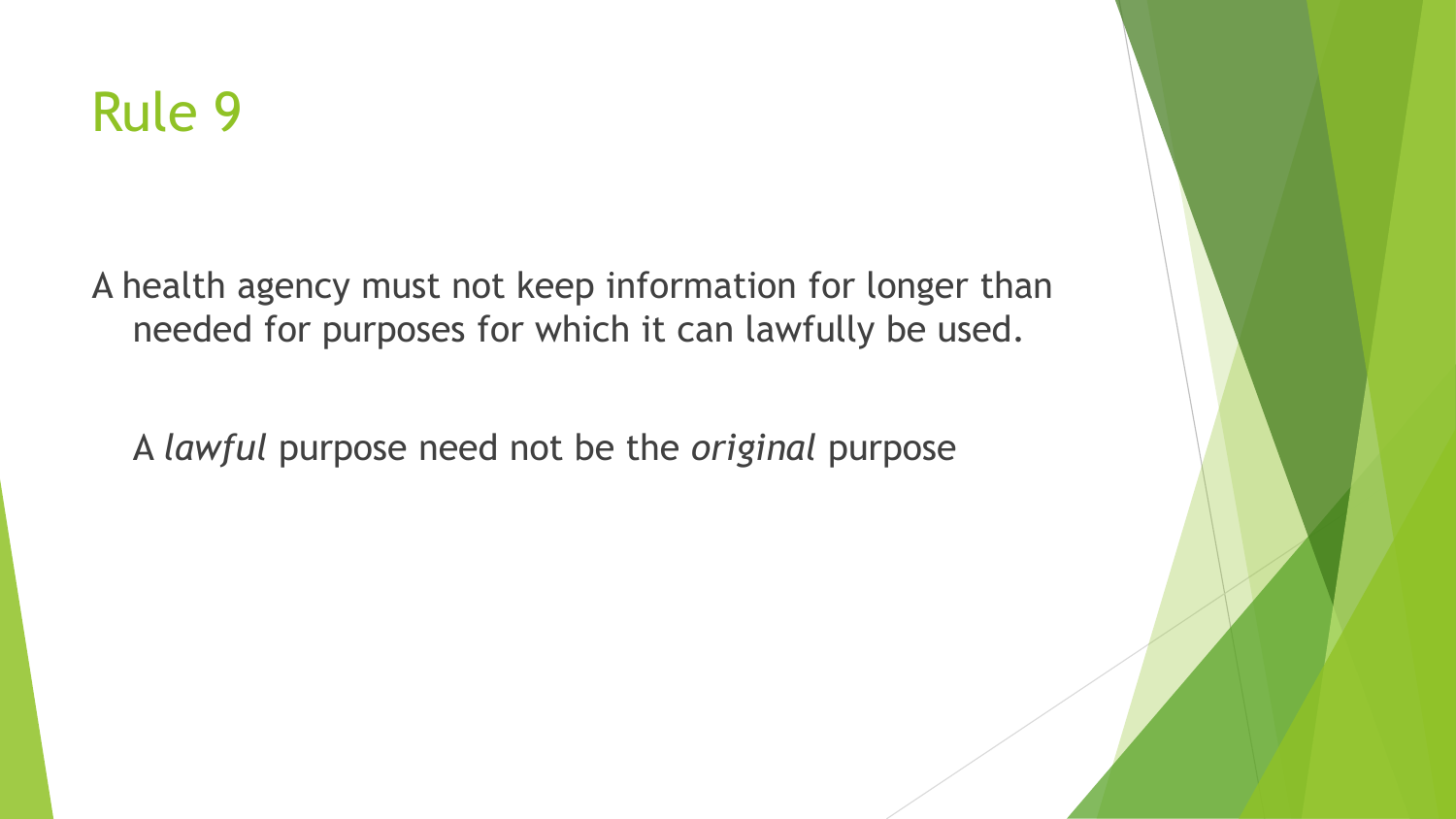

A health agency must not keep information for longer than needed for purposes for which it can lawfully be used.

A *lawful* purpose need not be the *original* purpose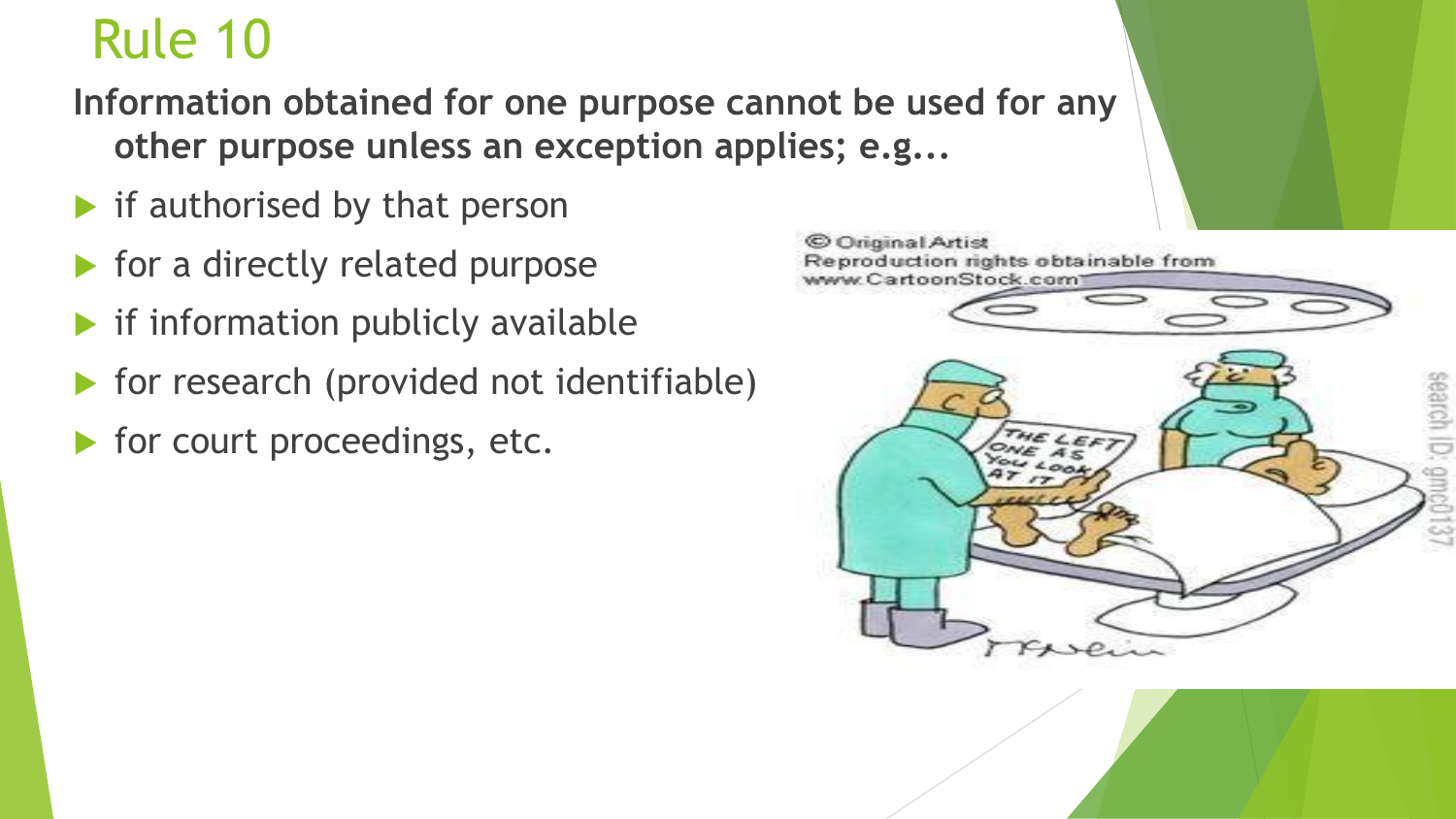### Rule 10

**Information obtained for one purpose cannot be used for any other purpose unless an exception applies; e.g...**

- $\blacktriangleright$  if authorised by that person
- $\blacktriangleright$  for a directly related purpose
- $\blacktriangleright$  if information publicly available
- $\triangleright$  for research (provided not identifiable)
- **For court proceedings, etc.**

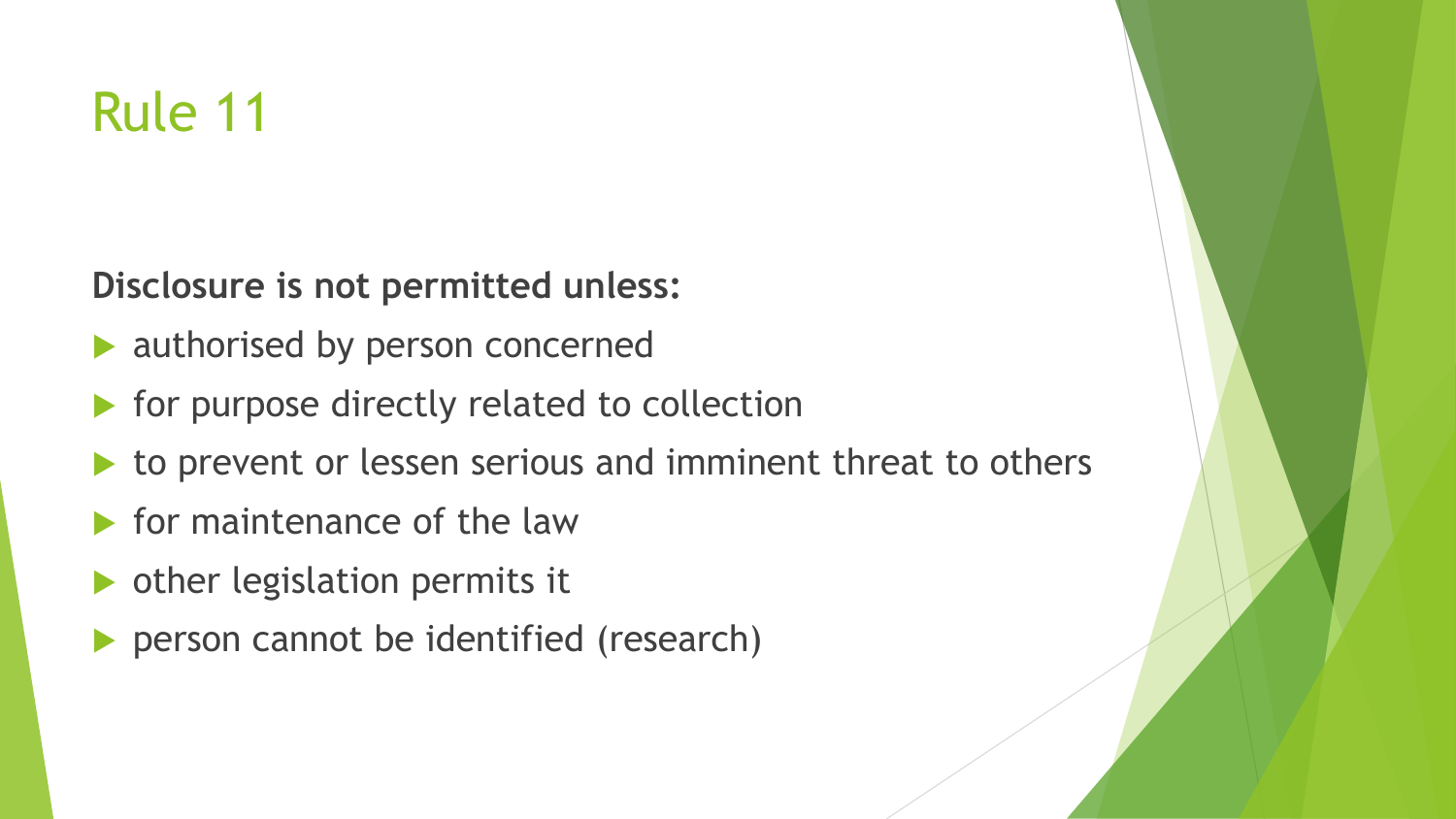### Rule 11

**Disclosure is not permitted unless:**

- **authorised by person concerned**
- for purpose directly related to collection
- to prevent or lessen serious and imminent threat to others
- $\blacktriangleright$  for maintenance of the law
- other legislation permits it
- person cannot be identified (research)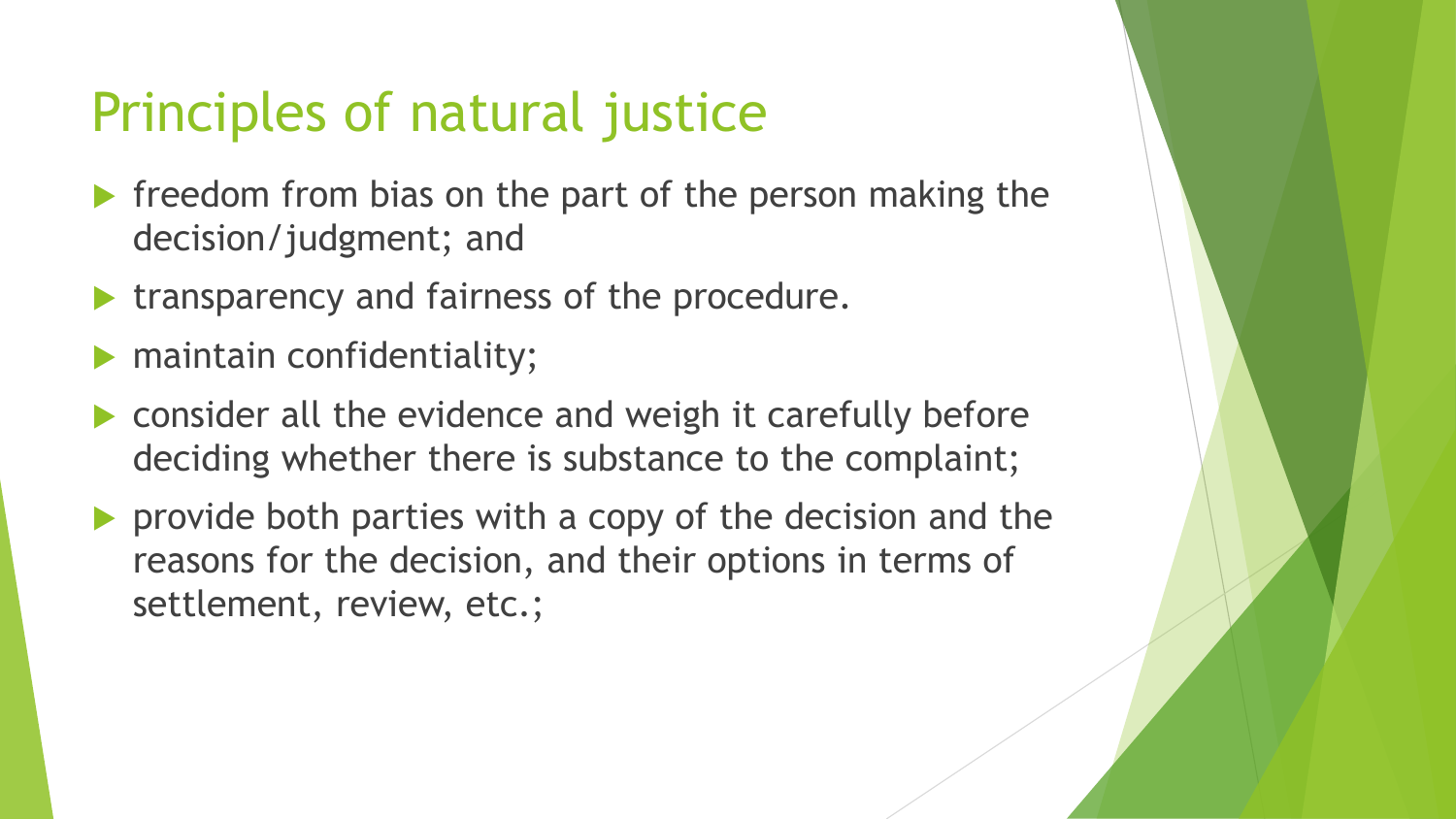### Principles of natural justice

- $\blacktriangleright$  freedom from bias on the part of the person making the decision/judgment; and
- transparency and fairness of the procedure.
- maintain confidentiality;
- consider all the evidence and weigh it carefully before deciding whether there is substance to the complaint;
- provide both parties with a copy of the decision and the reasons for the decision, and their options in terms of settlement, review, etc.;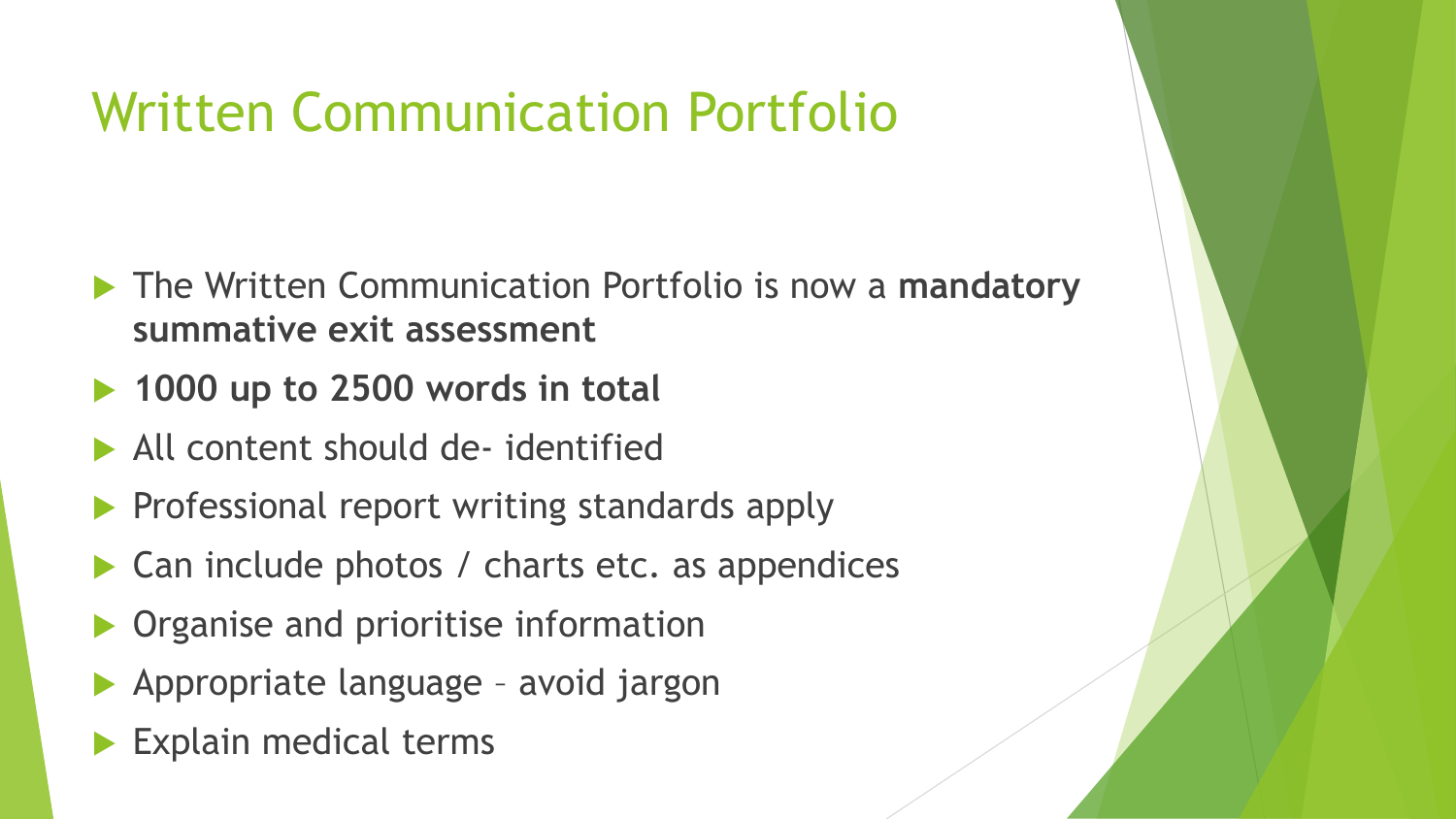### Written Communication Portfolio

- The Written Communication Portfolio is now a **mandatory summative exit assessment**
- **► 1000 up to 2500 words in total**
- All content should de- identified
- Professional report writing standards apply
- Can include photos / charts etc. as appendices
- Organise and prioritise information
- Appropriate language avoid jargon
- Explain medical terms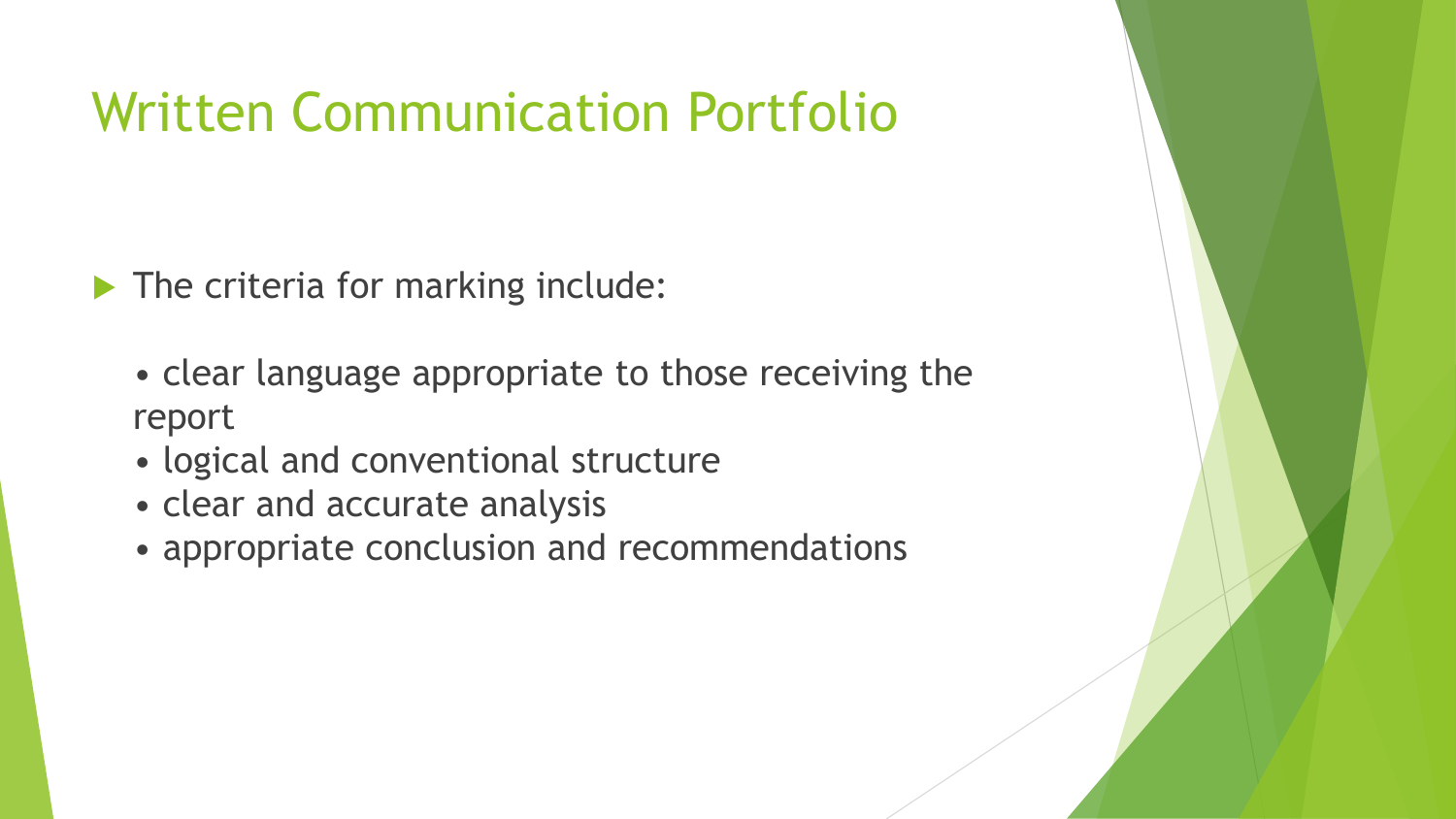### Written Communication Portfolio

The criteria for marking include:

- clear language appropriate to those receiving the report
- logical and conventional structure
- clear and accurate analysis
- appropriate conclusion and recommendations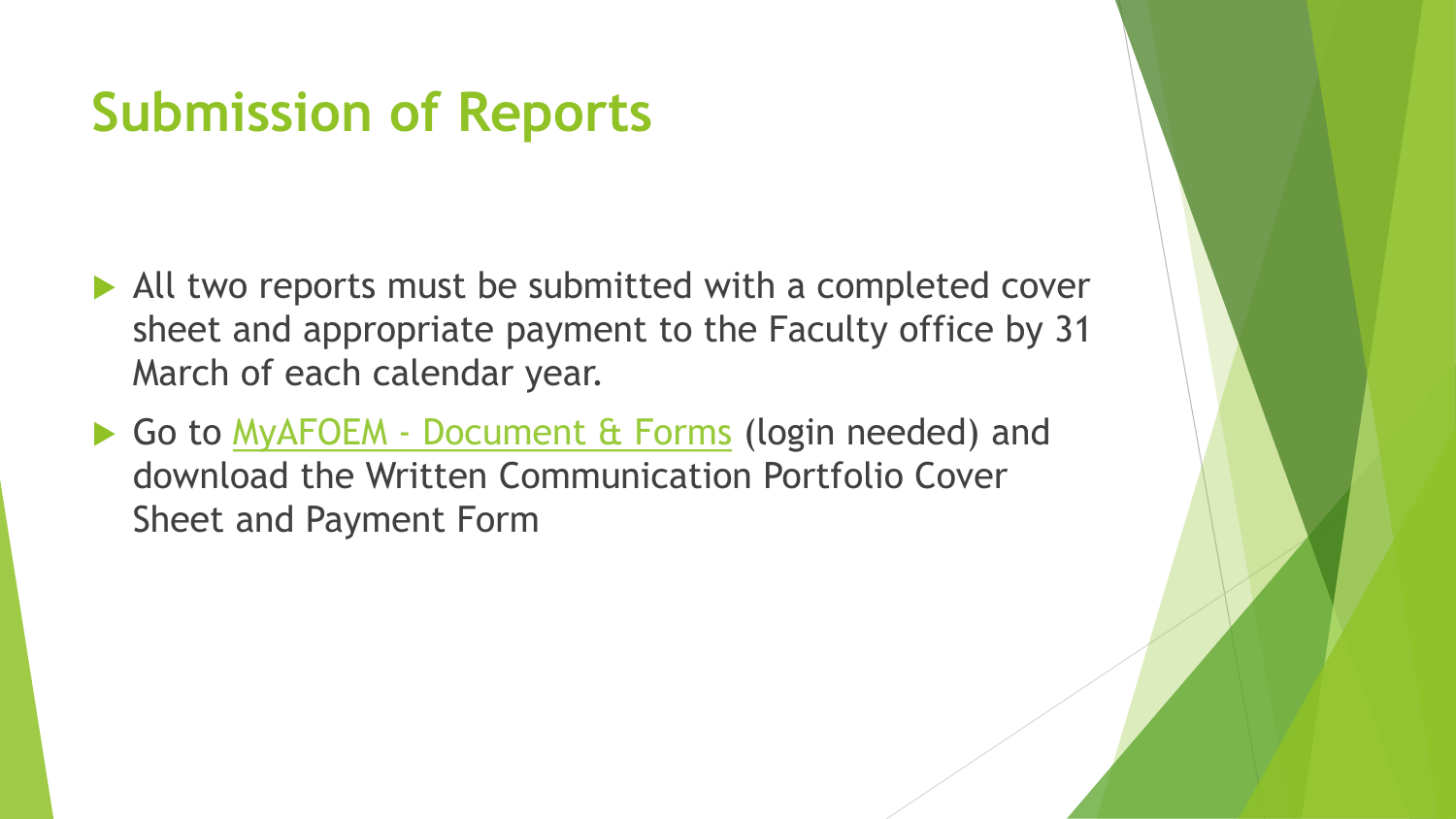### **Submission of Reports**

- All two reports must be submitted with a completed cover sheet and appropriate payment to the Faculty office by 31 March of each calendar year.
- Go to MyAFOEM [Document & Forms](http://www.racp.org.nz/page/afoem-documents-forms) (login needed) and download the Written Communication Portfolio Cover Sheet and Payment Form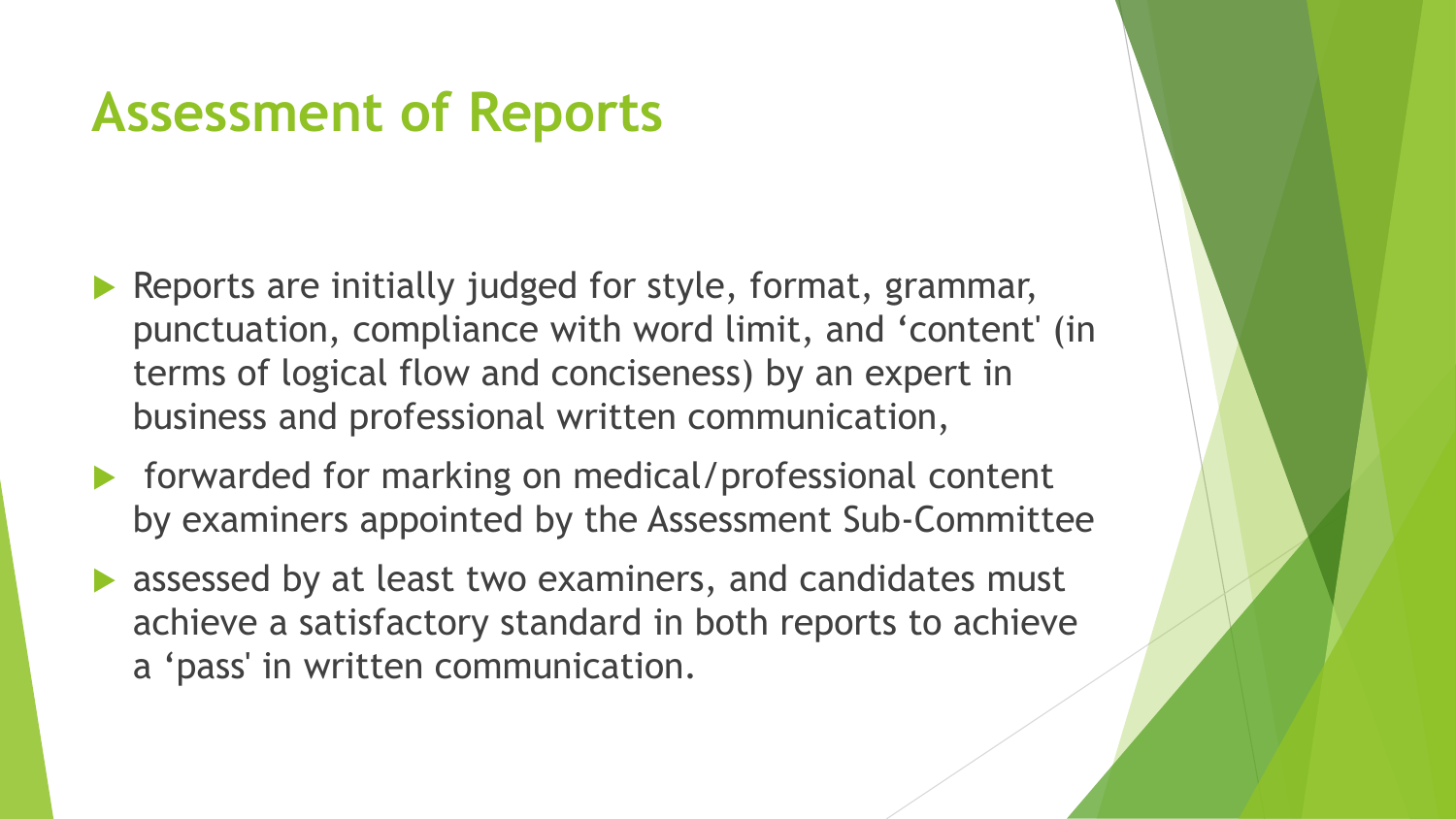### **Assessment of Reports**

- Reports are initially judged for style, format, grammar, punctuation, compliance with word limit, and 'content' (in terms of logical flow and conciseness) by an expert in business and professional written communication,
- ▶ forwarded for marking on medical/professional content by examiners appointed by the Assessment Sub-Committee
- **A assessed by at least two examiners, and candidates must** achieve a satisfactory standard in both reports to achieve a 'pass' in written communication.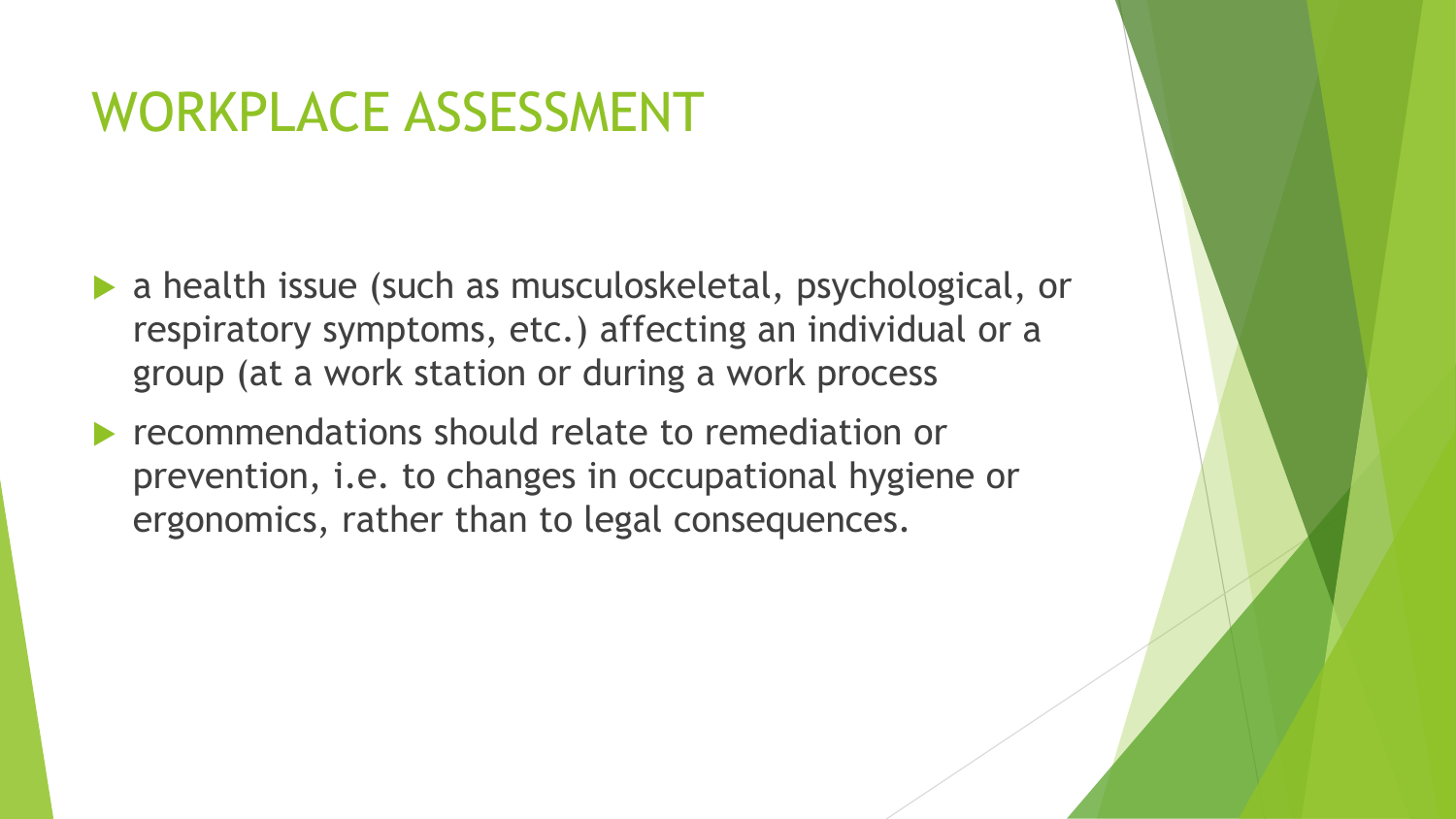### WORKPLACE ASSESSMENT

- a health issue (such as musculoskeletal, psychological, or respiratory symptoms, etc.) affecting an individual or a group (at a work station or during a work process
- **Performally recommendations should relate to remediation or** prevention, i.e. to changes in occupational hygiene or ergonomics, rather than to legal consequences.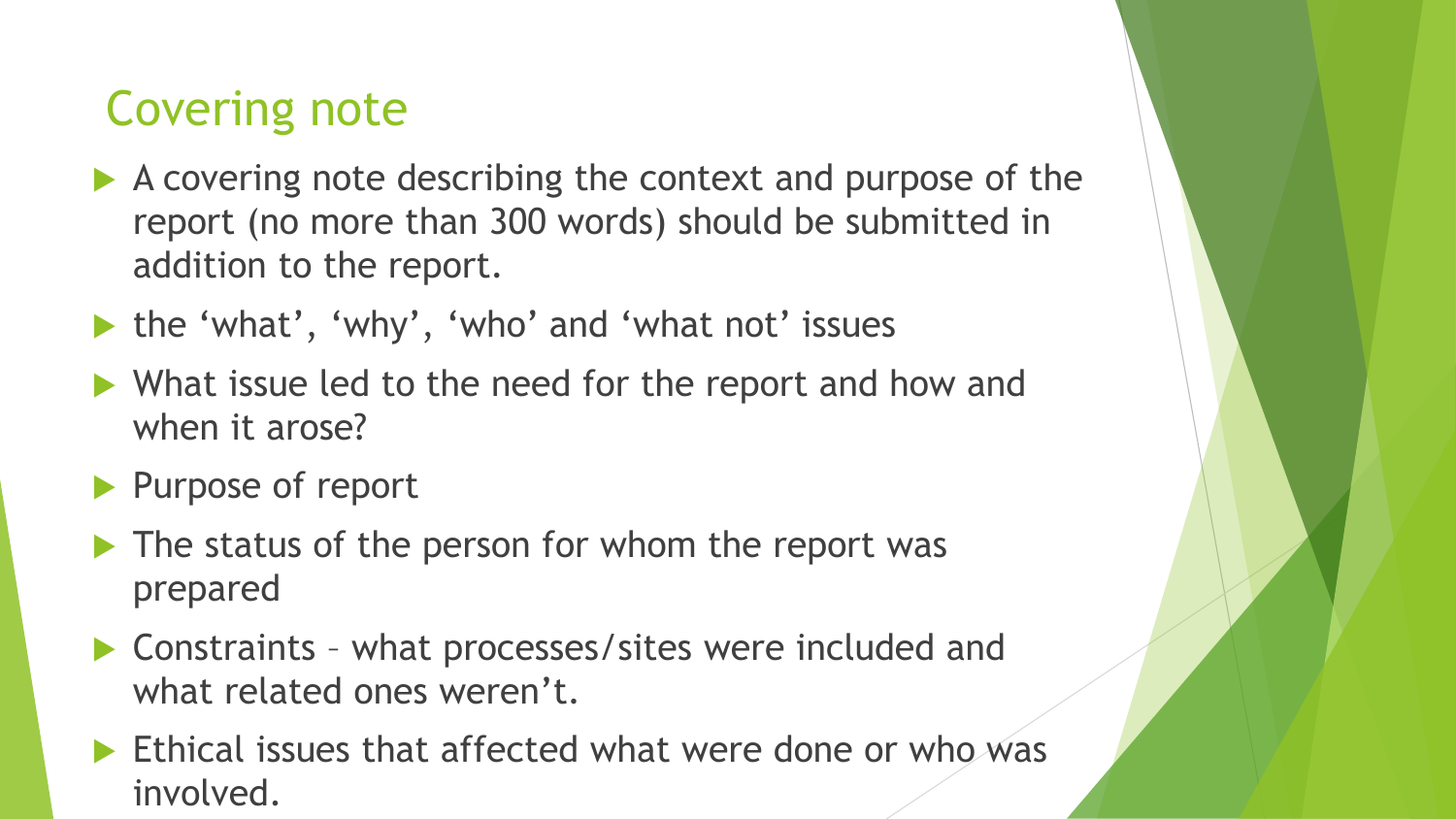#### Covering note

- A covering note describing the context and purpose of the report (no more than 300 words) should be submitted in addition to the report.
- ▶ the 'what', 'why', 'who' and 'what not' issues
- ▶ What issue led to the need for the report and how and when it arose?
- Purpose of report
- $\blacktriangleright$  The status of the person for whom the report was prepared
- ▶ Constraints what processes/sites were included and what related ones weren't.
- $\blacktriangleright$  Ethical issues that affected what were done or who was involved.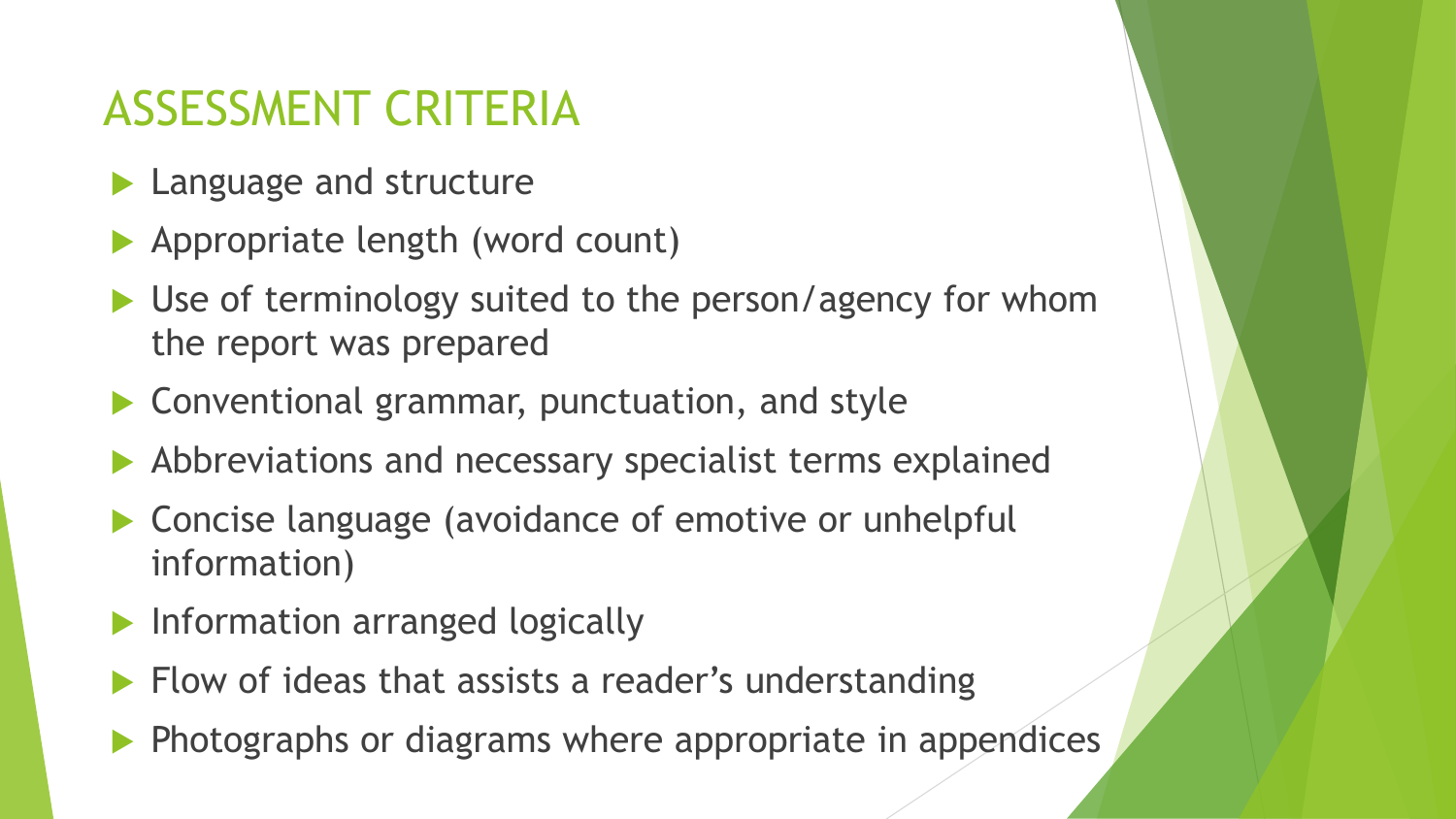#### ASSESSMENT CRITERIA

- **Language and structure**
- Appropriate length (word count)
- ▶ Use of terminology suited to the person/agency for whom the report was prepared
- ▶ Conventional grammar, punctuation, and style
- Abbreviations and necessary specialist terms explained
- ▶ Concise language (avoidance of emotive or unhelpful information)
- Information arranged logically
- $\blacktriangleright$  Flow of ideas that assists a reader's understanding
- $\blacktriangleright$  Photographs or diagrams where appropriate in appendices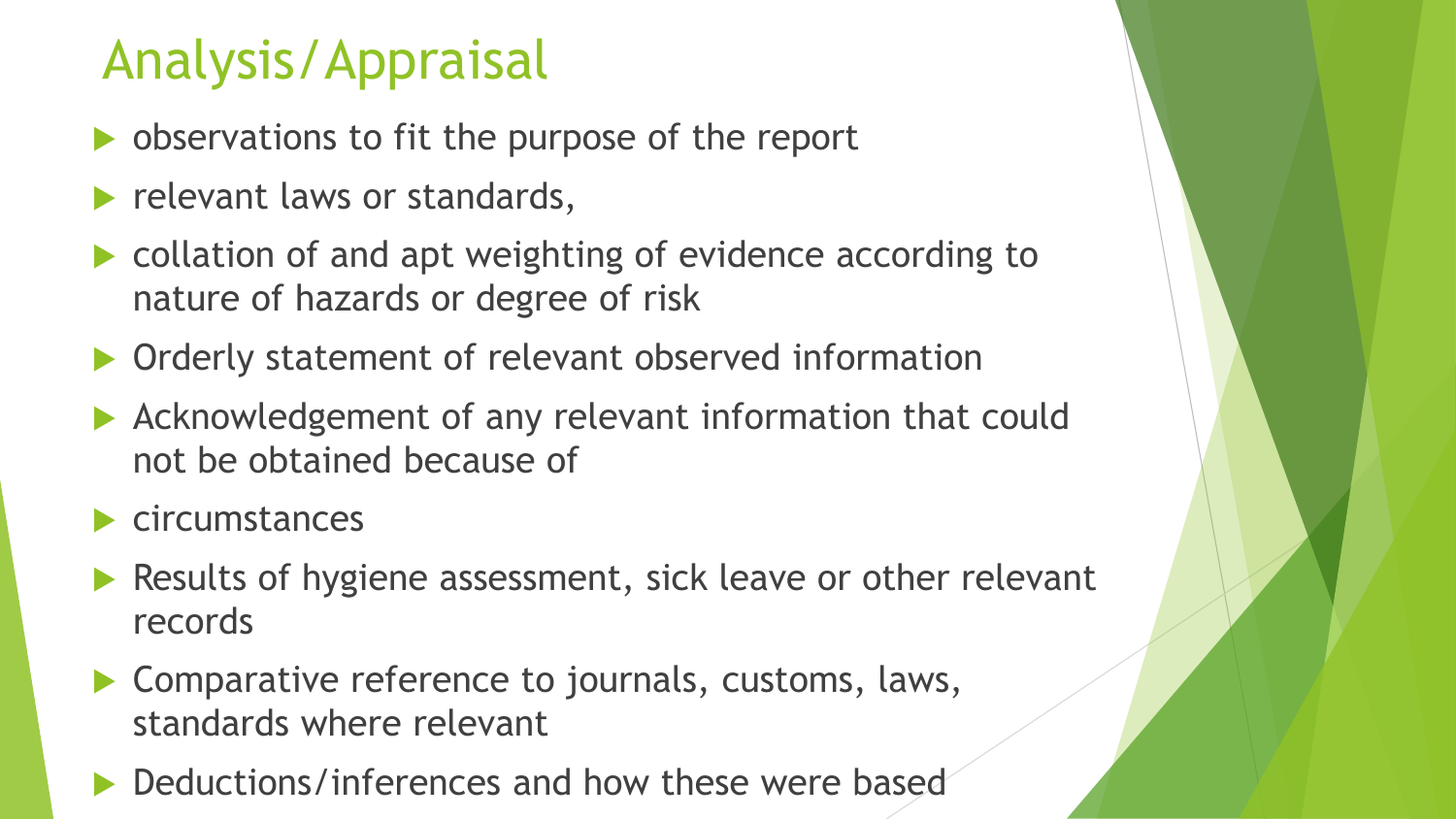### Analysis/Appraisal

- **b** observations to fit the purpose of the report
- relevant laws or standards,
- collation of and apt weighting of evidence according to nature of hazards or degree of risk
- **Orderly statement of relevant observed information**
- Acknowledgement of any relevant information that could not be obtained because of
- circumstances
- Results of hygiene assessment, sick leave or other relevant records
- ▶ Comparative reference to journals, customs, laws, standards where relevant
- Deductions/inferences and how these were based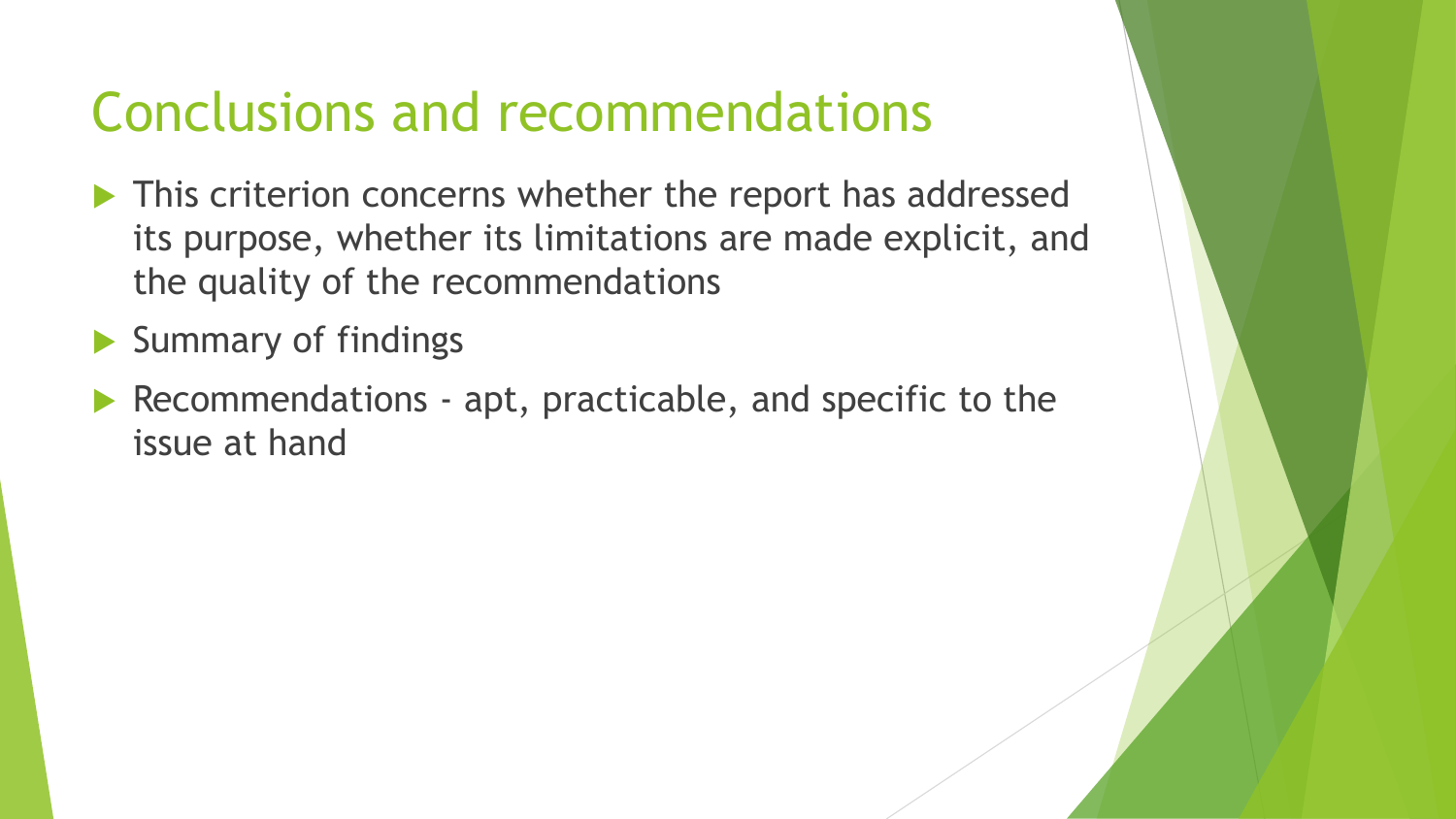### Conclusions and recommendations

- This criterion concerns whether the report has addressed its purpose, whether its limitations are made explicit, and the quality of the recommendations
- Summary of findings
- Recommendations apt, practicable, and specific to the issue at hand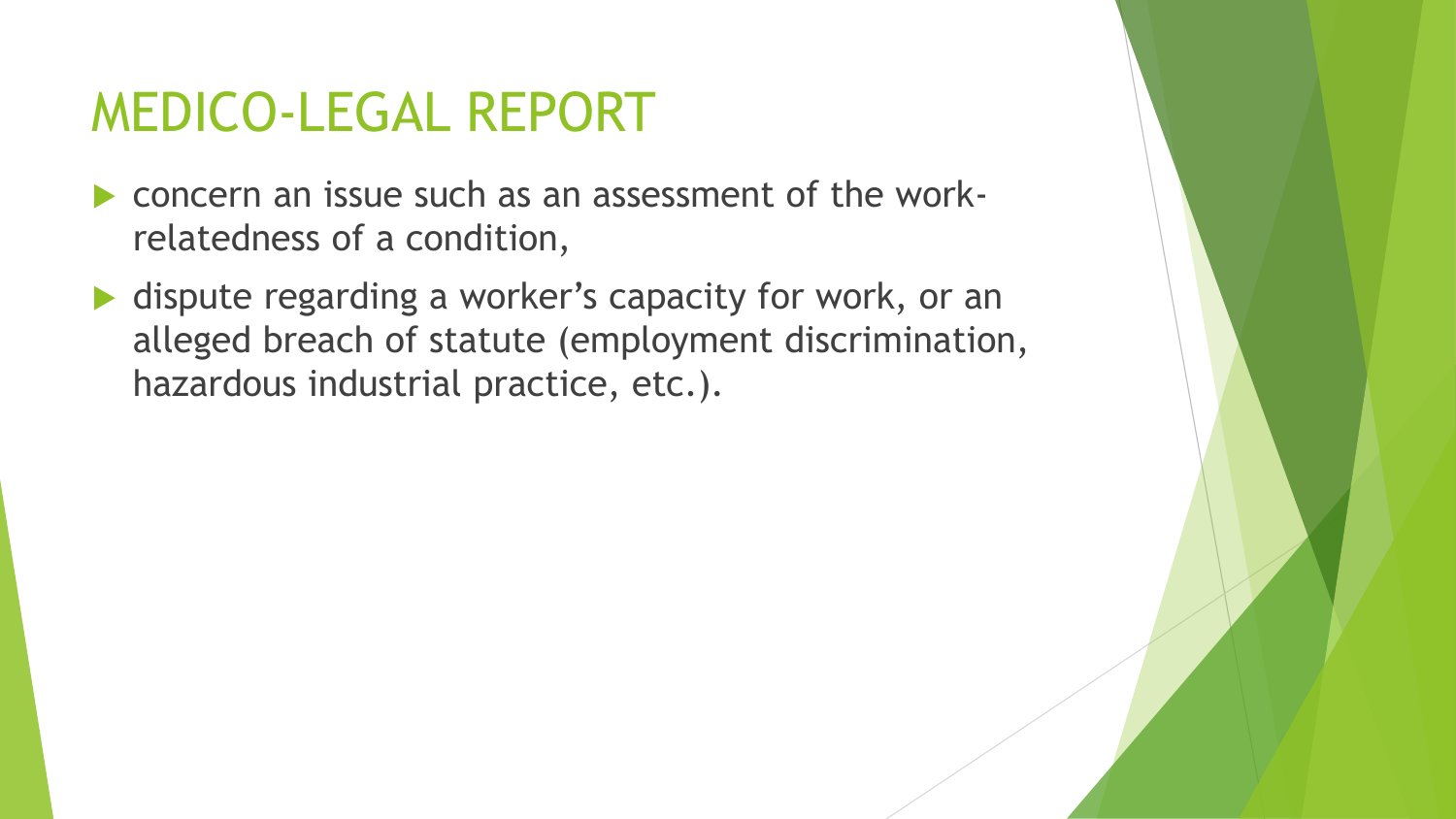### MEDICO-LEGAL REPORT

- concern an issue such as an assessment of the workrelatedness of a condition,
- ▶ dispute regarding a worker's capacity for work, or an alleged breach of statute (employment discrimination, hazardous industrial practice, etc.).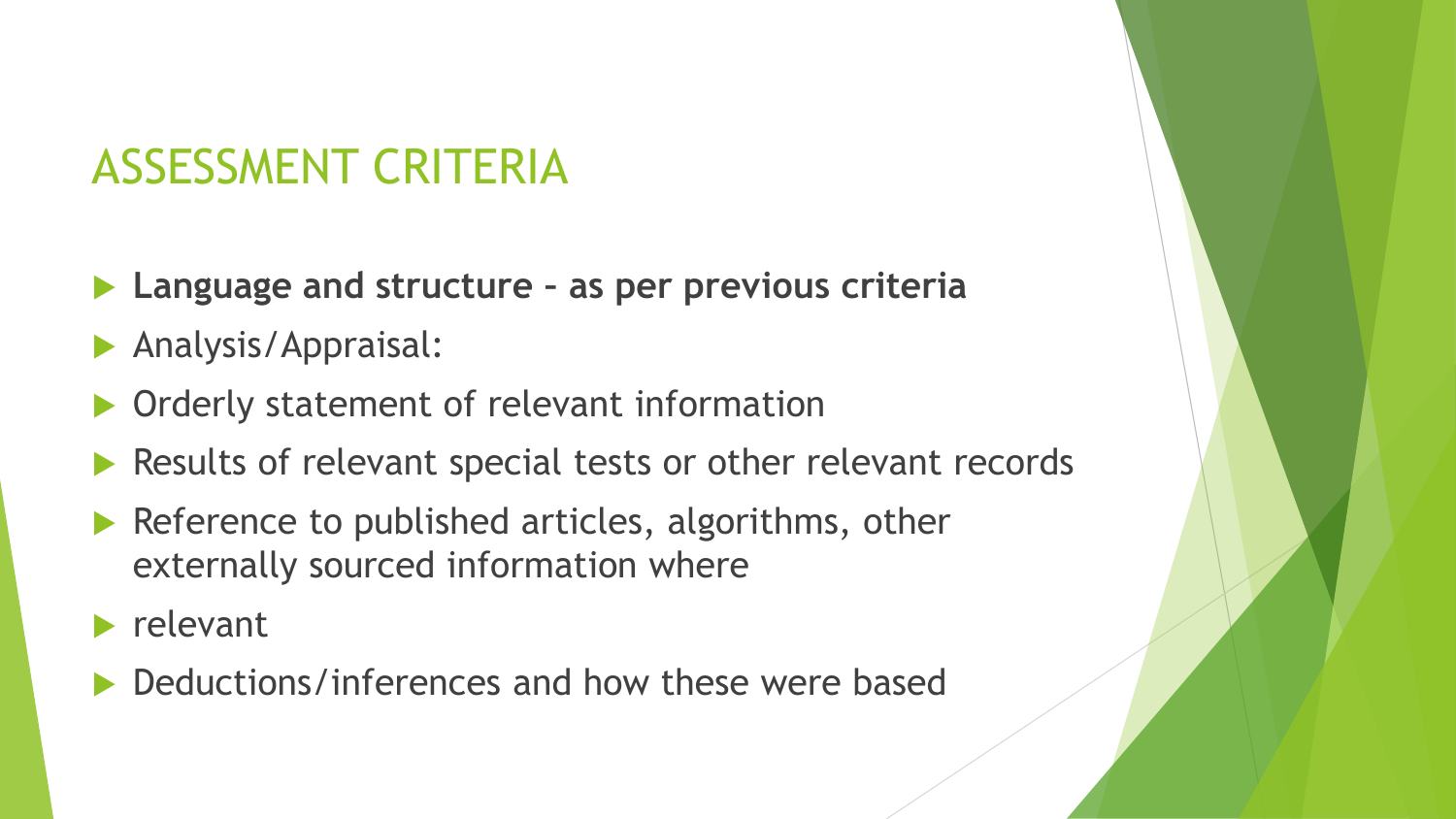#### ASSESSMENT CRITERIA

- **Language and structure – as per previous criteria**
- **Analysis/Appraisal:**
- Orderly statement of relevant information
- Results of relevant special tests or other relevant records
- Reference to published articles, algorithms, other externally sourced information where
- $\blacktriangleright$  relevant
- Deductions/inferences and how these were based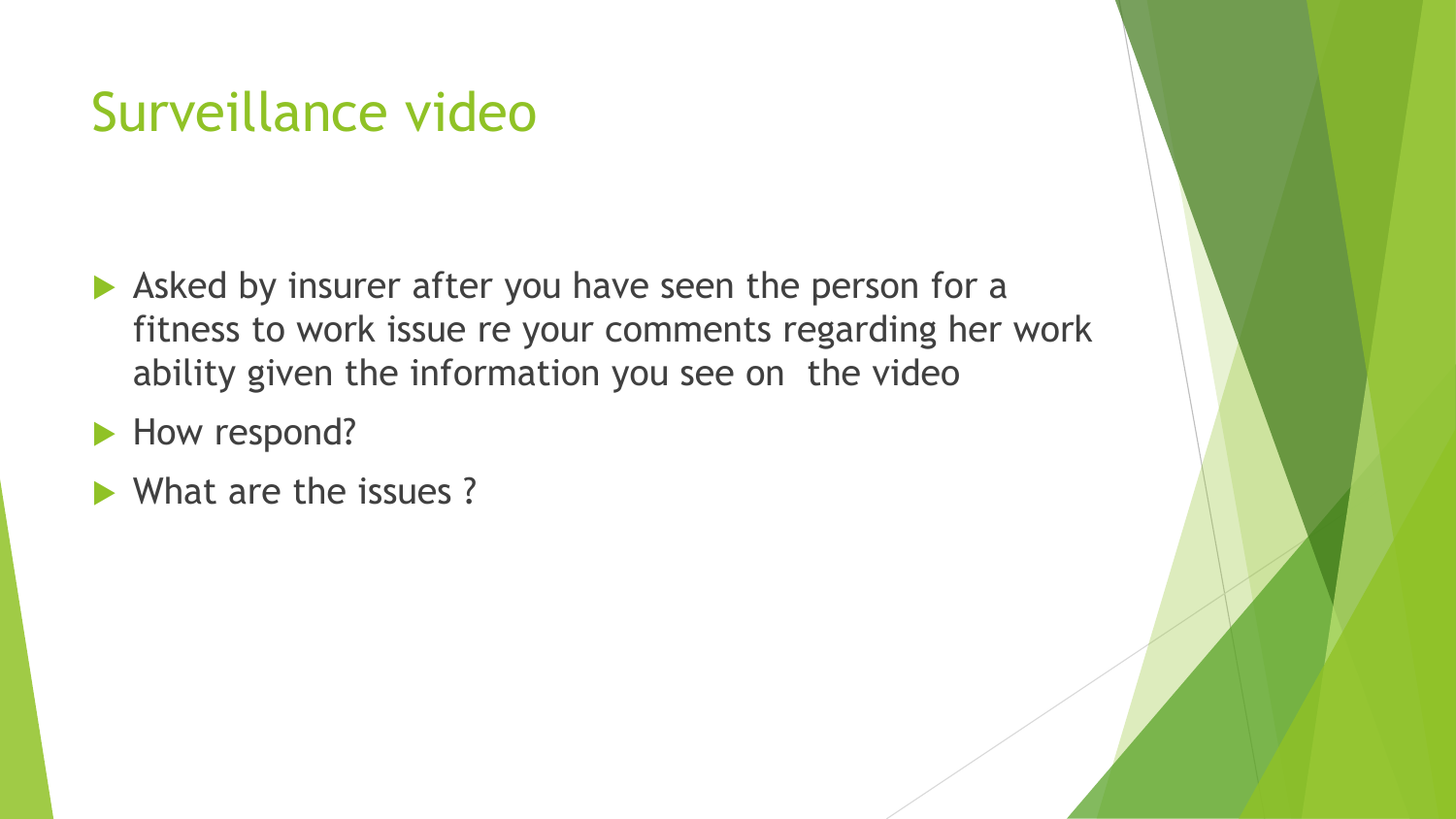### Surveillance video

- Asked by insurer after you have seen the person for a fitness to work issue re your comments regarding her work ability given the information you see on the video
- How respond?
- What are the issues?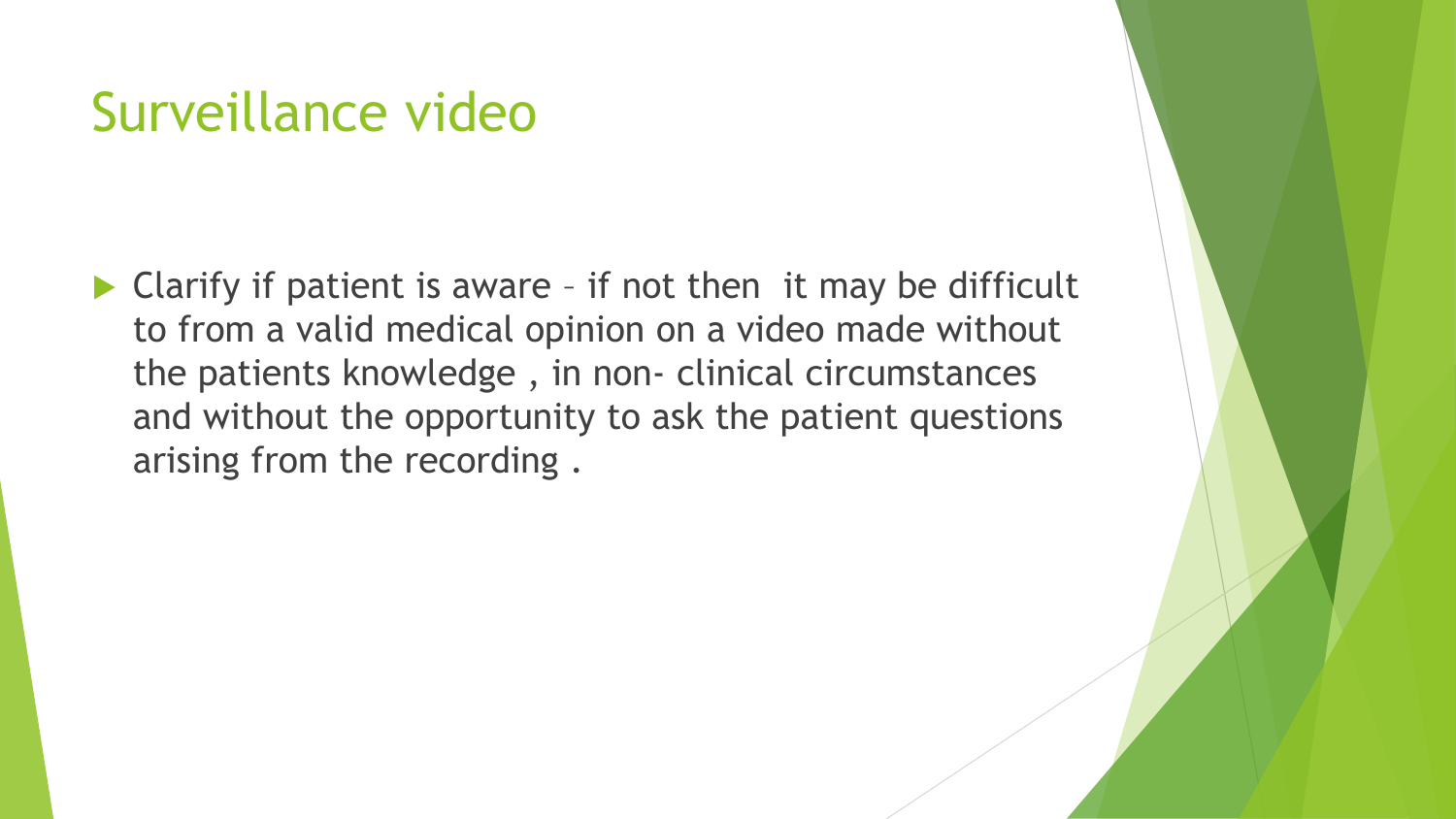### Surveillance video

 $\blacktriangleright$  Clarify if patient is aware - if not then it may be difficult to from a valid medical opinion on a video made without the patients knowledge , in non- clinical circumstances and without the opportunity to ask the patient questions arising from the recording .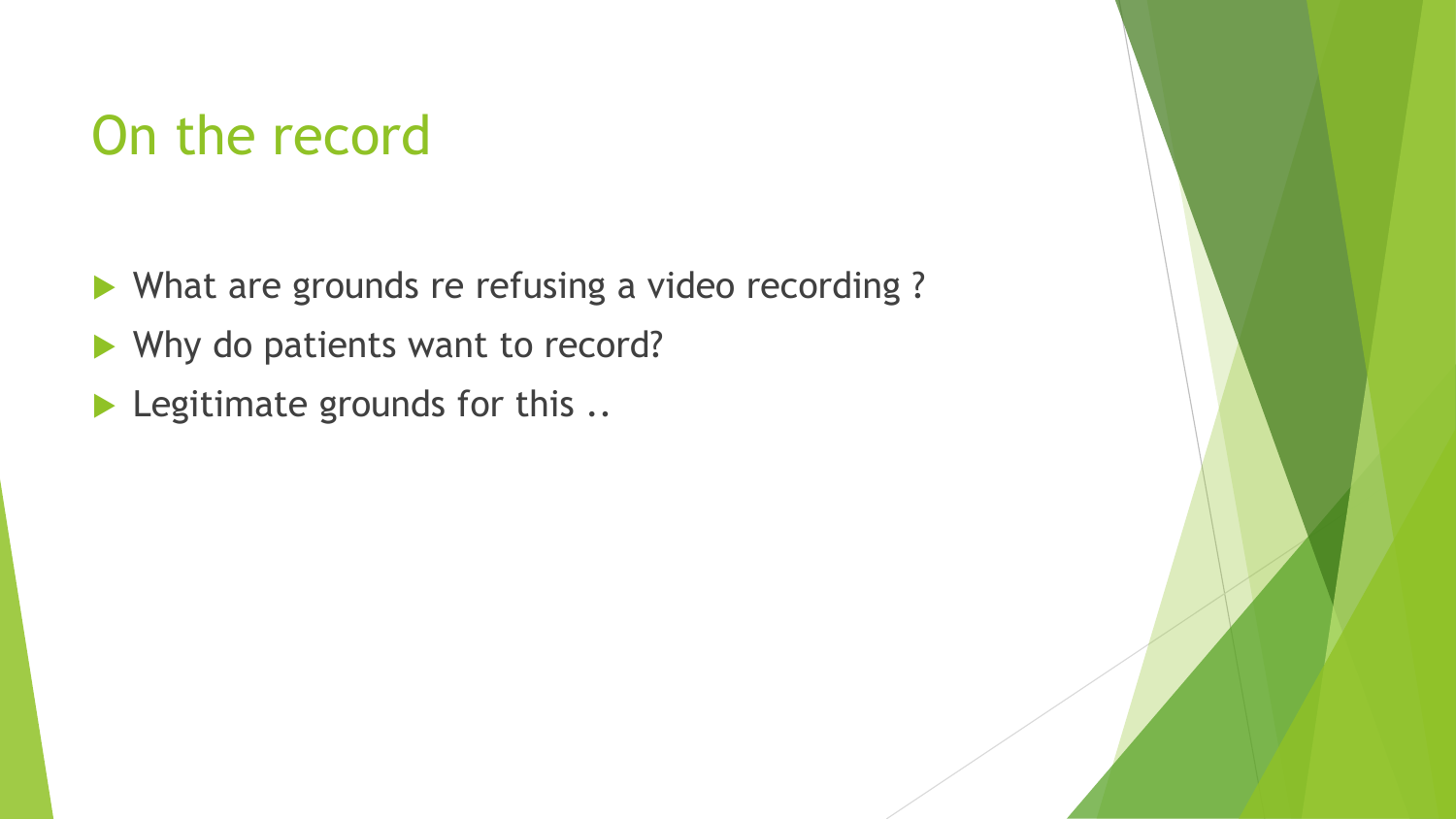### On the record

- What are grounds re refusing a video recording?
- Why do patients want to record?
- Legitimate grounds for this ..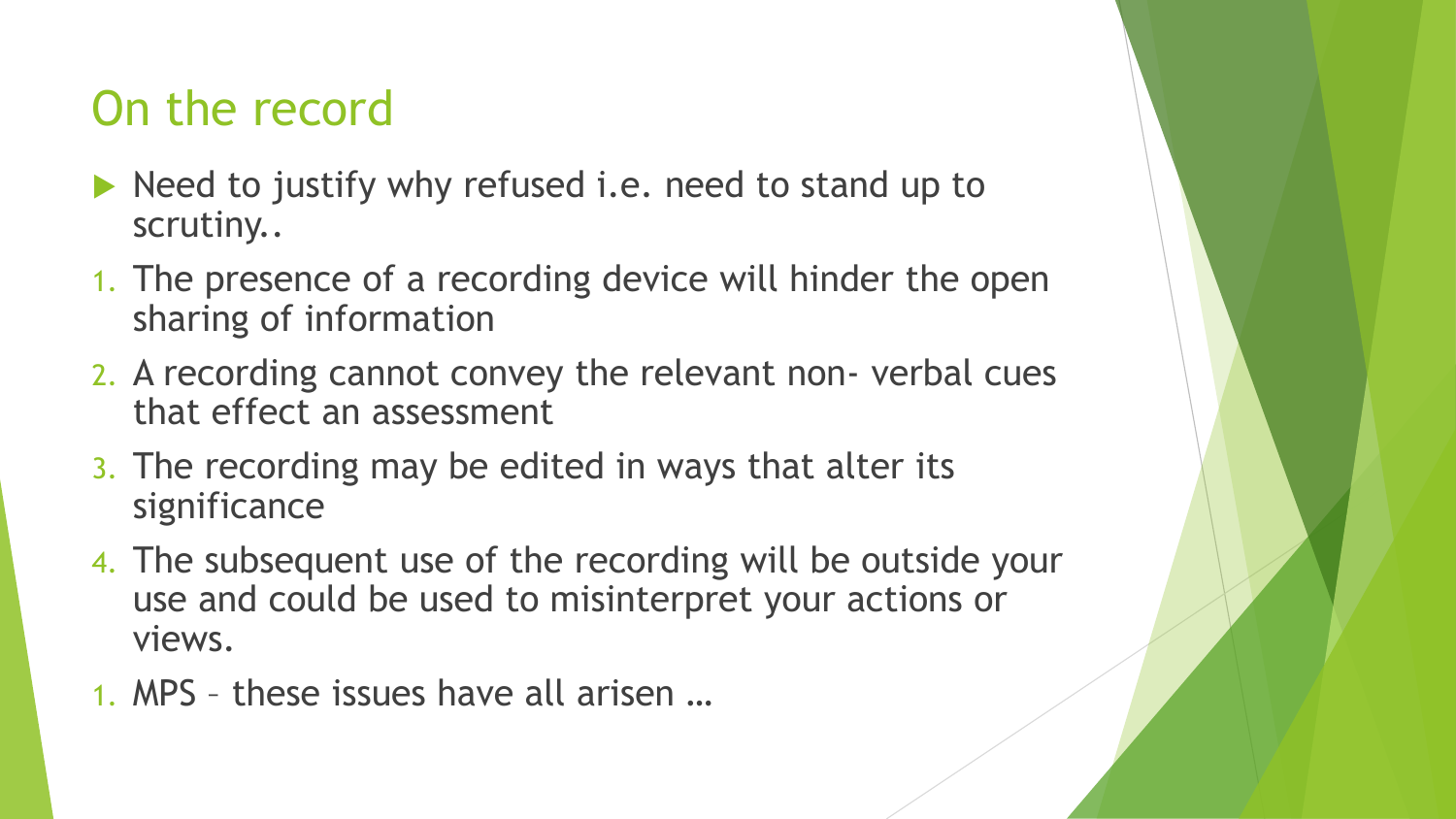#### On the record

- $\blacktriangleright$  Need to justify why refused i.e. need to stand up to scrutiny..
- 1. The presence of a recording device will hinder the open sharing of information
- 2. A recording cannot convey the relevant non- verbal cues that effect an assessment
- 3. The recording may be edited in ways that alter its significance
- 4. The subsequent use of the recording will be outside your use and could be used to misinterpret your actions or views.
- 1. MPS these issues have all arisen …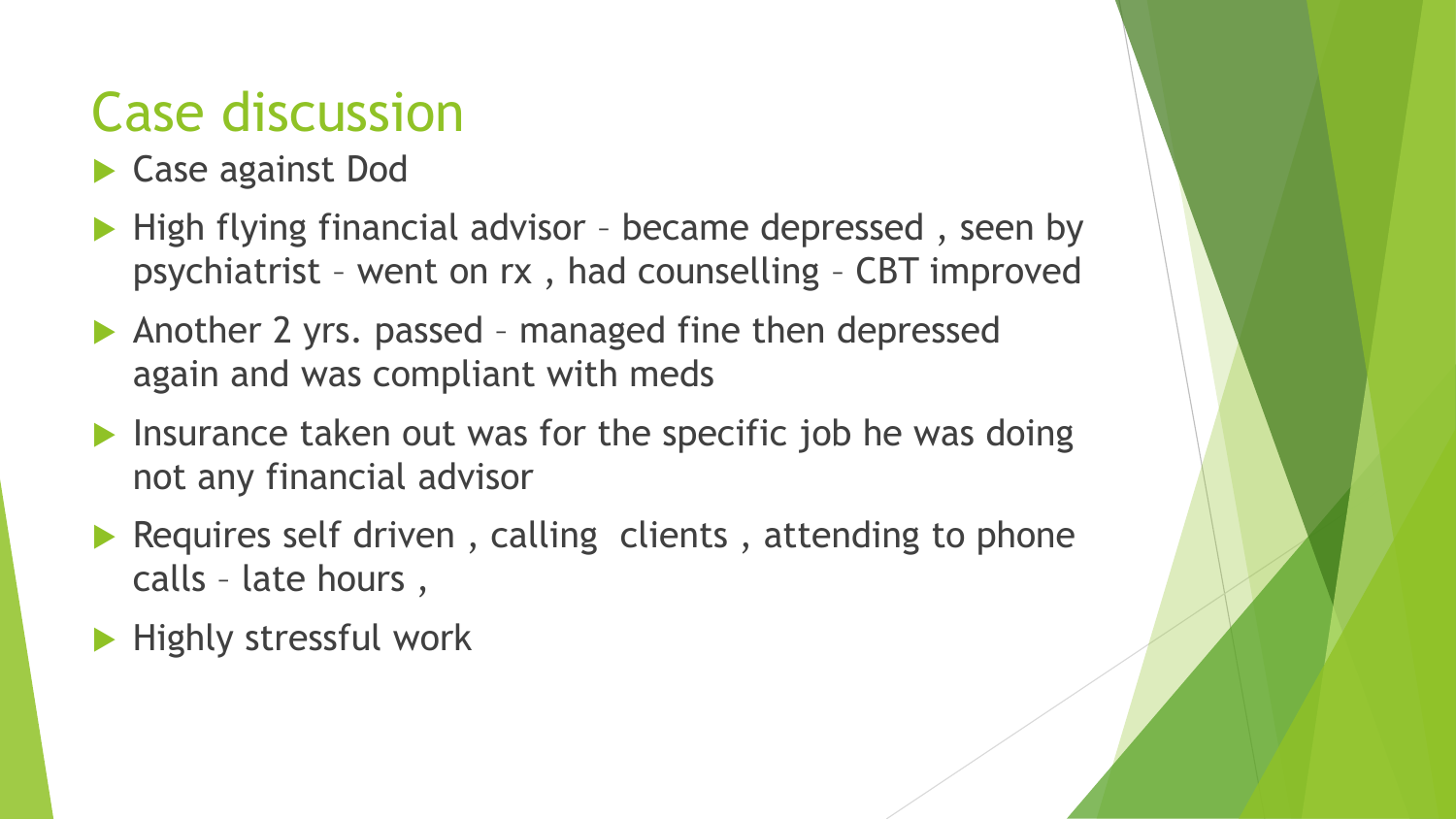### Case discussion

- ▶ Case against Dod
- $\blacktriangleright$  High flying financial advisor became depressed, seen by psychiatrist – went on rx , had counselling – CBT improved
- Another 2 yrs. passed managed fine then depressed again and was compliant with meds
- $\blacktriangleright$  Insurance taken out was for the specific job he was doing not any financial advisor
- Requires self driven, calling clients, attending to phone calls – late hours ,
- $\blacktriangleright$  Highly stressful work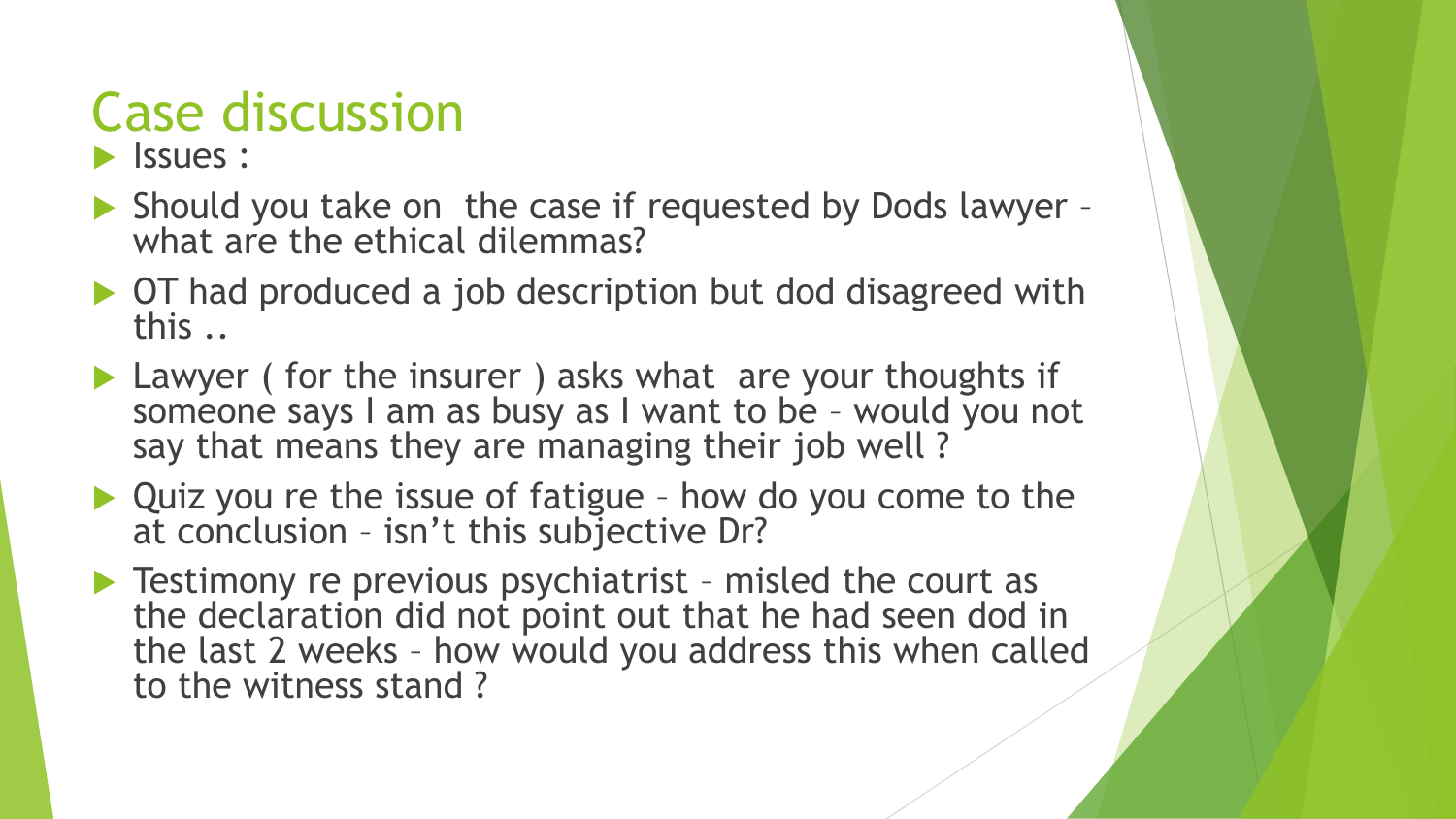# Case discussion

#### **I**ssues :

- Should you take on the case if requested by Dods lawyer what are the ethical dilemmas?
- ▶ OT had produced a job description but dod disagreed with this ..
- ▶ Lawyer ( for the insurer ) asks what are your thoughts if someone says I am as busy as I want to be – would you not say that means they are managing their job well?
- ▶ Quiz you re the issue of fatigue how do you come to the at conclusion – isn't this subjective Dr?
- ▶ Testimony re previous psychiatrist misled the court as the declaration did not point out that he had seen dod in the last 2 weeks – how would you address this when called to the witness stand ?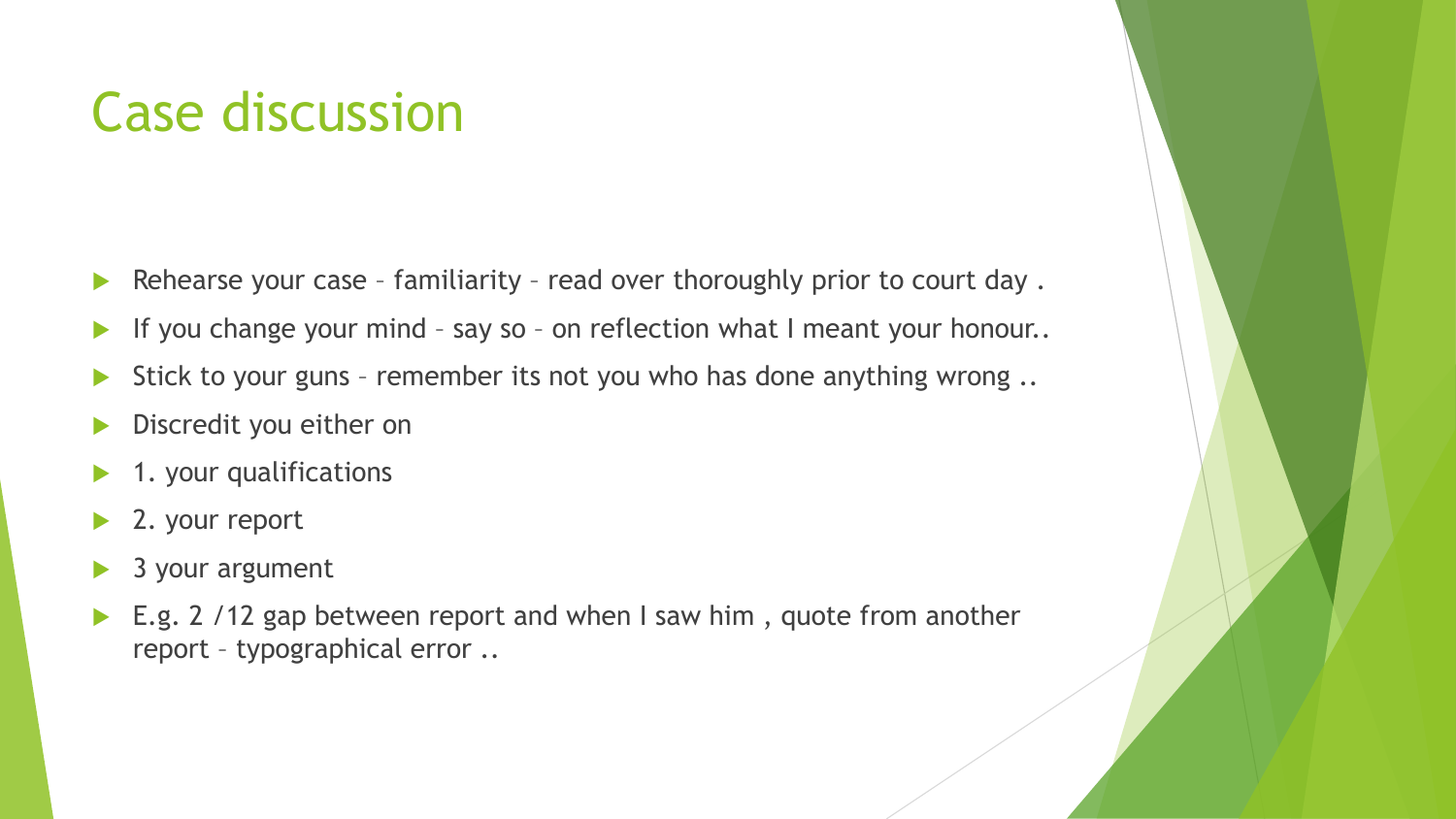### Case discussion

- Rehearse your case familiarity read over thoroughly prior to court day.
- If you change your mind say so on reflection what I meant your honour..
- Stick to your guns remember its not you who has done anything wrong ..
- Discredit you either on
- 1. your qualifications
- ▶ 2. your report
- 3 your argument
- ▶ E.g. 2 /12 gap between report and when I saw him, quote from another report – typographical error ..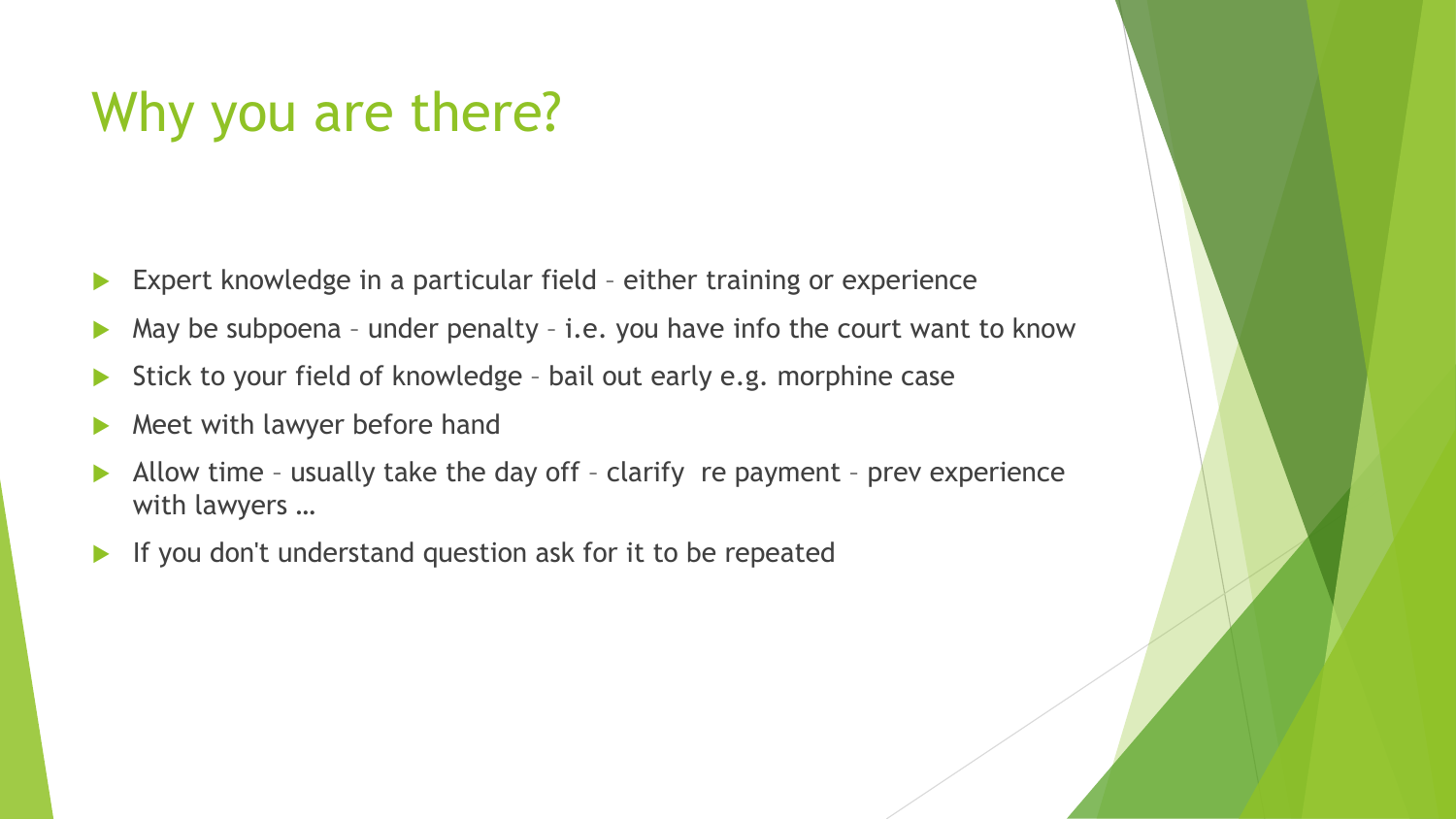### Why you are there?

- Expert knowledge in a particular field either training or experience
- May be subpoena under penalty i.e. you have info the court want to know
- Stick to your field of knowledge bail out early e.g. morphine case
- Meet with lawyer before hand
- Allow time usually take the day off clarify re payment prev experience with lawyers …
- If you don't understand question ask for it to be repeated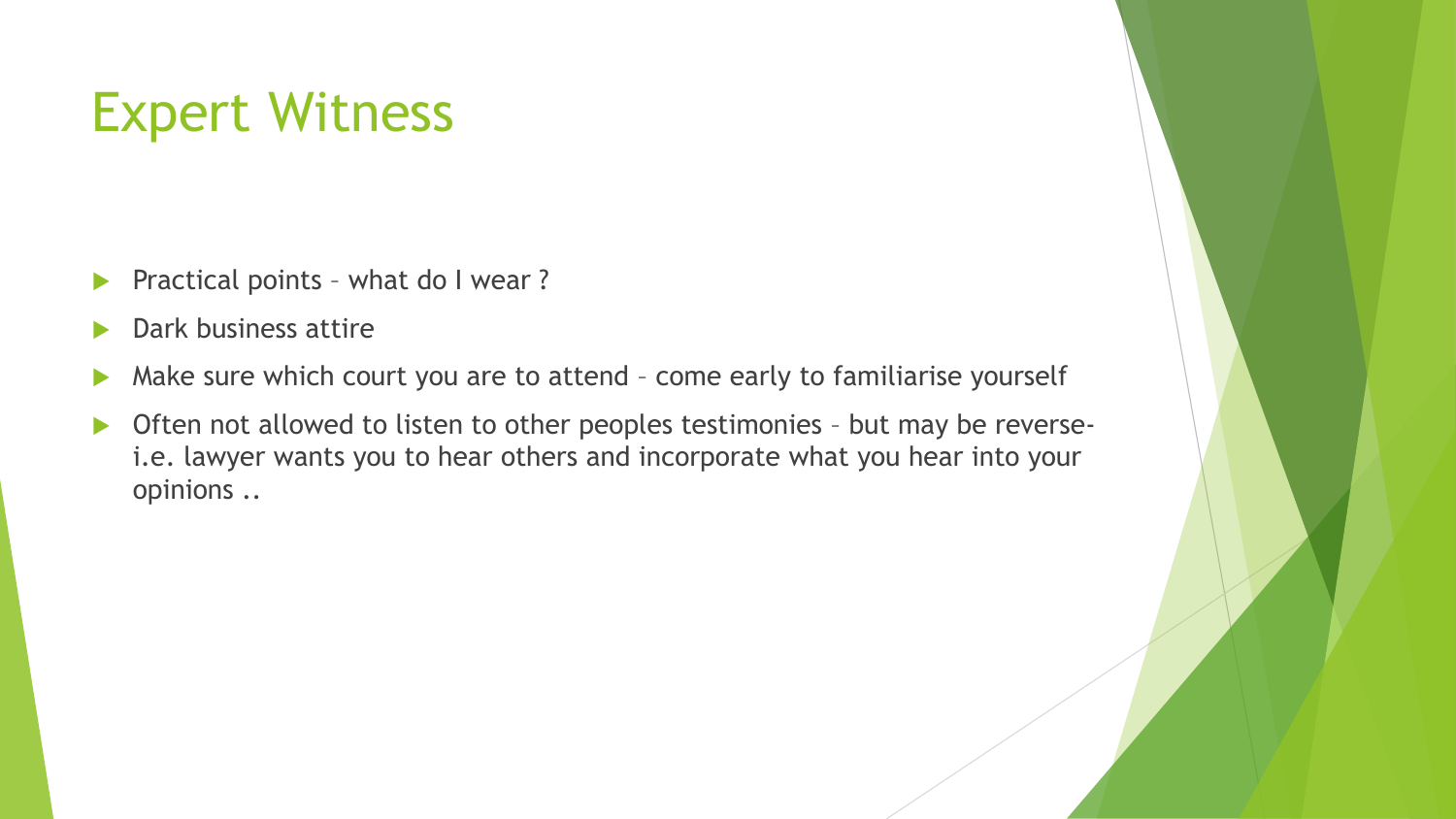### Expert Witness

- **Practical points what do I wear?**
- Dark business attire
- A Make sure which court you are to attend come early to familiarise yourself
- ▶ Often not allowed to listen to other peoples testimonies but may be reversei.e. lawyer wants you to hear others and incorporate what you hear into your opinions ..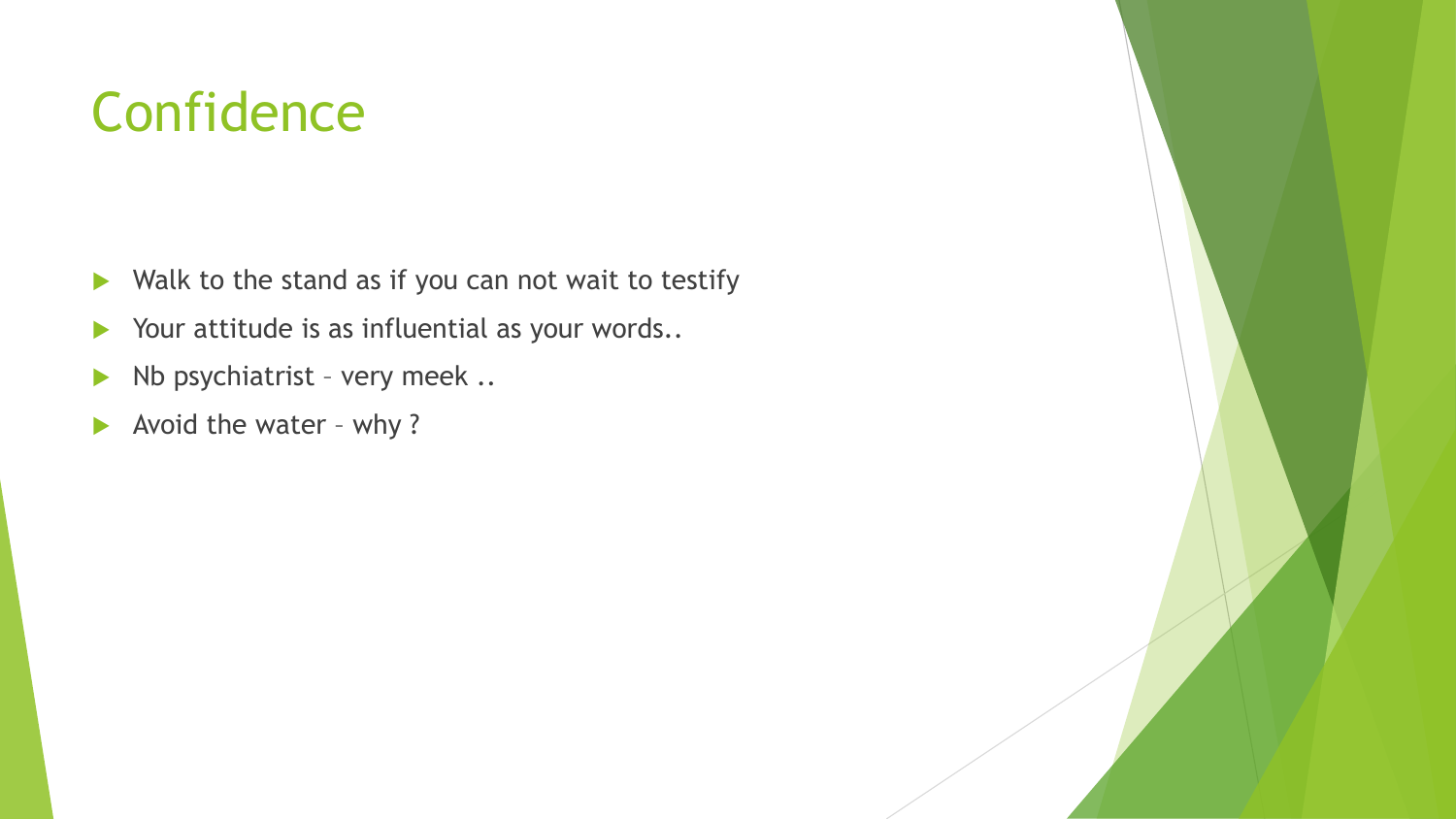### **Confidence**

- $\blacktriangleright$  Walk to the stand as if you can not wait to testify
- Your attitude is as influential as your words..
- $\blacktriangleright$  Nb psychiatrist very meek ..
- Avoid the water why?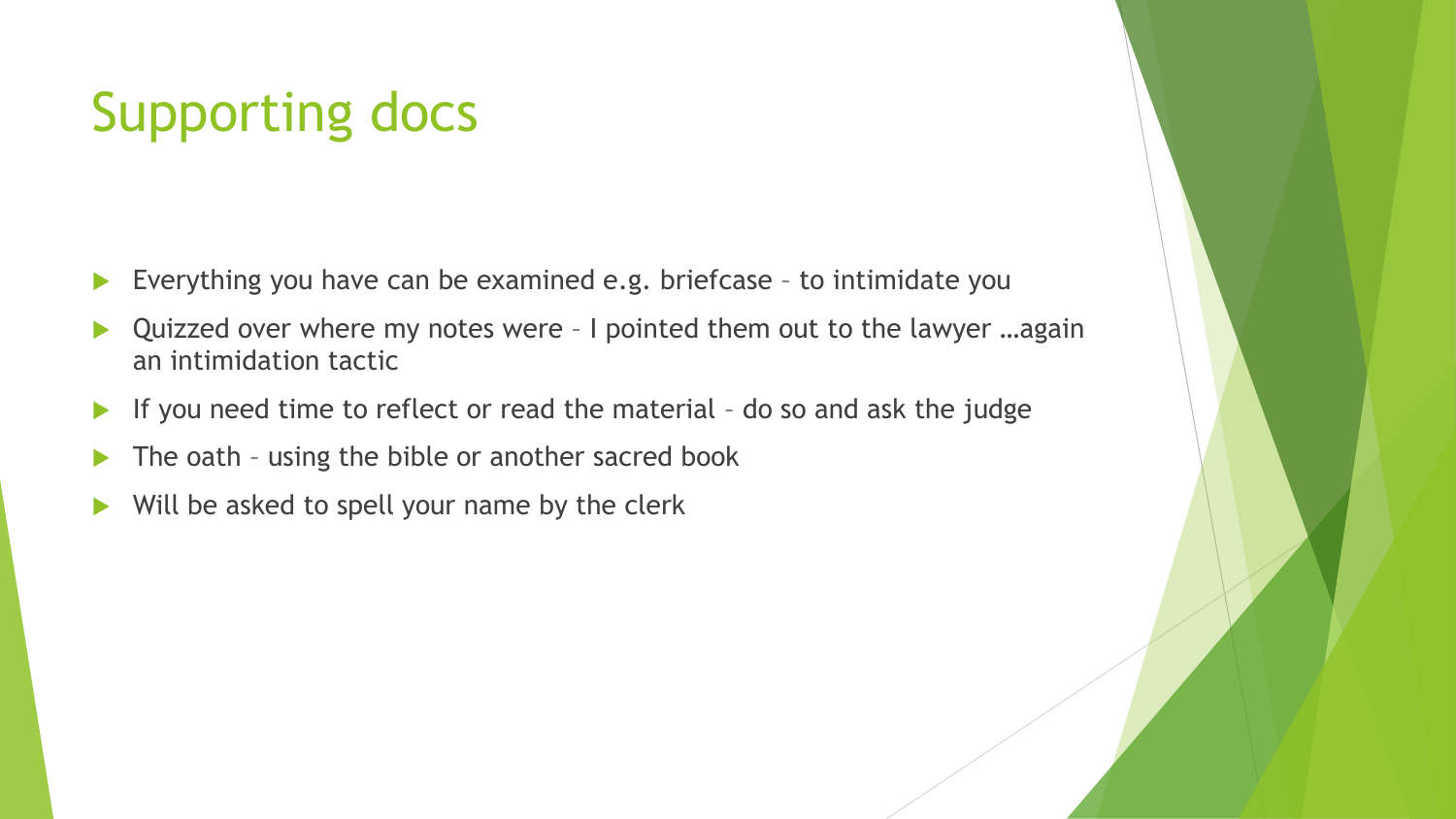## Supporting docs

- Everything you have can be examined e.g. briefcase to intimidate you
- Quizzed over where my notes were I pointed them out to the lawyer …again an intimidation tactic
- If you need time to reflect or read the material do so and ask the judge
- $\blacktriangleright$  The oath using the bible or another sacred book
- $\blacktriangleright$  Will be asked to spell your name by the clerk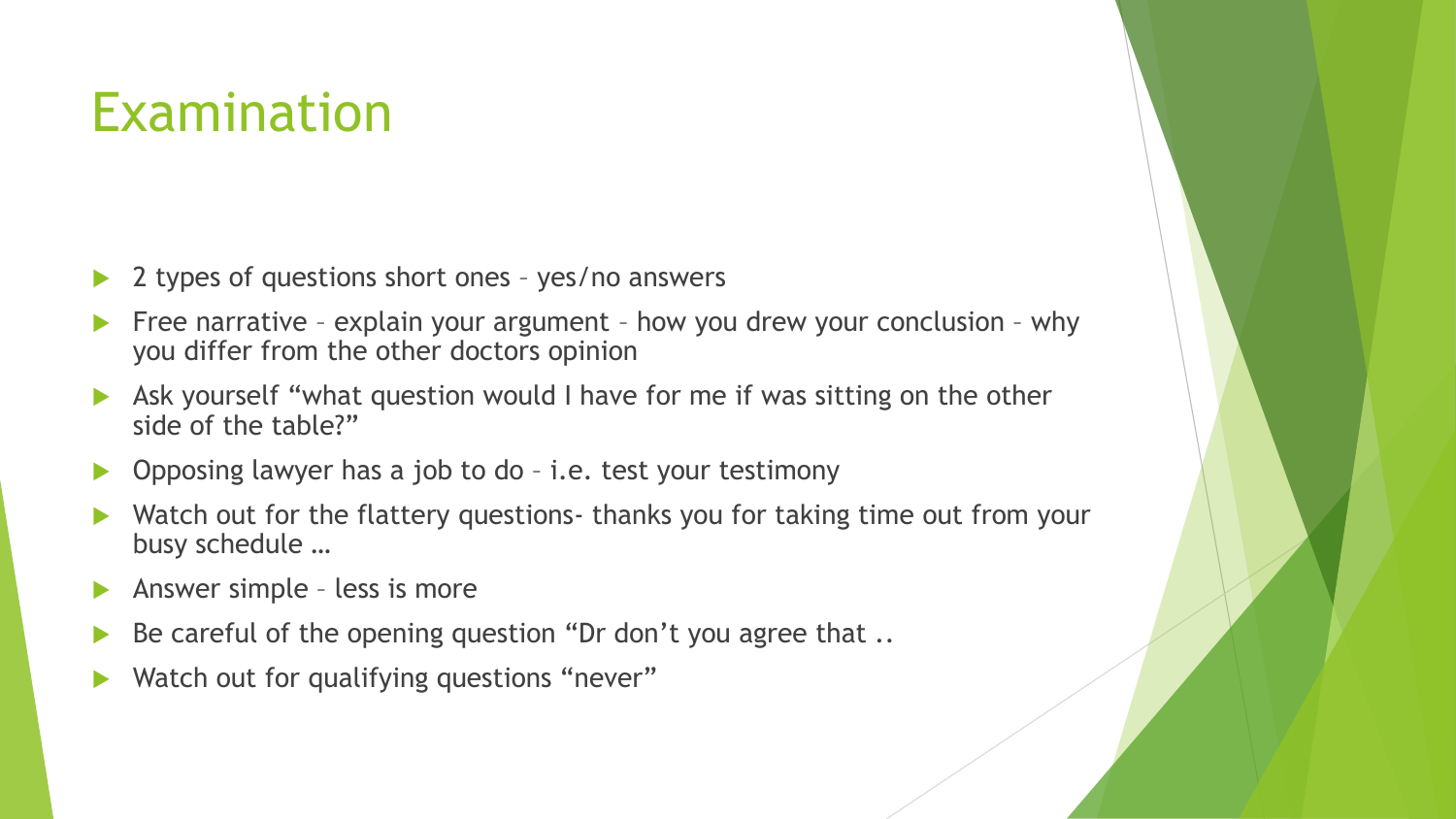### Examination

- 2 types of questions short ones yes/no answers
- Free narrative explain your argument how you drew your conclusion why you differ from the other doctors opinion
- Ask yourself "what question would I have for me if was sitting on the other side of the table?"
- ▶ Opposing lawyer has a job to do i.e. test your testimony
- Watch out for the flattery questions- thanks you for taking time out from your busy schedule …
- Answer simple less is more
- Be careful of the opening question "Dr don't you agree that ..
- Watch out for qualifying questions "never"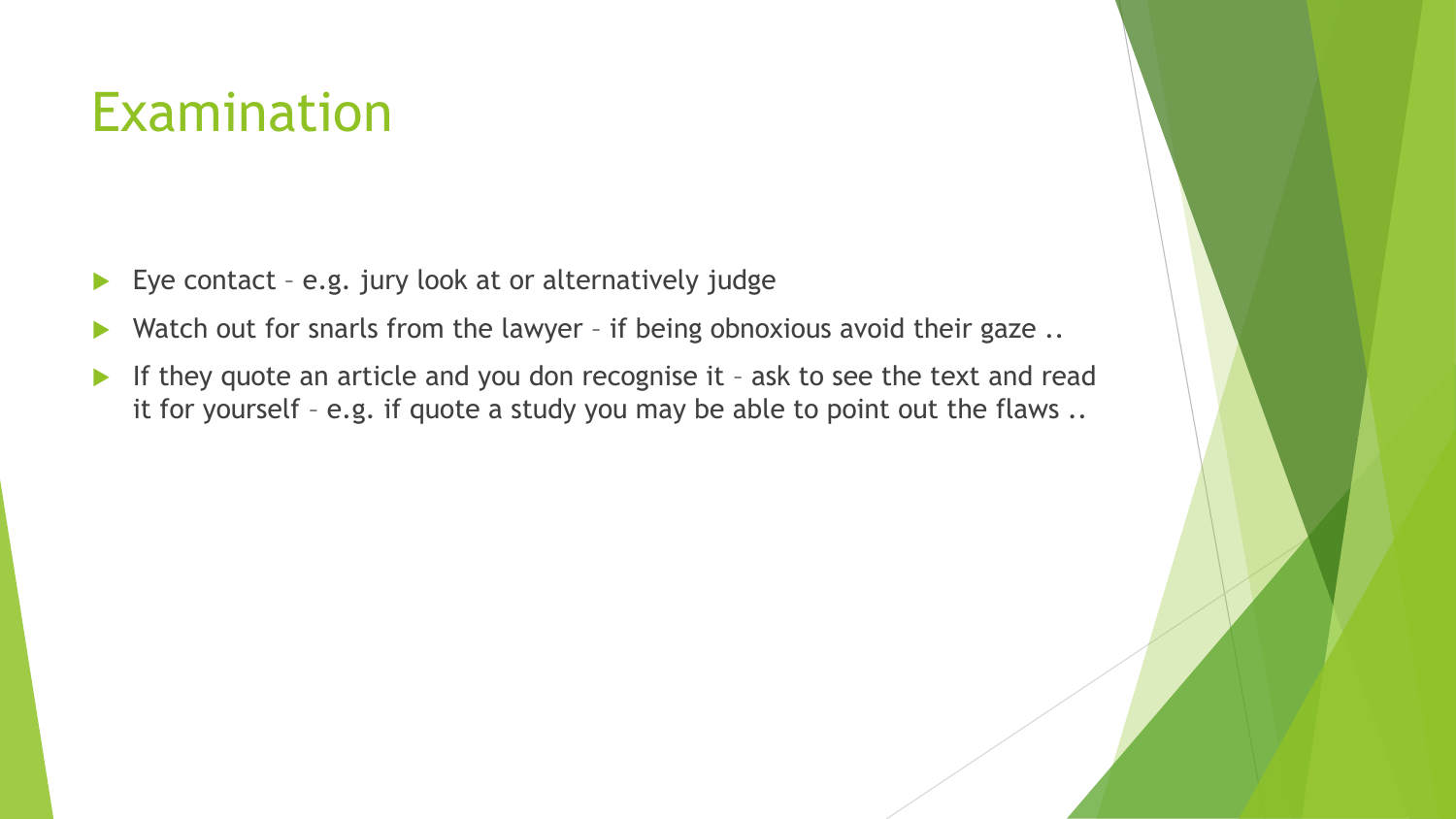### Examination

- Eye contact e.g. jury look at or alternatively judge
- Watch out for snarls from the lawyer if being obnoxious avoid their gaze ..
- If they quote an article and you don recognise it ask to see the text and read it for yourself – e.g. if quote a study you may be able to point out the flaws ..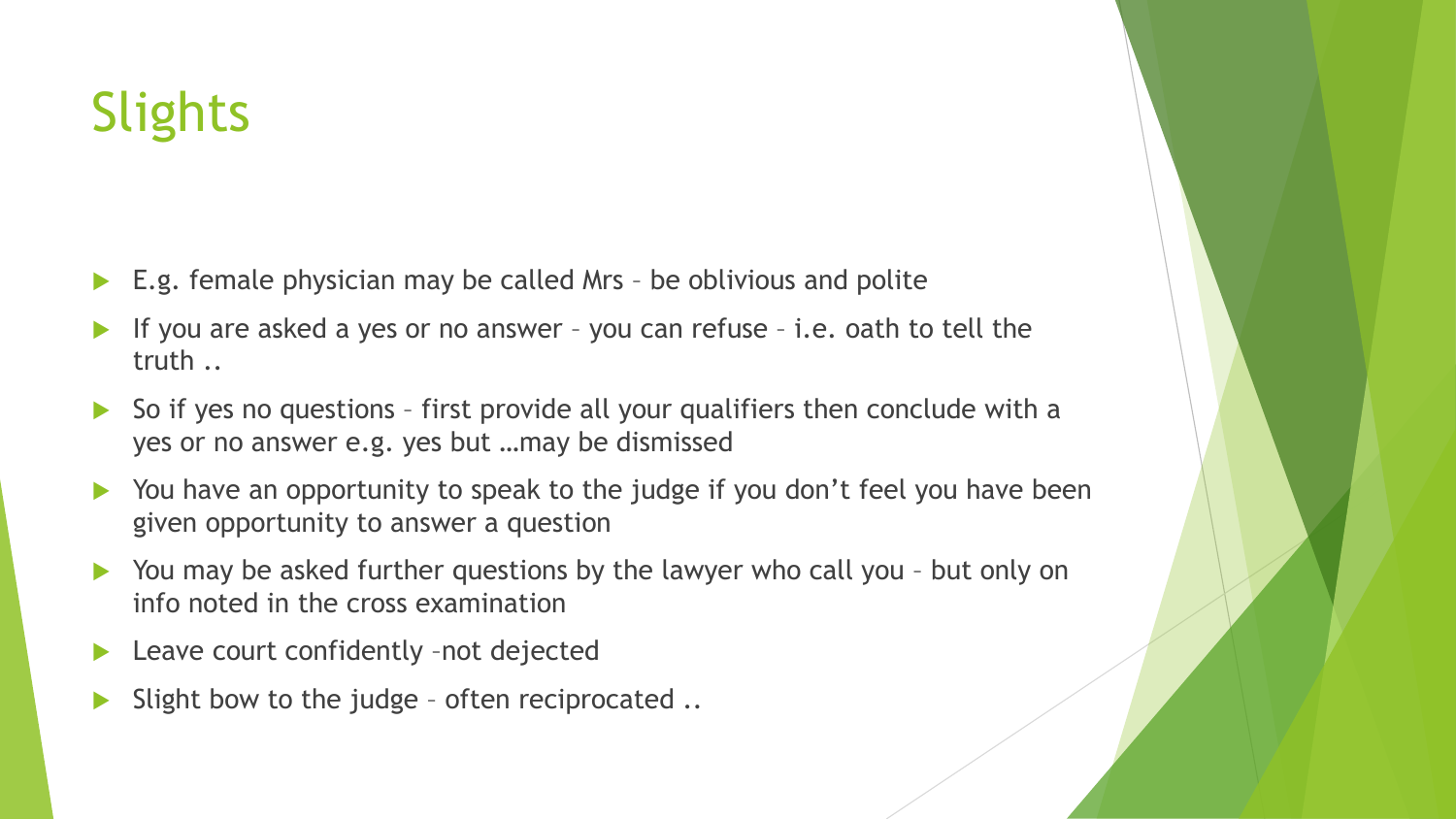### **Slights**

- E.g. female physician may be called Mrs be oblivious and polite
- If you are asked a yes or no answer you can refuse i.e. oath to tell the truth ..
- So if yes no questions first provide all your qualifiers then conclude with a yes or no answer e.g. yes but …may be dismissed
- You have an opportunity to speak to the judge if you don't feel you have been given opportunity to answer a question
- ▶ You may be asked further questions by the lawyer who call you but only on info noted in the cross examination
- ▶ Leave court confidently -not dejected
- Slight bow to the judge often reciprocated ..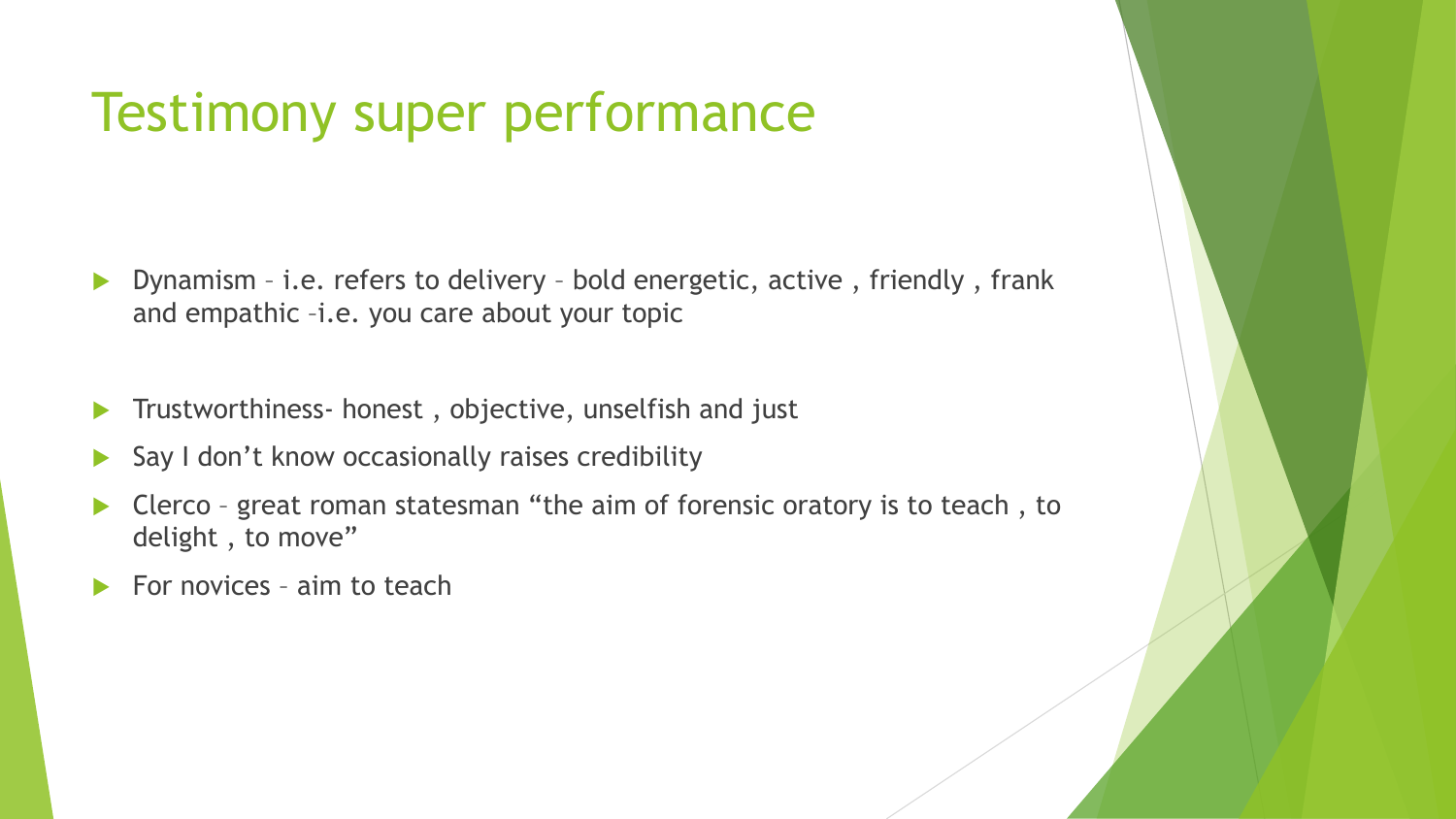### Testimony super performance

- ▶ Dynamism i.e. refers to delivery bold energetic, active, friendly, frank and empathic –i.e. you care about your topic
- Trustworthiness- honest , objective, unselfish and just
- $\triangleright$  Say I don't know occasionally raises credibility
- Clerco great roman statesman "the aim of forensic oratory is to teach , to delight, to move"
- For novices aim to teach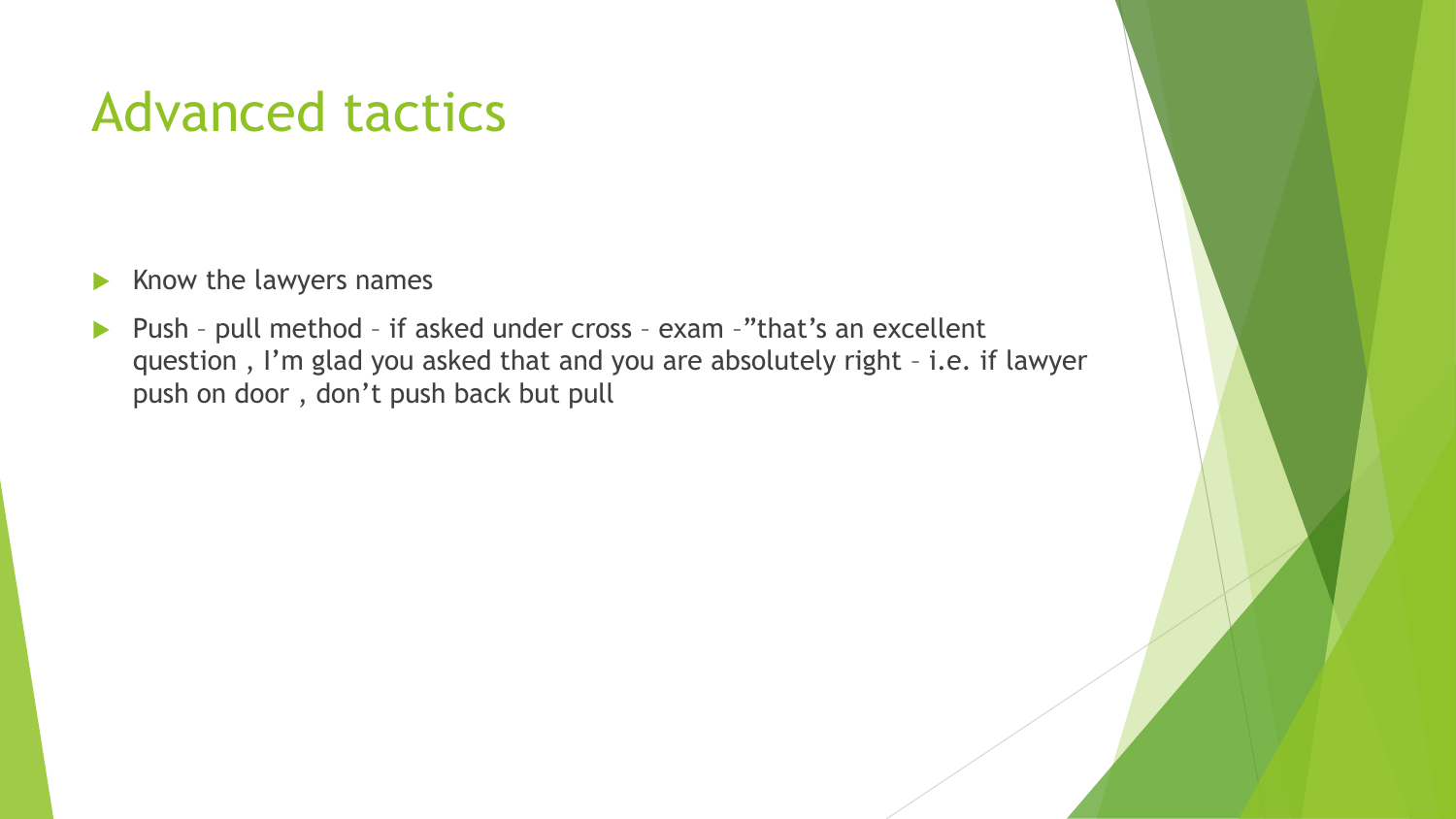### Advanced tactics

- $\blacktriangleright$  Know the lawyers names
- ▶ Push pull method if asked under cross exam -"that's an excellent question , I'm glad you asked that and you are absolutely right – i.e. if lawyer push on door , don't push back but pull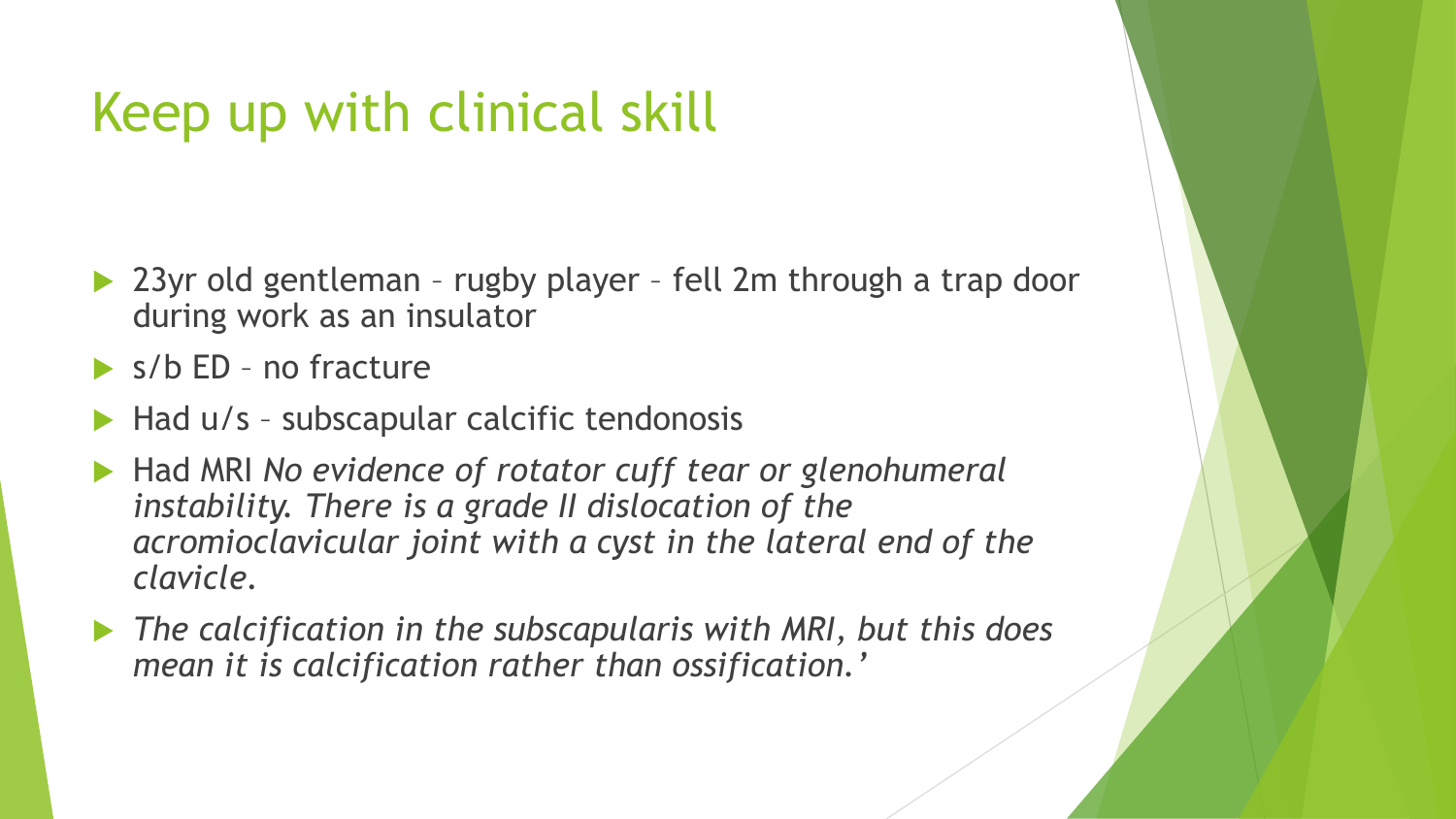### Keep up with clinical skill

- ▶ 23yr old gentleman rugby player fell 2m through a trap door during work as an insulator
- $\triangleright$  s/b ED no fracture
- Had u/s subscapular calcific tendonosis
- ▶ Had MRI No evidence of rotator cuff tear or glenohumeral *instability. There is a grade II dislocation of the acromioclavicular joint with a cyst in the lateral end of the clavicle.*
- *The calcification in the subscapularis with MRI, but this does mean it is calcification rather than ossification.'*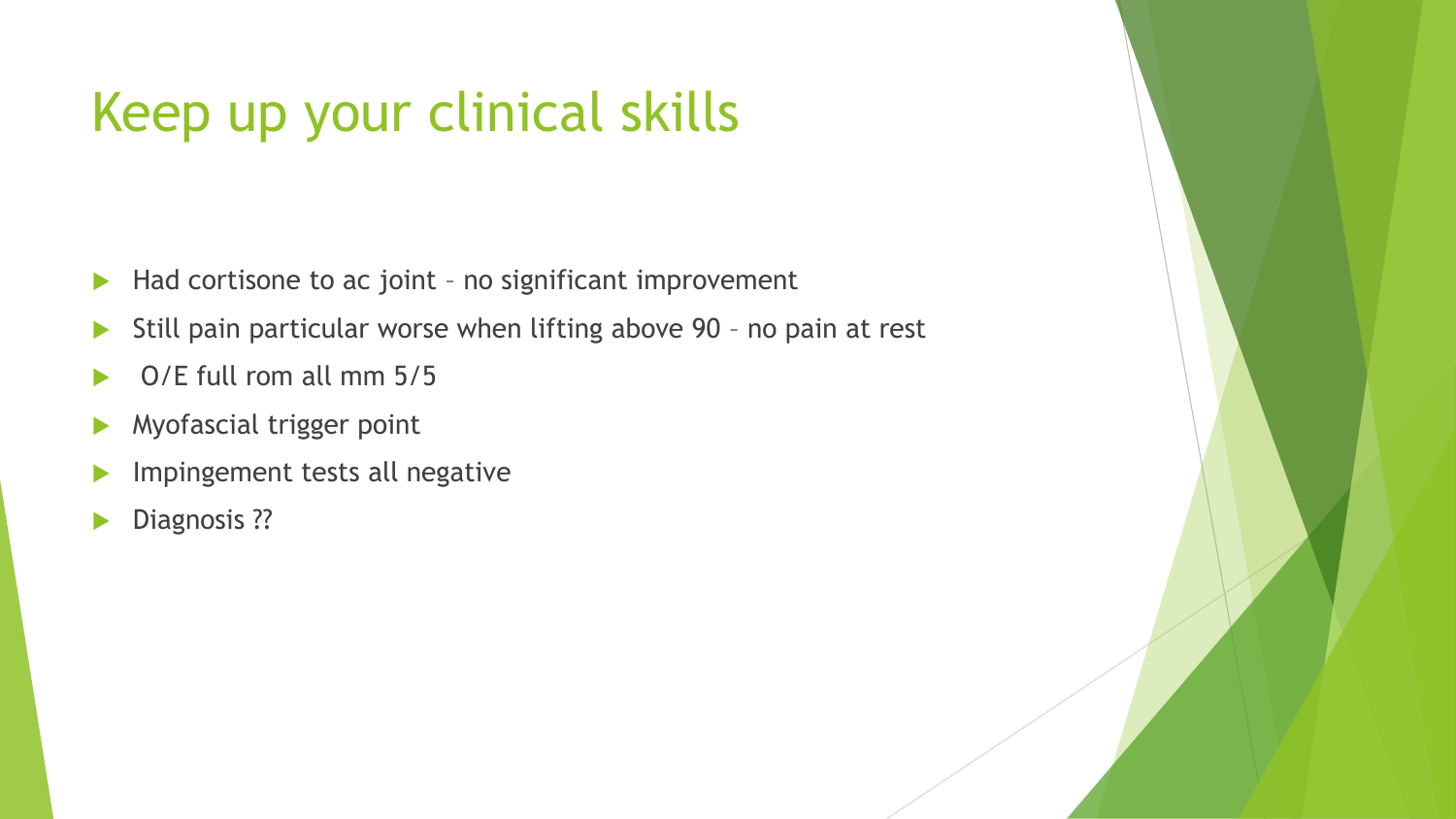## Keep up your clinical skills

- $\blacktriangleright$  Had cortisone to ac joint no significant improvement
- Still pain particular worse when lifting above 90 no pain at rest
- $\triangleright$  O/E full rom all mm 5/5
- Myofascial trigger point
- Impingement tests all negative
- Diagnosis ??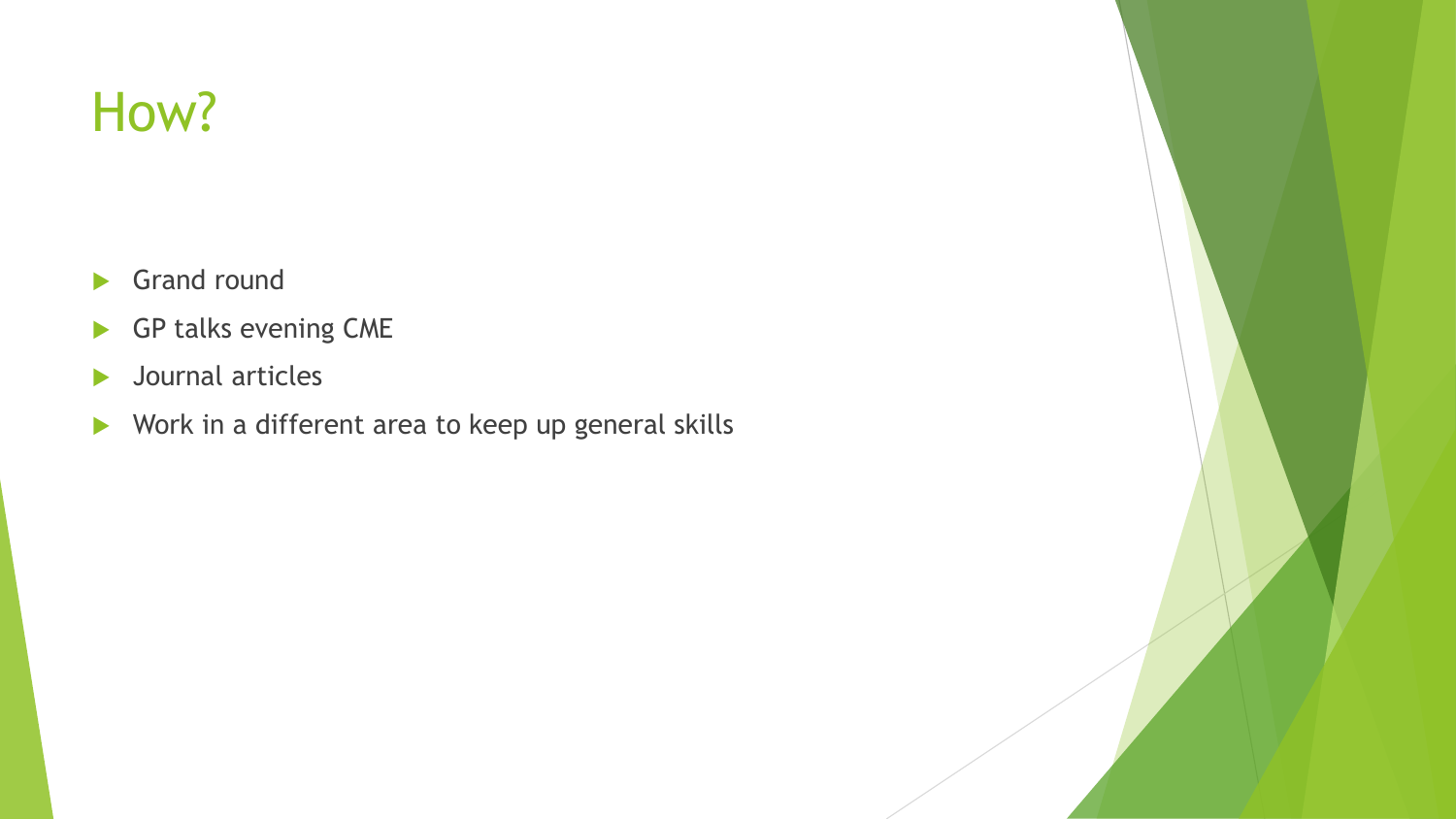### How?

- Grand round
- GP talks evening CME
- **Journal articles**
- Work in a different area to keep up general skills